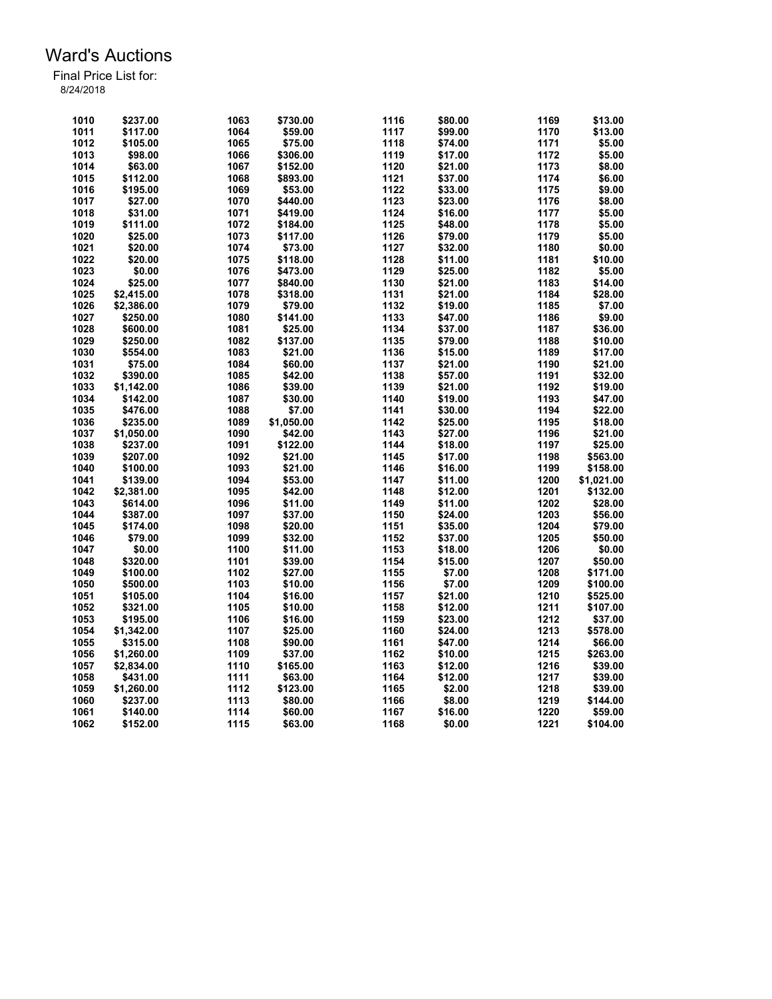| 1010 | \$237.00   | 1063 | \$730.00   | 1116 | \$80.00 | 1169 | \$13.00    |
|------|------------|------|------------|------|---------|------|------------|
| 1011 | \$117.00   | 1064 | \$59.00    | 1117 | \$99.00 | 1170 | \$13.00    |
| 1012 | \$105.00   | 1065 | \$75.00    | 1118 | \$74.00 | 1171 | \$5.00     |
| 1013 | \$98.00    | 1066 | \$306.00   | 1119 | \$17.00 | 1172 | \$5.00     |
| 1014 | \$63.00    | 1067 | \$152.00   | 1120 | \$21.00 | 1173 | \$8.00     |
| 1015 | \$112.00   | 1068 | \$893.00   | 1121 | \$37.00 | 1174 | \$6.00     |
| 1016 | \$195.00   | 1069 | \$53.00    | 1122 | \$33.00 | 1175 | \$9.00     |
| 1017 | \$27.00    | 1070 | \$440.00   | 1123 | \$23.00 | 1176 | \$8.00     |
| 1018 | \$31.00    | 1071 | \$419.00   | 1124 | \$16.00 | 1177 | \$5.00     |
| 1019 | \$111.00   | 1072 | \$184.00   | 1125 | \$48.00 | 1178 | \$5.00     |
| 1020 | \$25.00    | 1073 | \$117.00   | 1126 | \$79.00 | 1179 | \$5.00     |
|      |            |      |            |      |         |      |            |
| 1021 | \$20.00    | 1074 | \$73.00    | 1127 | \$32.00 | 1180 | \$0.00     |
| 1022 | \$20.00    | 1075 | \$118.00   | 1128 | \$11.00 | 1181 | \$10.00    |
| 1023 | \$0.00     | 1076 | \$473.00   | 1129 | \$25.00 | 1182 | \$5.00     |
| 1024 | \$25.00    | 1077 | \$840.00   | 1130 | \$21.00 | 1183 | \$14.00    |
| 1025 | \$2,415.00 | 1078 | \$318.00   | 1131 | \$21.00 | 1184 | \$28.00    |
| 1026 | \$2,386.00 | 1079 | \$79.00    | 1132 | \$19.00 | 1185 | \$7.00     |
| 1027 | \$250.00   | 1080 | \$141.00   | 1133 | \$47.00 | 1186 | \$9.00     |
| 1028 | \$600.00   | 1081 | \$25.00    | 1134 | \$37.00 | 1187 | \$36.00    |
| 1029 | \$250.00   | 1082 | \$137.00   | 1135 | \$79.00 | 1188 | \$10.00    |
| 1030 | \$554.00   | 1083 | \$21.00    | 1136 | \$15.00 | 1189 | \$17.00    |
| 1031 | \$75.00    | 1084 | \$60.00    | 1137 | \$21.00 | 1190 | \$21.00    |
| 1032 | \$390.00   | 1085 | \$42.00    | 1138 | \$57.00 | 1191 | \$32.00    |
| 1033 | \$1,142.00 | 1086 | \$39.00    | 1139 | \$21.00 | 1192 | \$19.00    |
| 1034 | \$142.00   | 1087 | \$30.00    | 1140 | \$19.00 | 1193 | \$47.00    |
| 1035 | \$476.00   | 1088 | \$7.00     | 1141 | \$30.00 | 1194 | \$22.00    |
| 1036 | \$235.00   | 1089 | \$1,050.00 | 1142 | \$25.00 | 1195 | \$18.00    |
| 1037 | \$1,050.00 | 1090 | \$42.00    | 1143 | \$27.00 | 1196 | \$21.00    |
| 1038 | \$237.00   | 1091 | \$122.00   | 1144 | \$18.00 | 1197 | \$25.00    |
| 1039 | \$207.00   | 1092 | \$21.00    | 1145 | \$17.00 | 1198 | \$563.00   |
| 1040 | \$100.00   | 1093 | \$21.00    | 1146 | \$16.00 | 1199 | \$158.00   |
| 1041 | \$139.00   | 1094 | \$53.00    | 1147 | \$11.00 | 1200 | \$1,021.00 |
| 1042 | \$2,381.00 | 1095 | \$42.00    | 1148 | \$12.00 | 1201 | \$132.00   |
| 1043 | \$614.00   | 1096 | \$11.00    | 1149 | \$11.00 | 1202 | \$28.00    |
| 1044 | \$387.00   | 1097 | \$37.00    | 1150 | \$24.00 | 1203 | \$56.00    |
| 1045 | \$174.00   | 1098 | \$20.00    | 1151 | \$35.00 | 1204 | \$79.00    |
| 1046 | \$79.00    | 1099 | \$32.00    | 1152 | \$37.00 | 1205 | \$50.00    |
| 1047 |            | 1100 | \$11.00    | 1153 |         | 1206 | \$0.00     |
|      | \$0.00     |      |            |      | \$18.00 |      |            |
| 1048 | \$320.00   | 1101 | \$39.00    | 1154 | \$15.00 | 1207 | \$50.00    |
| 1049 | \$100.00   | 1102 | \$27.00    | 1155 | \$7.00  | 1208 | \$171.00   |
| 1050 | \$500.00   | 1103 | \$10.00    | 1156 | \$7.00  | 1209 | \$100.00   |
| 1051 | \$105.00   | 1104 | \$16.00    | 1157 | \$21.00 | 1210 | \$525.00   |
| 1052 | \$321.00   | 1105 | \$10.00    | 1158 | \$12.00 | 1211 | \$107.00   |
| 1053 | \$195.00   | 1106 | \$16.00    | 1159 | \$23.00 | 1212 | \$37.00    |
| 1054 | \$1,342.00 | 1107 | \$25.00    | 1160 | \$24.00 | 1213 | \$578.00   |
| 1055 | \$315.00   | 1108 | \$90.00    | 1161 | \$47.00 | 1214 | \$66.00    |
| 1056 | \$1,260.00 | 1109 | \$37.00    | 1162 | \$10.00 | 1215 | \$263.00   |
| 1057 | \$2,834.00 | 1110 | \$165.00   | 1163 | \$12.00 | 1216 | \$39.00    |
| 1058 | \$431.00   | 1111 | \$63.00    | 1164 | \$12.00 | 1217 | \$39.00    |
| 1059 | \$1,260.00 | 1112 | \$123.00   | 1165 | \$2.00  | 1218 | \$39.00    |
| 1060 | \$237.00   | 1113 | \$80.00    | 1166 | \$8.00  | 1219 | \$144.00   |
| 1061 | \$140.00   | 1114 | \$60.00    | 1167 | \$16.00 | 1220 | \$59.00    |
| 1062 | \$152.00   | 1115 | \$63.00    | 1168 | \$0.00  | 1221 | \$104.00   |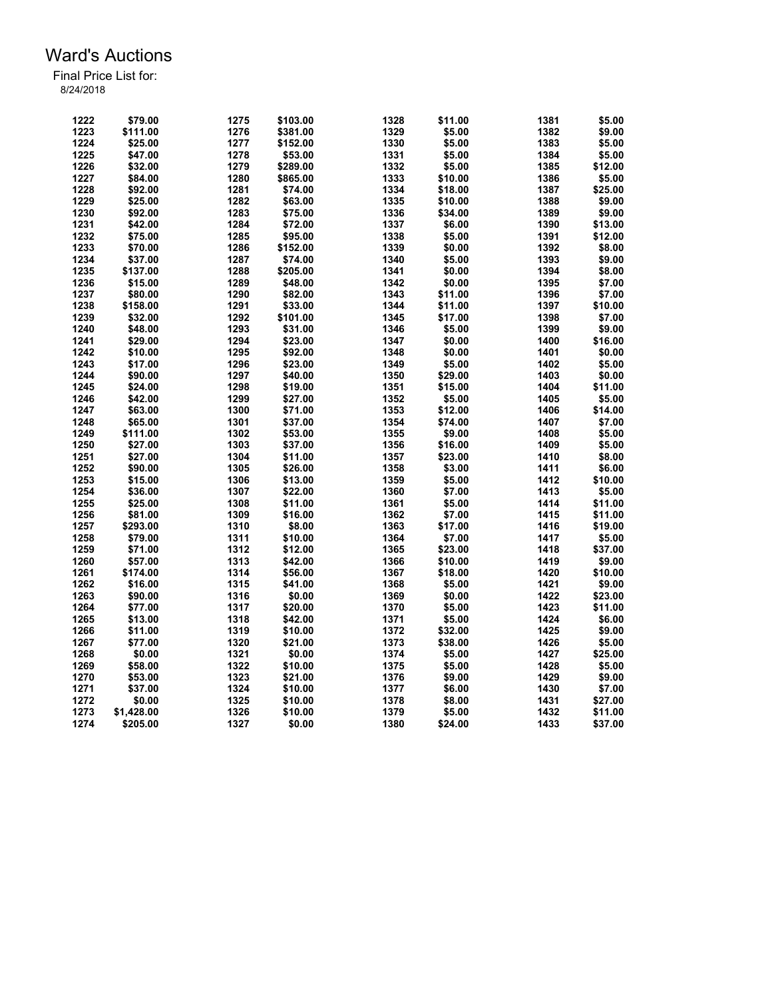| 1222 | \$79.00    | 1275 | \$103.00 | 1328 | \$11.00 | 1381 | \$5.00  |
|------|------------|------|----------|------|---------|------|---------|
| 1223 | \$111.00   | 1276 | \$381.00 | 1329 | \$5.00  | 1382 | \$9.00  |
| 1224 | \$25.00    | 1277 | \$152.00 | 1330 | \$5.00  | 1383 | \$5.00  |
| 1225 | \$47.00    | 1278 | \$53.00  | 1331 | \$5.00  | 1384 | \$5.00  |
| 1226 | \$32.00    | 1279 | \$289.00 | 1332 | \$5.00  | 1385 | \$12.00 |
| 1227 | \$84.00    | 1280 | \$865.00 | 1333 | \$10.00 | 1386 | \$5.00  |
| 1228 | \$92.00    | 1281 | \$74.00  | 1334 | \$18.00 | 1387 | \$25.00 |
| 1229 | \$25.00    | 1282 | \$63.00  | 1335 | \$10.00 | 1388 | \$9.00  |
| 1230 | \$92.00    | 1283 | \$75.00  | 1336 | \$34.00 | 1389 | \$9.00  |
| 1231 | \$42.00    | 1284 | \$72.00  | 1337 | \$6.00  | 1390 | \$13.00 |
| 1232 | \$75.00    | 1285 | \$95.00  | 1338 | \$5.00  | 1391 | \$12.00 |
| 1233 | \$70.00    | 1286 | \$152.00 | 1339 | \$0.00  | 1392 | \$8.00  |
| 1234 | \$37.00    | 1287 | \$74.00  | 1340 | \$5.00  | 1393 | \$9.00  |
| 1235 | \$137.00   | 1288 | \$205.00 | 1341 | \$0.00  | 1394 | \$8.00  |
| 1236 | \$15.00    | 1289 | \$48.00  | 1342 | \$0.00  | 1395 | \$7.00  |
| 1237 | \$80.00    | 1290 | \$82.00  | 1343 | \$11.00 | 1396 | \$7.00  |
| 1238 | \$158.00   | 1291 | \$33.00  | 1344 | \$11.00 | 1397 | \$10.00 |
| 1239 | \$32.00    | 1292 | \$101.00 | 1345 | \$17.00 | 1398 | \$7.00  |
| 1240 | \$48.00    | 1293 | \$31.00  | 1346 | \$5.00  | 1399 | \$9.00  |
| 1241 | \$29.00    | 1294 | \$23.00  | 1347 | \$0.00  | 1400 | \$16.00 |
| 1242 | \$10.00    | 1295 | \$92.00  | 1348 | \$0.00  | 1401 | \$0.00  |
| 1243 | \$17.00    | 1296 | \$23.00  | 1349 | \$5.00  | 1402 | \$5.00  |
| 1244 | \$90.00    | 1297 | \$40.00  | 1350 | \$29.00 | 1403 | \$0.00  |
|      |            | 1298 |          |      |         | 1404 |         |
| 1245 | \$24.00    |      | \$19.00  | 1351 | \$15.00 |      | \$11.00 |
| 1246 | \$42.00    | 1299 | \$27.00  | 1352 | \$5.00  | 1405 | \$5.00  |
| 1247 | \$63.00    | 1300 | \$71.00  | 1353 | \$12.00 | 1406 | \$14.00 |
| 1248 | \$65.00    | 1301 | \$37.00  | 1354 | \$74.00 | 1407 | \$7.00  |
| 1249 | \$111.00   | 1302 | \$53.00  | 1355 | \$9.00  | 1408 | \$5.00  |
| 1250 | \$27.00    | 1303 | \$37.00  | 1356 | \$16.00 | 1409 | \$5.00  |
| 1251 | \$27.00    | 1304 | \$11.00  | 1357 | \$23.00 | 1410 | \$8.00  |
| 1252 | \$90.00    | 1305 | \$26.00  | 1358 | \$3.00  | 1411 | \$6.00  |
| 1253 | \$15.00    | 1306 | \$13.00  | 1359 | \$5.00  | 1412 | \$10.00 |
| 1254 | \$36.00    | 1307 | \$22.00  | 1360 | \$7.00  | 1413 | \$5.00  |
| 1255 | \$25.00    | 1308 | \$11.00  | 1361 | \$5.00  | 1414 | \$11.00 |
| 1256 | \$81.00    | 1309 | \$16.00  | 1362 | \$7.00  | 1415 | \$11.00 |
| 1257 | \$293.00   | 1310 | \$8.00   | 1363 | \$17.00 | 1416 | \$19.00 |
| 1258 | \$79.00    | 1311 | \$10.00  | 1364 | \$7.00  | 1417 | \$5.00  |
| 1259 | \$71.00    | 1312 | \$12.00  | 1365 | \$23.00 | 1418 | \$37.00 |
| 1260 | \$57.00    | 1313 | \$42.00  | 1366 | \$10.00 | 1419 | \$9.00  |
| 1261 | \$174.00   | 1314 | \$56.00  | 1367 | \$18.00 | 1420 | \$10.00 |
| 1262 | \$16.00    | 1315 | \$41.00  | 1368 | \$5.00  | 1421 | \$9.00  |
| 1263 | \$90.00    | 1316 | \$0.00   | 1369 | \$0.00  | 1422 | \$23.00 |
| 1264 | \$77.00    | 1317 | \$20.00  | 1370 | \$5.00  | 1423 | \$11.00 |
| 1265 | \$13.00    | 1318 | \$42.00  | 1371 | \$5.00  | 1424 | \$6.00  |
| 1266 | \$11.00    | 1319 | \$10.00  | 1372 | \$32.00 | 1425 | \$9.00  |
| 1267 | \$77.00    | 1320 | \$21.00  | 1373 | \$38.00 | 1426 | \$5.00  |
| 1268 | \$0.00     | 1321 | \$0.00   | 1374 | \$5.00  | 1427 | \$25.00 |
| 1269 | \$58.00    | 1322 | \$10.00  | 1375 | \$5.00  | 1428 | \$5.00  |
| 1270 | \$53.00    | 1323 | \$21.00  | 1376 | \$9.00  | 1429 | \$9.00  |
| 1271 | \$37.00    | 1324 | \$10.00  | 1377 | \$6.00  | 1430 | \$7.00  |
| 1272 | \$0.00     | 1325 | \$10.00  | 1378 | \$8.00  | 1431 | \$27.00 |
| 1273 | \$1,428.00 | 1326 | \$10.00  | 1379 | \$5.00  | 1432 | \$11.00 |
| 1274 | \$205.00   | 1327 | \$0.00   | 1380 | \$24.00 | 1433 | \$37.00 |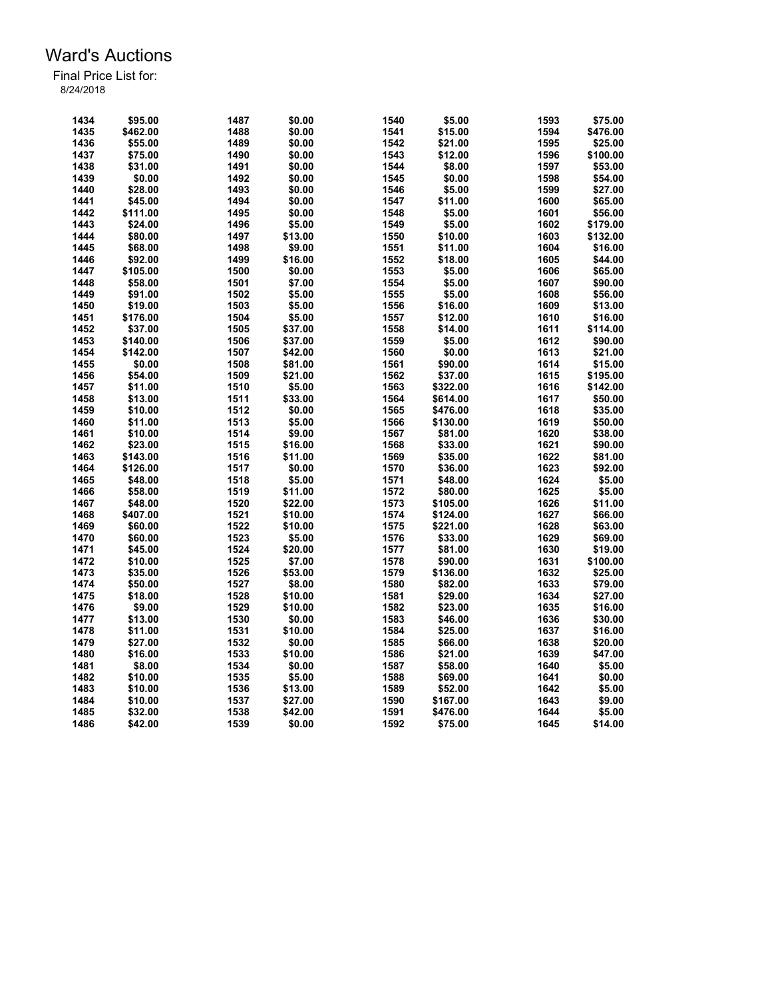| 1434 | \$95.00  | 1487 | \$0.00  | 1540 | \$5.00   | 1593         | \$75.00  |
|------|----------|------|---------|------|----------|--------------|----------|
| 1435 | \$462.00 | 1488 | \$0.00  | 1541 | \$15.00  | 1594         | \$476.00 |
| 1436 | \$55.00  | 1489 | \$0.00  | 1542 | \$21.00  | 1595         | \$25.00  |
| 1437 | \$75.00  | 1490 | \$0.00  | 1543 | \$12.00  | 1596         | \$100.00 |
| 1438 | \$31.00  | 1491 | \$0.00  | 1544 | \$8.00   | 1597         | \$53.00  |
| 1439 | \$0.00   | 1492 | \$0.00  | 1545 | \$0.00   | 1598         | \$54.00  |
| 1440 | \$28.00  | 1493 | \$0.00  | 1546 | \$5.00   | 1599         | \$27.00  |
| 1441 | \$45.00  | 1494 | \$0.00  | 1547 | \$11.00  | 1600         | \$65.00  |
| 1442 | \$111.00 | 1495 | \$0.00  | 1548 | \$5.00   | 1601         | \$56.00  |
| 1443 | \$24.00  | 1496 | \$5.00  | 1549 | \$5.00   | 1602         | \$179.00 |
| 1444 | \$80.00  | 1497 | \$13.00 | 1550 | \$10.00  | 1603         | \$132.00 |
| 1445 | \$68.00  | 1498 | \$9.00  | 1551 | \$11.00  | 1604         | \$16.00  |
| 1446 | \$92.00  | 1499 | \$16.00 | 1552 | \$18.00  | 1605         | \$44.00  |
| 1447 | \$105.00 | 1500 | \$0.00  | 1553 | \$5.00   | 1606         | \$65.00  |
| 1448 | \$58.00  | 1501 | \$7.00  | 1554 | \$5.00   | 1607         | \$90.00  |
| 1449 | \$91.00  | 1502 | \$5.00  | 1555 | \$5.00   | 1608         | \$56.00  |
| 1450 | \$19.00  | 1503 | \$5.00  | 1556 | \$16.00  | 1609         | \$13.00  |
| 1451 | \$176.00 | 1504 | \$5.00  | 1557 | \$12.00  | 1610         | \$16.00  |
| 1452 | \$37.00  | 1505 | \$37.00 | 1558 | \$14.00  | 1611         | \$114.00 |
| 1453 | \$140.00 | 1506 | \$37.00 | 1559 | \$5.00   | 1612         | \$90.00  |
|      |          |      |         |      |          |              |          |
| 1454 | \$142.00 | 1507 | \$42.00 | 1560 | \$0.00   | 1613<br>1614 | \$21.00  |
| 1455 | \$0.00   | 1508 | \$81.00 | 1561 | \$90.00  |              | \$15.00  |
| 1456 | \$54.00  | 1509 | \$21.00 | 1562 | \$37.00  | 1615         | \$195.00 |
| 1457 | \$11.00  | 1510 | \$5.00  | 1563 | \$322.00 | 1616         | \$142.00 |
| 1458 | \$13.00  | 1511 | \$33.00 | 1564 | \$614.00 | 1617         | \$50.00  |
| 1459 | \$10.00  | 1512 | \$0.00  | 1565 | \$476.00 | 1618         | \$35.00  |
| 1460 | \$11.00  | 1513 | \$5.00  | 1566 | \$130.00 | 1619         | \$50.00  |
| 1461 | \$10.00  | 1514 | \$9.00  | 1567 | \$81.00  | 1620         | \$38.00  |
| 1462 | \$23.00  | 1515 | \$16.00 | 1568 | \$33.00  | 1621         | \$90.00  |
| 1463 | \$143.00 | 1516 | \$11.00 | 1569 | \$35.00  | 1622         | \$81.00  |
| 1464 | \$126.00 | 1517 | \$0.00  | 1570 | \$36.00  | 1623         | \$92.00  |
| 1465 | \$48.00  | 1518 | \$5.00  | 1571 | \$48.00  | 1624         | \$5.00   |
| 1466 | \$58.00  | 1519 | \$11.00 | 1572 | \$80.00  | 1625         | \$5.00   |
| 1467 | \$48.00  | 1520 | \$22.00 | 1573 | \$105.00 | 1626         | \$11.00  |
| 1468 | \$407.00 | 1521 | \$10.00 | 1574 | \$124.00 | 1627         | \$66.00  |
| 1469 | \$60.00  | 1522 | \$10.00 | 1575 | \$221.00 | 1628         | \$63.00  |
| 1470 | \$60.00  | 1523 | \$5.00  | 1576 | \$33.00  | 1629         | \$69.00  |
| 1471 | \$45.00  | 1524 | \$20.00 | 1577 | \$81.00  | 1630         | \$19.00  |
| 1472 | \$10.00  | 1525 | \$7.00  | 1578 | \$90.00  | 1631         | \$100.00 |
| 1473 | \$35.00  | 1526 | \$53.00 | 1579 | \$136.00 | 1632         | \$25.00  |
| 1474 | \$50.00  | 1527 | \$8.00  | 1580 | \$82.00  | 1633         | \$79.00  |
| 1475 | \$18.00  | 1528 | \$10.00 | 1581 | \$29.00  | 1634         | \$27.00  |
| 1476 | \$9.00   | 1529 | \$10.00 | 1582 | \$23.00  | 1635         | \$16.00  |
| 1477 | \$13.00  | 1530 | \$0.00  | 1583 | \$46.00  | 1636         | \$30.00  |
| 1478 | \$11.00  |      |         | 1584 | \$25.00  | 1637         |          |
|      |          | 1531 | \$10.00 |      |          |              | \$16.00  |
| 1479 | \$27.00  | 1532 | \$0.00  | 1585 | \$66.00  | 1638         | \$20.00  |
| 1480 | \$16.00  | 1533 | \$10.00 | 1586 | \$21.00  | 1639         | \$47.00  |
| 1481 | \$8.00   | 1534 | \$0.00  | 1587 | \$58.00  | 1640         | \$5.00   |
| 1482 | \$10.00  | 1535 | \$5.00  | 1588 | \$69.00  | 1641         | \$0.00   |
| 1483 | \$10.00  | 1536 | \$13.00 | 1589 | \$52.00  | 1642         | \$5.00   |
| 1484 | \$10.00  | 1537 | \$27.00 | 1590 | \$167.00 | 1643         | \$9.00   |
| 1485 | \$32.00  | 1538 | \$42.00 | 1591 | \$476.00 | 1644         | \$5.00   |
| 1486 | \$42.00  | 1539 | \$0.00  | 1592 | \$75.00  | 1645         | \$14.00  |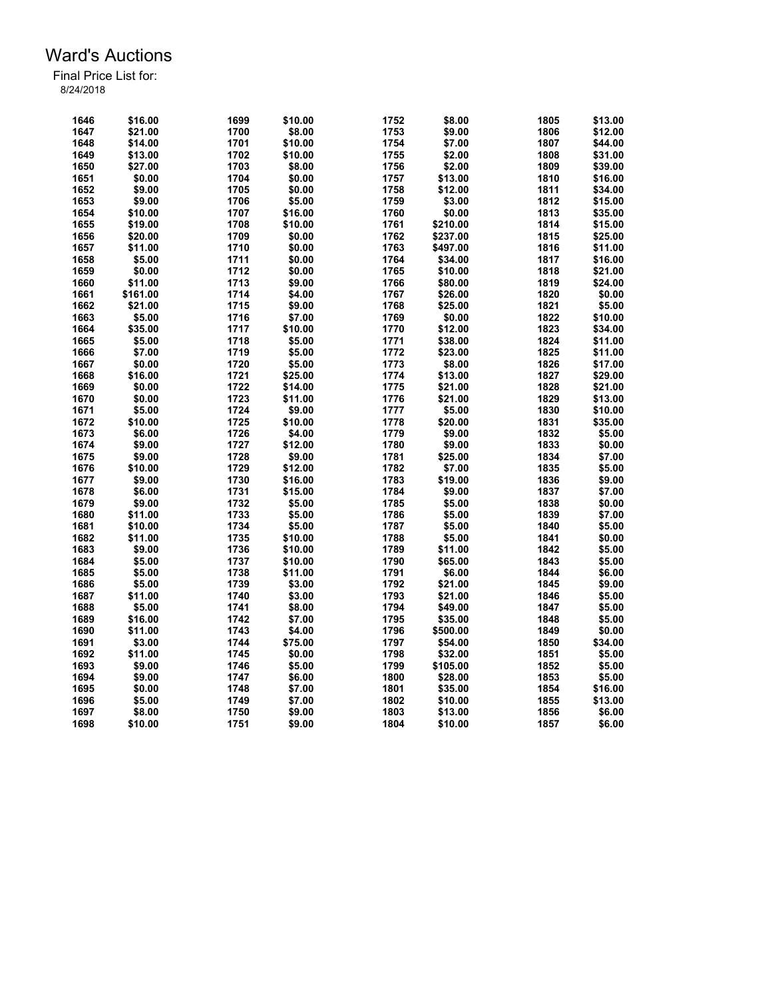| 1646 | \$16.00  | 1699 | \$10.00 | 1752 | \$8.00   | 1805 | \$13.00 |
|------|----------|------|---------|------|----------|------|---------|
| 1647 | \$21.00  | 1700 | \$8.00  | 1753 | \$9.00   | 1806 | \$12.00 |
| 1648 | \$14.00  | 1701 | \$10.00 | 1754 | \$7.00   | 1807 | \$44.00 |
| 1649 | \$13.00  | 1702 | \$10.00 | 1755 | \$2.00   | 1808 | \$31.00 |
| 1650 | \$27.00  | 1703 | \$8.00  | 1756 | \$2.00   | 1809 | \$39.00 |
| 1651 | \$0.00   | 1704 | \$0.00  | 1757 | \$13.00  | 1810 | \$16.00 |
| 1652 | \$9.00   | 1705 | \$0.00  | 1758 | \$12.00  | 1811 | \$34.00 |
| 1653 | \$9.00   | 1706 | \$5.00  | 1759 | \$3.00   | 1812 | \$15.00 |
| 1654 | \$10.00  | 1707 | \$16.00 | 1760 | \$0.00   | 1813 | \$35.00 |
| 1655 | \$19.00  | 1708 | \$10.00 | 1761 | \$210.00 | 1814 | \$15.00 |
| 1656 | \$20.00  | 1709 | \$0.00  | 1762 | \$237.00 | 1815 | \$25.00 |
| 1657 | \$11.00  | 1710 | \$0.00  | 1763 | \$497.00 | 1816 | \$11.00 |
| 1658 | \$5.00   | 1711 | \$0.00  | 1764 | \$34.00  | 1817 | \$16.00 |
| 1659 | \$0.00   | 1712 | \$0.00  | 1765 | \$10.00  | 1818 | \$21.00 |
| 1660 |          | 1713 |         | 1766 |          | 1819 |         |
|      | \$11.00  |      | \$9.00  |      | \$80.00  |      | \$24.00 |
| 1661 | \$161.00 | 1714 | \$4.00  | 1767 | \$26.00  | 1820 | \$0.00  |
| 1662 | \$21.00  | 1715 | \$9.00  | 1768 | \$25.00  | 1821 | \$5.00  |
| 1663 | \$5.00   | 1716 | \$7.00  | 1769 | \$0.00   | 1822 | \$10.00 |
| 1664 | \$35.00  | 1717 | \$10.00 | 1770 | \$12.00  | 1823 | \$34.00 |
| 1665 | \$5.00   | 1718 | \$5.00  | 1771 | \$38.00  | 1824 | \$11.00 |
| 1666 | \$7.00   | 1719 | \$5.00  | 1772 | \$23.00  | 1825 | \$11.00 |
| 1667 | \$0.00   | 1720 | \$5.00  | 1773 | \$8.00   | 1826 | \$17.00 |
| 1668 | \$16.00  | 1721 | \$25.00 | 1774 | \$13.00  | 1827 | \$29.00 |
| 1669 | \$0.00   | 1722 | \$14.00 | 1775 | \$21.00  | 1828 | \$21.00 |
| 1670 | \$0.00   | 1723 | \$11.00 | 1776 | \$21.00  | 1829 | \$13.00 |
| 1671 | \$5.00   | 1724 | \$9.00  | 1777 | \$5.00   | 1830 | \$10.00 |
| 1672 | \$10.00  | 1725 | \$10.00 | 1778 | \$20.00  | 1831 | \$35.00 |
| 1673 | \$6.00   | 1726 | \$4.00  | 1779 | \$9.00   | 1832 | \$5.00  |
| 1674 | \$9.00   | 1727 | \$12.00 | 1780 | \$9.00   | 1833 | \$0.00  |
| 1675 | \$9.00   | 1728 | \$9.00  | 1781 | \$25.00  | 1834 | \$7.00  |
| 1676 | \$10.00  | 1729 | \$12.00 | 1782 | \$7.00   | 1835 | \$5.00  |
| 1677 | \$9.00   | 1730 | \$16.00 | 1783 | \$19.00  | 1836 | \$9.00  |
| 1678 | \$6.00   | 1731 | \$15.00 | 1784 | \$9.00   | 1837 | \$7.00  |
| 1679 | \$9.00   | 1732 | \$5.00  | 1785 | \$5.00   | 1838 | \$0.00  |
| 1680 | \$11.00  | 1733 | \$5.00  | 1786 | \$5.00   | 1839 | \$7.00  |
| 1681 | \$10.00  | 1734 | \$5.00  | 1787 | \$5.00   | 1840 | \$5.00  |
| 1682 | \$11.00  | 1735 | \$10.00 | 1788 | \$5.00   | 1841 | \$0.00  |
| 1683 | \$9.00   | 1736 | \$10.00 | 1789 | \$11.00  | 1842 | \$5.00  |
| 1684 | \$5.00   | 1737 | \$10.00 | 1790 | \$65.00  | 1843 | \$5.00  |
| 1685 | \$5.00   | 1738 | \$11.00 | 1791 | \$6.00   | 1844 | \$6.00  |
| 1686 | \$5.00   | 1739 | \$3.00  | 1792 | \$21.00  | 1845 | \$9.00  |
|      |          |      |         |      |          |      |         |
| 1687 | \$11.00  | 1740 | \$3.00  | 1793 | \$21.00  | 1846 | \$5.00  |
| 1688 | \$5.00   | 1741 | \$8.00  | 1794 | \$49.00  | 1847 | \$5.00  |
| 1689 | \$16.00  | 1742 | \$7.00  | 1795 | \$35.00  | 1848 | \$5.00  |
| 1690 | \$11.00  | 1743 | \$4.00  | 1796 | \$500.00 | 1849 | \$0.00  |
| 1691 | \$3.00   | 1744 | \$75.00 | 1797 | \$54.00  | 1850 | \$34.00 |
| 1692 | \$11.00  | 1745 | \$0.00  | 1798 | \$32.00  | 1851 | \$5.00  |
| 1693 | \$9.00   | 1746 | \$5.00  | 1799 | \$105.00 | 1852 | \$5.00  |
| 1694 | \$9.00   | 1747 | \$6.00  | 1800 | \$28.00  | 1853 | \$5.00  |
| 1695 | \$0.00   | 1748 | \$7.00  | 1801 | \$35.00  | 1854 | \$16.00 |
| 1696 | \$5.00   | 1749 | \$7.00  | 1802 | \$10.00  | 1855 | \$13.00 |
| 1697 | \$8.00   | 1750 | \$9.00  | 1803 | \$13.00  | 1856 | \$6.00  |
| 1698 | \$10.00  | 1751 | \$9.00  | 1804 | \$10.00  | 1857 | \$6.00  |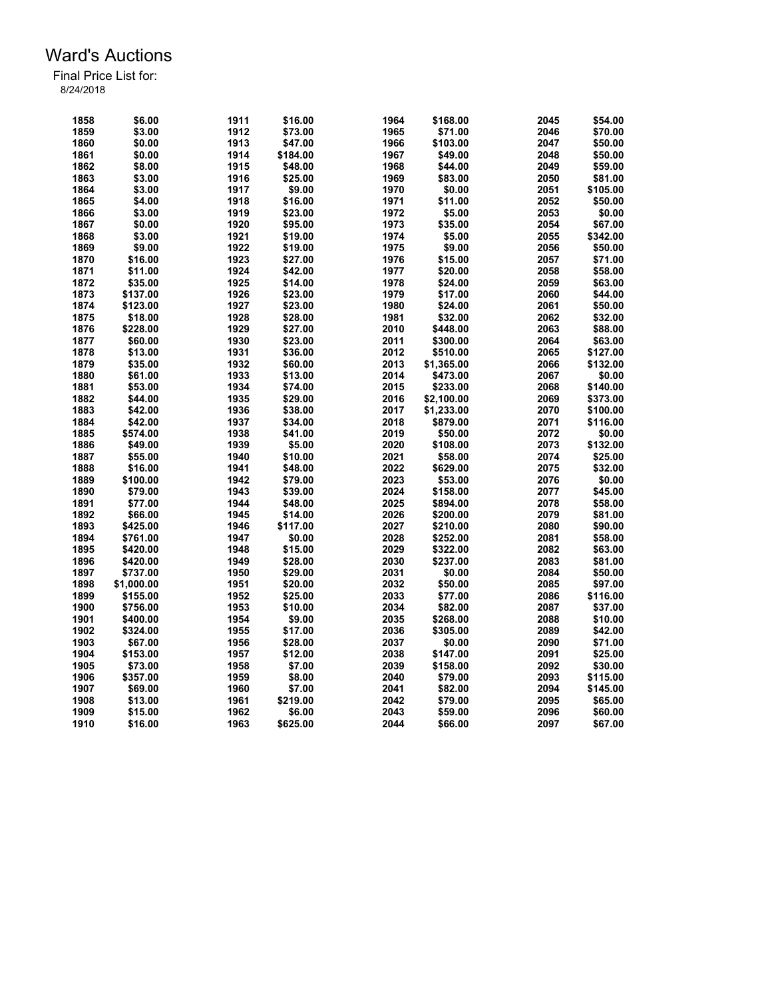| 1858         | \$6.00     | 1911 | \$16.00            | 1964 | \$168.00   | 2045 | \$54.00  |
|--------------|------------|------|--------------------|------|------------|------|----------|
| 1859         | \$3.00     | 1912 | \$73.00            | 1965 | \$71.00    | 2046 | \$70.00  |
| 1860         | \$0.00     | 1913 | \$47.00            | 1966 | \$103.00   | 2047 | \$50.00  |
| 1861         | \$0.00     | 1914 | \$184.00           | 1967 | \$49.00    | 2048 | \$50.00  |
| 1862         | \$8.00     | 1915 | \$48.00            | 1968 | \$44.00    | 2049 | \$59.00  |
| 1863         | \$3.00     | 1916 | \$25.00            | 1969 | \$83.00    | 2050 | \$81.00  |
| 1864         | \$3.00     | 1917 | \$9.00             | 1970 | \$0.00     | 2051 | \$105.00 |
| 1865         | \$4.00     | 1918 | \$16.00            | 1971 | \$11.00    | 2052 | \$50.00  |
| 1866         | \$3.00     | 1919 | \$23.00            | 1972 | \$5.00     | 2053 | \$0.00   |
| 1867         | \$0.00     | 1920 | \$95.00            | 1973 | \$35.00    | 2054 | \$67.00  |
| 1868         | \$3.00     | 1921 | \$19.00            | 1974 | \$5.00     | 2055 | \$342.00 |
|              |            |      |                    |      |            |      |          |
| 1869         | \$9.00     | 1922 | \$19.00            | 1975 | \$9.00     | 2056 | \$50.00  |
| 1870         | \$16.00    | 1923 | \$27.00            | 1976 | \$15.00    | 2057 | \$71.00  |
| 1871         | \$11.00    | 1924 | \$42.00            | 1977 | \$20.00    | 2058 | \$58.00  |
| 1872         | \$35.00    | 1925 | \$14.00            | 1978 | \$24.00    | 2059 | \$63.00  |
| 1873         | \$137.00   | 1926 | \$23.00            | 1979 | \$17.00    | 2060 | \$44.00  |
| 1874         | \$123.00   | 1927 | \$23.00            | 1980 | \$24.00    | 2061 | \$50.00  |
| 1875         | \$18.00    | 1928 | \$28.00            | 1981 | \$32.00    | 2062 | \$32.00  |
| 1876         | \$228.00   | 1929 | \$27.00            | 2010 | \$448.00   | 2063 | \$88.00  |
| 1877         | \$60.00    | 1930 | \$23.00            | 2011 | \$300.00   | 2064 | \$63.00  |
| 1878         | \$13.00    | 1931 | \$36.00            | 2012 | \$510.00   | 2065 | \$127.00 |
| 1879         | \$35.00    | 1932 | \$60.00            | 2013 | \$1,365.00 | 2066 | \$132.00 |
| 1880         | \$61.00    | 1933 | \$13.00            | 2014 | \$473.00   | 2067 | \$0.00   |
| 1881         | \$53.00    | 1934 | \$74.00            | 2015 | \$233.00   | 2068 | \$140.00 |
| 1882         | \$44.00    | 1935 | \$29.00            | 2016 | \$2,100.00 | 2069 | \$373.00 |
| 1883         | \$42.00    | 1936 | \$38.00            | 2017 | \$1,233.00 | 2070 | \$100.00 |
| 1884         | \$42.00    | 1937 | \$34.00            | 2018 | \$879.00   | 2071 | \$116.00 |
| 1885         | \$574.00   | 1938 | \$41.00            | 2019 | \$50.00    | 2072 | \$0.00   |
| 1886         | \$49.00    | 1939 | \$5.00             | 2020 | \$108.00   | 2073 | \$132.00 |
| 1887         | \$55.00    | 1940 | \$10.00            | 2021 | \$58.00    | 2074 | \$25.00  |
| 1888         | \$16.00    | 1941 | \$48.00            | 2022 | \$629.00   | 2075 | \$32.00  |
| 1889         | \$100.00   | 1942 | \$79.00            | 2023 | \$53.00    | 2076 | \$0.00   |
| 1890         | \$79.00    | 1943 | \$39.00            | 2024 | \$158.00   | 2077 | \$45.00  |
| 1891         | \$77.00    | 1944 | \$48.00            | 2025 | \$894.00   | 2078 | \$58.00  |
| 1892         | \$66.00    | 1945 | \$14.00            | 2026 | \$200.00   | 2079 | \$81.00  |
| 1893         | \$425.00   | 1946 | \$117.00           | 2027 | \$210.00   | 2080 | \$90.00  |
| 1894         | \$761.00   | 1947 | \$0.00             | 2028 | \$252.00   | 2081 | \$58.00  |
|              |            |      |                    | 2029 |            | 2082 | \$63.00  |
| 1895<br>1896 | \$420.00   | 1948 | \$15.00<br>\$28.00 | 2030 | \$322.00   | 2083 | \$81.00  |
|              | \$420.00   | 1949 |                    |      | \$237.00   |      |          |
| 1897         | \$737.00   | 1950 | \$29.00            | 2031 | \$0.00     | 2084 | \$50.00  |
| 1898         | \$1,000.00 | 1951 | \$20.00            | 2032 | \$50.00    | 2085 | \$97.00  |
| 1899         | \$155.00   | 1952 | \$25.00            | 2033 | \$77.00    | 2086 | \$116.00 |
| 1900         | \$756.00   | 1953 | \$10.00            | 2034 | \$82.00    | 2087 | \$37.00  |
| 1901         | \$400.00   | 1954 | \$9.00             | 2035 | \$268.00   | 2088 | \$10.00  |
| 1902         | \$324.00   | 1955 | \$17.00            | 2036 | \$305.00   | 2089 | \$42.00  |
| 1903         | \$67.00    | 1956 | \$28.00            | 2037 | \$0.00     | 2090 | \$71.00  |
| 1904         | \$153.00   | 1957 | \$12.00            | 2038 | \$147.00   | 2091 | \$25.00  |
| 1905         | \$73.00    | 1958 | \$7.00             | 2039 | \$158.00   | 2092 | \$30.00  |
| 1906         | \$357.00   | 1959 | \$8.00             | 2040 | \$79.00    | 2093 | \$115.00 |
| 1907         | \$69.00    | 1960 | \$7.00             | 2041 | \$82.00    | 2094 | \$145.00 |
| 1908         | \$13.00    | 1961 | \$219.00           | 2042 | \$79.00    | 2095 | \$65.00  |
| 1909         | \$15.00    | 1962 | \$6.00             | 2043 | \$59.00    | 2096 | \$60.00  |
| 1910         | \$16.00    | 1963 | \$625.00           | 2044 | \$66.00    | 2097 | \$67.00  |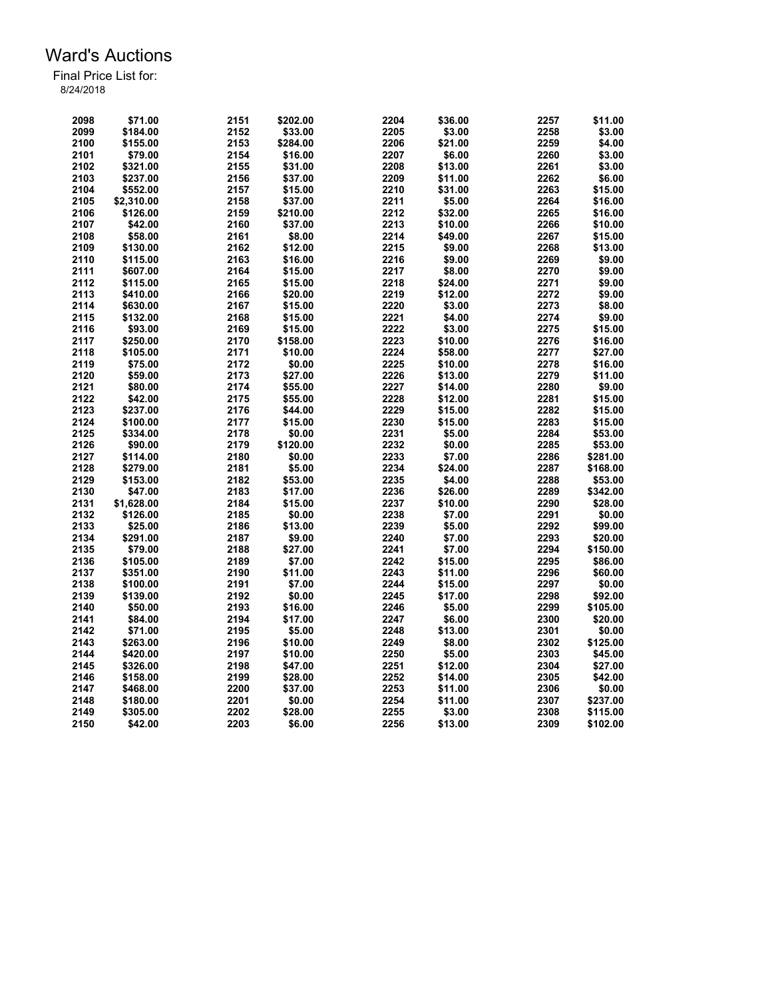| 2098 | \$71.00    | 2151 | \$202.00 | 2204 | \$36.00 | 2257 | \$11.00  |
|------|------------|------|----------|------|---------|------|----------|
| 2099 | \$184.00   | 2152 | \$33.00  | 2205 | \$3.00  | 2258 | \$3.00   |
| 2100 | \$155.00   | 2153 | \$284.00 | 2206 | \$21.00 | 2259 | \$4.00   |
| 2101 | \$79.00    | 2154 | \$16.00  | 2207 | \$6.00  | 2260 | \$3.00   |
| 2102 | \$321.00   | 2155 | \$31.00  | 2208 | \$13.00 | 2261 | \$3.00   |
| 2103 | \$237.00   | 2156 | \$37.00  | 2209 | \$11.00 | 2262 | \$6.00   |
| 2104 | \$552.00   | 2157 | \$15.00  | 2210 | \$31.00 | 2263 | \$15.00  |
|      |            |      |          | 2211 |         |      |          |
| 2105 | \$2,310.00 | 2158 | \$37.00  |      | \$5.00  | 2264 | \$16.00  |
| 2106 | \$126.00   | 2159 | \$210.00 | 2212 | \$32.00 | 2265 | \$16.00  |
| 2107 | \$42.00    | 2160 | \$37.00  | 2213 | \$10.00 | 2266 | \$10.00  |
| 2108 | \$58.00    | 2161 | \$8.00   | 2214 | \$49.00 | 2267 | \$15.00  |
| 2109 | \$130.00   | 2162 | \$12.00  | 2215 | \$9.00  | 2268 | \$13.00  |
| 2110 | \$115.00   | 2163 | \$16.00  | 2216 | \$9.00  | 2269 | \$9.00   |
| 2111 | \$607.00   | 2164 | \$15.00  | 2217 | \$8.00  | 2270 | \$9.00   |
| 2112 | \$115.00   | 2165 | \$15.00  | 2218 | \$24.00 | 2271 | \$9.00   |
| 2113 | \$410.00   | 2166 | \$20.00  | 2219 | \$12.00 | 2272 | \$9.00   |
| 2114 | \$630.00   | 2167 | \$15.00  | 2220 | \$3.00  | 2273 | \$8.00   |
| 2115 | \$132.00   | 2168 | \$15.00  | 2221 | \$4.00  | 2274 | \$9.00   |
| 2116 | \$93.00    | 2169 | \$15.00  | 2222 | \$3.00  | 2275 | \$15.00  |
| 2117 | \$250.00   | 2170 | \$158.00 | 2223 | \$10.00 | 2276 | \$16.00  |
| 2118 | \$105.00   | 2171 | \$10.00  | 2224 | \$58.00 | 2277 | \$27.00  |
| 2119 | \$75.00    | 2172 | \$0.00   | 2225 | \$10.00 | 2278 | \$16.00  |
| 2120 | \$59.00    | 2173 | \$27.00  | 2226 | \$13.00 | 2279 | \$11.00  |
| 2121 | \$80.00    | 2174 | \$55.00  | 2227 | \$14.00 | 2280 | \$9.00   |
| 2122 | \$42.00    | 2175 | \$55.00  | 2228 | \$12.00 | 2281 | \$15.00  |
| 2123 | \$237.00   | 2176 | \$44.00  | 2229 | \$15.00 | 2282 | \$15.00  |
| 2124 | \$100.00   | 2177 | \$15.00  | 2230 | \$15.00 | 2283 | \$15.00  |
| 2125 | \$334.00   | 2178 | \$0.00   | 2231 | \$5.00  | 2284 | \$53.00  |
| 2126 | \$90.00    | 2179 | \$120.00 | 2232 | \$0.00  | 2285 | \$53.00  |
| 2127 | \$114.00   | 2180 | \$0.00   | 2233 | \$7.00  | 2286 | \$281.00 |
| 2128 | \$279.00   | 2181 | \$5.00   | 2234 | \$24.00 | 2287 | \$168.00 |
|      | \$153.00   | 2182 |          | 2235 | \$4.00  |      |          |
| 2129 |            |      | \$53.00  |      |         | 2288 | \$53.00  |
| 2130 | \$47.00    | 2183 | \$17.00  | 2236 | \$26.00 | 2289 | \$342.00 |
| 2131 | \$1,628.00 | 2184 | \$15.00  | 2237 | \$10.00 | 2290 | \$28.00  |
| 2132 | \$126.00   | 2185 | \$0.00   | 2238 | \$7.00  | 2291 | \$0.00   |
| 2133 | \$25.00    | 2186 | \$13.00  | 2239 | \$5.00  | 2292 | \$99.00  |
| 2134 | \$291.00   | 2187 | \$9.00   | 2240 | \$7.00  | 2293 | \$20.00  |
| 2135 | \$79.00    | 2188 | \$27.00  | 2241 | \$7.00  | 2294 | \$150.00 |
| 2136 | \$105.00   | 2189 | \$7.00   | 2242 | \$15.00 | 2295 | \$86.00  |
| 2137 | \$351.00   | 2190 | \$11.00  | 2243 | \$11.00 | 2296 | \$60.00  |
| 2138 | \$100.00   | 2191 | \$7.00   | 2244 | \$15.00 | 2297 | \$0.00   |
| 2139 | \$139.00   | 2192 | \$0.00   | 2245 | \$17.00 | 2298 | \$92.00  |
| 2140 | \$50.00    | 2193 | \$16.00  | 2246 | \$5.00  | 2299 | \$105.00 |
| 2141 | \$84.00    | 2194 | \$17.00  | 2247 | \$6.00  | 2300 | \$20.00  |
| 2142 | \$71.00    | 2195 | \$5.00   | 2248 | \$13.00 | 2301 | \$0.00   |
| 2143 | \$263.00   | 2196 | \$10.00  | 2249 | \$8.00  | 2302 | \$125.00 |
| 2144 | \$420.00   | 2197 | \$10.00  | 2250 | \$5.00  | 2303 | \$45.00  |
| 2145 | \$326.00   | 2198 | \$47.00  | 2251 | \$12.00 | 2304 | \$27.00  |
| 2146 | \$158.00   | 2199 | \$28.00  | 2252 | \$14.00 | 2305 | \$42.00  |
| 2147 | \$468.00   | 2200 | \$37.00  | 2253 | \$11.00 | 2306 | \$0.00   |
| 2148 | \$180.00   | 2201 | \$0.00   | 2254 | \$11.00 | 2307 | \$237.00 |
| 2149 | \$305.00   | 2202 | \$28.00  | 2255 | \$3.00  | 2308 | \$115.00 |
| 2150 | \$42.00    | 2203 | \$6.00   | 2256 | \$13.00 | 2309 | \$102.00 |
|      |            |      |          |      |         |      |          |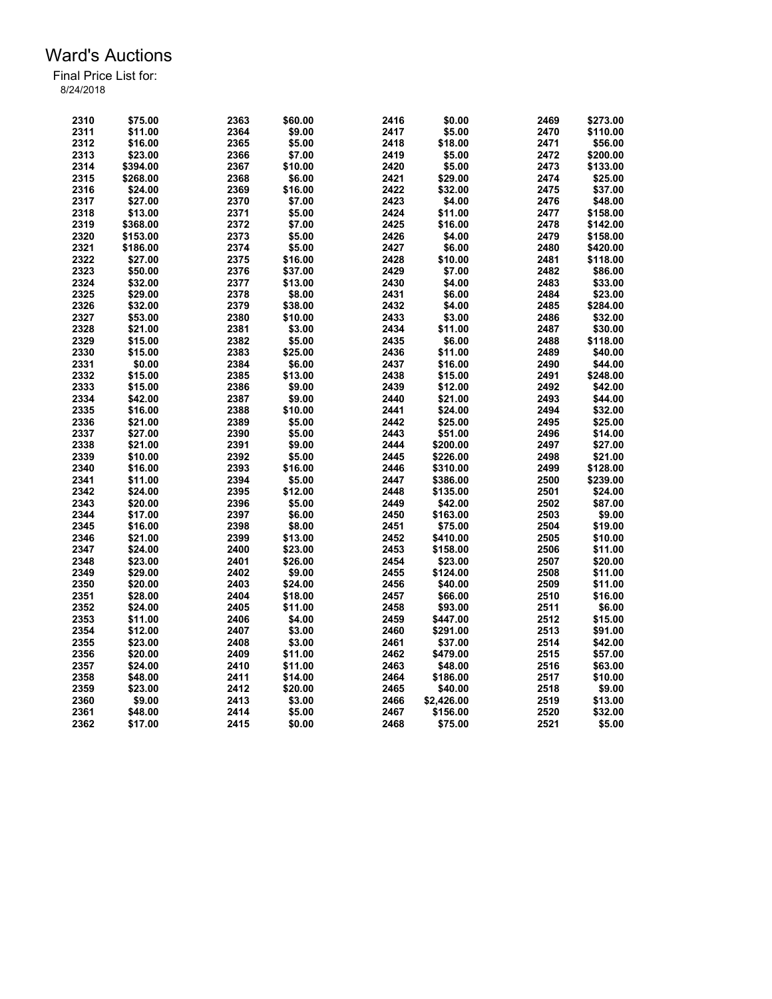| 2310 | \$75.00  | 2363 | \$60.00 | 2416 | \$0.00     | 2469 | \$273.00 |
|------|----------|------|---------|------|------------|------|----------|
| 2311 | \$11.00  | 2364 | \$9.00  | 2417 | \$5.00     | 2470 | \$110.00 |
| 2312 | \$16.00  | 2365 | \$5.00  | 2418 | \$18.00    | 2471 | \$56.00  |
| 2313 | \$23.00  | 2366 | \$7.00  | 2419 | \$5.00     | 2472 | \$200.00 |
| 2314 | \$394.00 | 2367 | \$10.00 | 2420 | \$5.00     | 2473 | \$133.00 |
|      |          |      |         |      |            |      |          |
| 2315 | \$268.00 | 2368 | \$6.00  | 2421 | \$29.00    | 2474 | \$25.00  |
| 2316 | \$24.00  | 2369 | \$16.00 | 2422 | \$32.00    | 2475 | \$37.00  |
| 2317 | \$27.00  | 2370 | \$7.00  | 2423 | \$4.00     | 2476 | \$48.00  |
| 2318 | \$13.00  | 2371 | \$5.00  | 2424 | \$11.00    | 2477 | \$158.00 |
| 2319 | \$368.00 | 2372 | \$7.00  | 2425 | \$16.00    | 2478 | \$142.00 |
| 2320 | \$153.00 | 2373 | \$5.00  | 2426 | \$4.00     | 2479 | \$158.00 |
| 2321 | \$186.00 | 2374 | \$5.00  | 2427 | \$6.00     | 2480 | \$420.00 |
| 2322 | \$27.00  | 2375 | \$16.00 | 2428 | \$10.00    | 2481 | \$118.00 |
| 2323 | \$50.00  | 2376 | \$37.00 | 2429 | \$7.00     | 2482 | \$86.00  |
| 2324 | \$32.00  | 2377 | \$13.00 | 2430 | \$4.00     | 2483 | \$33.00  |
| 2325 | \$29.00  | 2378 | \$8.00  | 2431 | \$6.00     | 2484 | \$23.00  |
| 2326 | \$32.00  | 2379 | \$38.00 | 2432 | \$4.00     | 2485 | \$284.00 |
| 2327 | \$53.00  | 2380 | \$10.00 | 2433 | \$3.00     | 2486 | \$32.00  |
| 2328 | \$21.00  | 2381 | \$3.00  | 2434 | \$11.00    | 2487 | \$30.00  |
| 2329 | \$15.00  | 2382 | \$5.00  | 2435 | \$6.00     | 2488 | \$118.00 |
| 2330 | \$15.00  | 2383 | \$25.00 | 2436 | \$11.00    | 2489 | \$40.00  |
| 2331 | \$0.00   | 2384 | \$6.00  | 2437 | \$16.00    | 2490 | \$44.00  |
| 2332 | \$15.00  | 2385 | \$13.00 | 2438 | \$15.00    | 2491 | \$248.00 |
| 2333 | \$15.00  | 2386 | \$9.00  | 2439 | \$12.00    | 2492 | \$42.00  |
| 2334 | \$42.00  | 2387 | \$9.00  | 2440 | \$21.00    | 2493 | \$44.00  |
| 2335 | \$16.00  | 2388 | \$10.00 | 2441 | \$24.00    | 2494 | \$32.00  |
| 2336 | \$21.00  | 2389 | \$5.00  | 2442 | \$25.00    | 2495 | \$25.00  |
| 2337 | \$27.00  | 2390 | \$5.00  | 2443 | \$51.00    | 2496 | \$14.00  |
|      |          |      |         |      |            |      |          |
| 2338 | \$21.00  | 2391 | \$9.00  | 2444 | \$200.00   | 2497 | \$27.00  |
| 2339 | \$10.00  | 2392 | \$5.00  | 2445 | \$226.00   | 2498 | \$21.00  |
| 2340 | \$16.00  | 2393 | \$16.00 | 2446 | \$310.00   | 2499 | \$128.00 |
| 2341 | \$11.00  | 2394 | \$5.00  | 2447 | \$386.00   | 2500 | \$239.00 |
| 2342 | \$24.00  | 2395 | \$12.00 | 2448 | \$135.00   | 2501 | \$24.00  |
| 2343 | \$20.00  | 2396 | \$5.00  | 2449 | \$42.00    | 2502 | \$87.00  |
| 2344 | \$17.00  | 2397 | \$6.00  | 2450 | \$163.00   | 2503 | \$9.00   |
| 2345 | \$16.00  | 2398 | \$8.00  | 2451 | \$75.00    | 2504 | \$19.00  |
| 2346 | \$21.00  | 2399 | \$13.00 | 2452 | \$410.00   | 2505 | \$10.00  |
| 2347 | \$24.00  | 2400 | \$23.00 | 2453 | \$158.00   | 2506 | \$11.00  |
| 2348 | \$23.00  | 2401 | \$26.00 | 2454 | \$23.00    | 2507 | \$20.00  |
| 2349 | \$29.00  | 2402 | \$9.00  | 2455 | \$124.00   | 2508 | \$11.00  |
| 2350 | \$20.00  | 2403 | \$24.00 | 2456 | \$40.00    | 2509 | \$11.00  |
| 2351 | \$28.00  | 2404 | \$18.00 | 2457 | \$66.00    | 2510 | \$16.00  |
| 2352 | \$24.00  | 2405 | \$11.00 | 2458 | \$93.00    | 2511 | \$6.00   |
| 2353 | \$11.00  | 2406 | \$4.00  | 2459 | \$447.00   | 2512 | \$15.00  |
| 2354 | \$12.00  | 2407 | \$3.00  | 2460 | \$291.00   | 2513 | \$91.00  |
| 2355 | \$23.00  | 2408 | \$3.00  | 2461 | \$37.00    | 2514 | \$42.00  |
| 2356 | \$20.00  | 2409 | \$11.00 | 2462 | \$479.00   | 2515 | \$57.00  |
| 2357 | \$24.00  | 2410 | \$11.00 | 2463 | \$48.00    | 2516 | \$63.00  |
| 2358 | \$48.00  | 2411 | \$14.00 | 2464 | \$186.00   | 2517 | \$10.00  |
| 2359 | \$23.00  | 2412 | \$20.00 | 2465 | \$40.00    | 2518 | \$9.00   |
| 2360 | \$9.00   | 2413 | \$3.00  | 2466 | \$2,426.00 | 2519 | \$13.00  |
|      |          |      |         |      |            |      |          |
| 2361 | \$48.00  | 2414 | \$5.00  | 2467 | \$156.00   | 2520 | \$32.00  |
| 2362 | \$17.00  | 2415 | \$0.00  | 2468 | \$75.00    | 2521 | \$5.00   |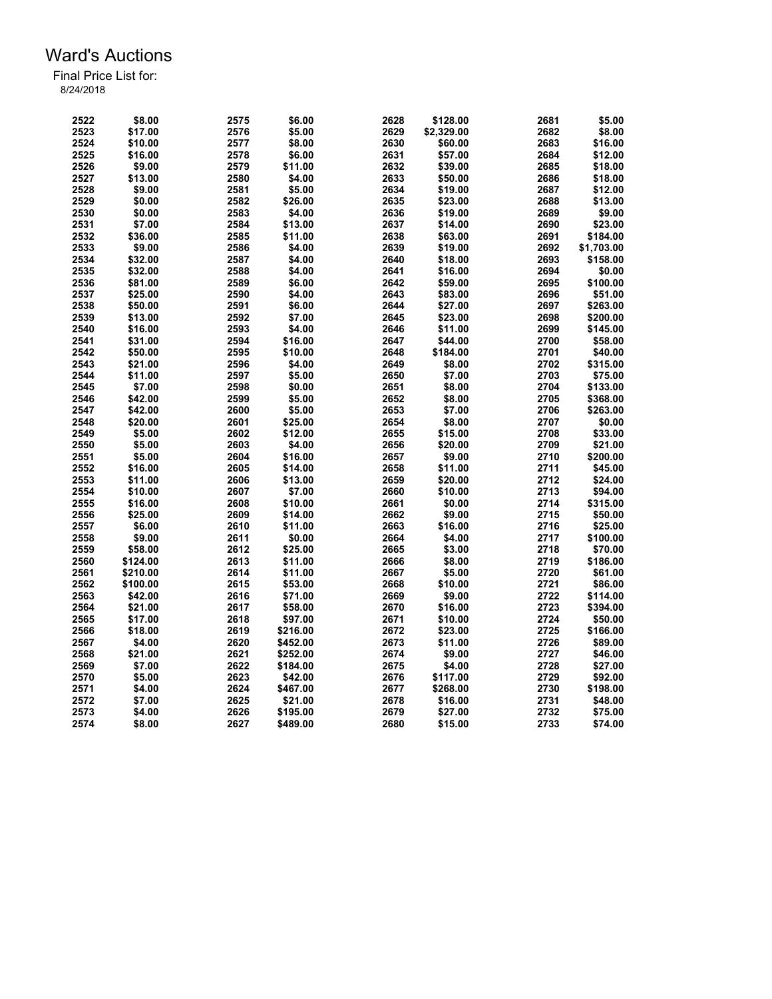| 2522 | \$8.00   | 2575 | \$6.00   | 2628 | \$128.00   | 2681 | \$5.00     |
|------|----------|------|----------|------|------------|------|------------|
| 2523 | \$17.00  | 2576 | \$5.00   | 2629 | \$2,329.00 | 2682 | \$8.00     |
| 2524 | \$10.00  | 2577 | \$8.00   | 2630 | \$60.00    | 2683 | \$16.00    |
| 2525 | \$16.00  | 2578 | \$6.00   | 2631 | \$57.00    | 2684 | \$12.00    |
| 2526 | \$9.00   | 2579 | \$11.00  | 2632 | \$39.00    | 2685 | \$18.00    |
| 2527 | \$13.00  | 2580 | \$4.00   | 2633 | \$50.00    | 2686 | \$18.00    |
| 2528 | \$9.00   | 2581 | \$5.00   | 2634 | \$19.00    | 2687 | \$12.00    |
| 2529 | \$0.00   | 2582 | \$26.00  | 2635 | \$23.00    | 2688 | \$13.00    |
| 2530 | \$0.00   | 2583 | \$4.00   | 2636 | \$19.00    | 2689 | \$9.00     |
| 2531 | \$7.00   | 2584 | \$13.00  | 2637 | \$14.00    | 2690 | \$23.00    |
| 2532 | \$36.00  | 2585 | \$11.00  | 2638 | \$63.00    | 2691 | \$184.00   |
| 2533 | \$9.00   | 2586 | \$4.00   | 2639 | \$19.00    | 2692 | \$1,703.00 |
| 2534 | \$32.00  | 2587 | \$4.00   | 2640 | \$18.00    | 2693 | \$158.00   |
| 2535 | \$32.00  | 2588 | \$4.00   | 2641 | \$16.00    | 2694 | \$0.00     |
| 2536 | \$81.00  | 2589 | \$6.00   | 2642 | \$59.00    | 2695 | \$100.00   |
| 2537 | \$25.00  | 2590 | \$4.00   | 2643 | \$83.00    | 2696 | \$51.00    |
| 2538 | \$50.00  | 2591 | \$6.00   | 2644 | \$27.00    | 2697 | \$263.00   |
| 2539 | \$13.00  | 2592 | \$7.00   | 2645 | \$23.00    | 2698 | \$200.00   |
| 2540 | \$16.00  | 2593 | \$4.00   | 2646 | \$11.00    | 2699 | \$145.00   |
| 2541 | \$31.00  | 2594 | \$16.00  | 2647 | \$44.00    | 2700 | \$58.00    |
| 2542 | \$50.00  | 2595 | \$10.00  | 2648 | \$184.00   | 2701 | \$40.00    |
| 2543 |          |      | \$4.00   | 2649 |            |      | \$315.00   |
|      | \$21.00  | 2596 |          |      | \$8.00     | 2702 |            |
| 2544 | \$11.00  | 2597 | \$5.00   | 2650 | \$7.00     | 2703 | \$75.00    |
| 2545 | \$7.00   | 2598 | \$0.00   | 2651 | \$8.00     | 2704 | \$133.00   |
| 2546 | \$42.00  | 2599 | \$5.00   | 2652 | \$8.00     | 2705 | \$368.00   |
| 2547 | \$42.00  | 2600 | \$5.00   | 2653 | \$7.00     | 2706 | \$263.00   |
| 2548 | \$20.00  | 2601 | \$25.00  | 2654 | \$8.00     | 2707 | \$0.00     |
| 2549 | \$5.00   | 2602 | \$12.00  | 2655 | \$15.00    | 2708 | \$33.00    |
| 2550 | \$5.00   | 2603 | \$4.00   | 2656 | \$20.00    | 2709 | \$21.00    |
| 2551 | \$5.00   | 2604 | \$16.00  | 2657 | \$9.00     | 2710 | \$200.00   |
| 2552 | \$16.00  | 2605 | \$14.00  | 2658 | \$11.00    | 2711 | \$45.00    |
| 2553 | \$11.00  | 2606 | \$13.00  | 2659 | \$20.00    | 2712 | \$24.00    |
| 2554 | \$10.00  | 2607 | \$7.00   | 2660 | \$10.00    | 2713 | \$94.00    |
| 2555 | \$16.00  | 2608 | \$10.00  | 2661 | \$0.00     | 2714 | \$315.00   |
| 2556 | \$25.00  | 2609 | \$14.00  | 2662 | \$9.00     | 2715 | \$50.00    |
| 2557 | \$6.00   | 2610 | \$11.00  | 2663 | \$16.00    | 2716 | \$25.00    |
| 2558 | \$9.00   | 2611 | \$0.00   | 2664 | \$4.00     | 2717 | \$100.00   |
| 2559 | \$58.00  | 2612 | \$25.00  | 2665 | \$3.00     | 2718 | \$70.00    |
| 2560 | \$124.00 | 2613 | \$11.00  | 2666 | \$8.00     | 2719 | \$186.00   |
| 2561 | \$210.00 | 2614 | \$11.00  | 2667 | \$5.00     | 2720 | \$61.00    |
| 2562 | \$100.00 | 2615 | \$53.00  | 2668 | \$10.00    | 2721 | \$86.00    |
| 2563 | \$42.00  | 2616 | \$71.00  | 2669 | \$9.00     | 2722 | \$114.00   |
| 2564 | \$21.00  | 2617 | \$58.00  | 2670 | \$16.00    | 2723 | \$394.00   |
| 2565 | \$17.00  | 2618 | \$97.00  | 2671 | \$10.00    | 2724 | \$50.00    |
| 2566 | \$18.00  | 2619 | \$216.00 | 2672 | \$23.00    | 2725 | \$166.00   |
| 2567 | \$4.00   | 2620 | \$452.00 | 2673 | \$11.00    | 2726 | \$89.00    |
| 2568 | \$21.00  | 2621 | \$252.00 | 2674 | \$9.00     | 2727 | \$46.00    |
| 2569 | \$7.00   | 2622 | \$184.00 | 2675 | \$4.00     | 2728 | \$27.00    |
| 2570 | \$5.00   | 2623 | \$42.00  | 2676 | \$117.00   | 2729 | \$92.00    |
| 2571 | \$4.00   | 2624 | \$467.00 | 2677 | \$268.00   | 2730 | \$198.00   |
| 2572 | \$7.00   | 2625 | \$21.00  | 2678 | \$16.00    | 2731 | \$48.00    |
| 2573 | \$4.00   | 2626 | \$195.00 | 2679 | \$27.00    | 2732 | \$75.00    |
| 2574 | \$8.00   | 2627 | \$489.00 | 2680 | \$15.00    | 2733 | \$74.00    |
|      |          |      |          |      |            |      |            |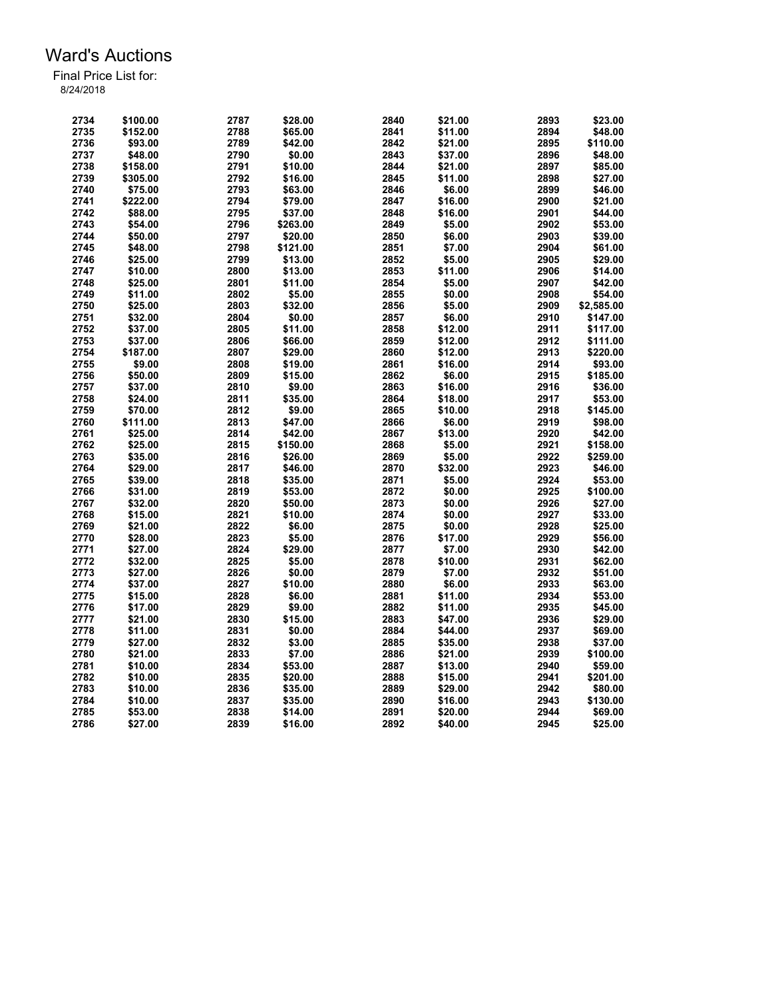| 2734 | \$100.00 | 2787 | \$28.00  | 2840 | \$21.00 | 2893 | \$23.00    |
|------|----------|------|----------|------|---------|------|------------|
| 2735 | \$152.00 | 2788 | \$65.00  | 2841 | \$11.00 | 2894 | \$48.00    |
| 2736 | \$93.00  | 2789 | \$42.00  | 2842 | \$21.00 | 2895 | \$110.00   |
| 2737 | \$48.00  | 2790 | \$0.00   | 2843 | \$37.00 | 2896 | \$48.00    |
| 2738 | \$158.00 | 2791 | \$10.00  | 2844 | \$21.00 | 2897 | \$85.00    |
| 2739 | \$305.00 | 2792 | \$16.00  | 2845 | \$11.00 | 2898 | \$27.00    |
| 2740 | \$75.00  | 2793 | \$63.00  | 2846 | \$6.00  | 2899 | \$46.00    |
| 2741 | \$222.00 | 2794 | \$79.00  | 2847 | \$16.00 | 2900 | \$21.00    |
| 2742 | \$88.00  | 2795 | \$37.00  | 2848 | \$16.00 | 2901 | \$44.00    |
| 2743 | \$54.00  | 2796 | \$263.00 | 2849 | \$5.00  | 2902 | \$53.00    |
| 2744 | \$50.00  | 2797 | \$20.00  | 2850 | \$6.00  | 2903 | \$39.00    |
| 2745 | \$48.00  | 2798 | \$121.00 | 2851 | \$7.00  | 2904 | \$61.00    |
| 2746 | \$25.00  | 2799 | \$13.00  | 2852 | \$5.00  | 2905 | \$29.00    |
| 2747 | \$10.00  | 2800 | \$13.00  | 2853 | \$11.00 | 2906 | \$14.00    |
| 2748 | \$25.00  | 2801 | \$11.00  | 2854 | \$5.00  | 2907 | \$42.00    |
| 2749 | \$11.00  | 2802 | \$5.00   | 2855 | \$0.00  | 2908 | \$54.00    |
| 2750 | \$25.00  | 2803 | \$32.00  | 2856 | \$5.00  | 2909 | \$2,585.00 |
| 2751 | \$32.00  | 2804 | \$0.00   | 2857 | \$6.00  | 2910 | \$147.00   |
| 2752 | \$37.00  | 2805 | \$11.00  | 2858 | \$12.00 | 2911 | \$117.00   |
| 2753 | \$37.00  | 2806 | \$66.00  | 2859 | \$12.00 | 2912 | \$111.00   |
| 2754 | \$187.00 | 2807 | \$29.00  | 2860 | \$12.00 | 2913 | \$220.00   |
| 2755 | \$9.00   | 2808 | \$19.00  | 2861 | \$16.00 | 2914 | \$93.00    |
| 2756 | \$50.00  | 2809 | \$15.00  | 2862 | \$6.00  | 2915 | \$185.00   |
| 2757 | \$37.00  | 2810 | \$9.00   | 2863 | \$16.00 | 2916 | \$36.00    |
| 2758 | \$24.00  | 2811 | \$35.00  | 2864 | \$18.00 | 2917 | \$53.00    |
| 2759 | \$70.00  | 2812 | \$9.00   | 2865 | \$10.00 | 2918 | \$145.00   |
| 2760 | \$111.00 | 2813 | \$47.00  | 2866 | \$6.00  | 2919 | \$98.00    |
| 2761 | \$25.00  | 2814 | \$42.00  | 2867 | \$13.00 | 2920 | \$42.00    |
| 2762 | \$25.00  | 2815 | \$150.00 | 2868 | \$5.00  | 2921 | \$158.00   |
| 2763 | \$35.00  | 2816 | \$26.00  | 2869 | \$5.00  | 2922 | \$259.00   |
| 2764 | \$29.00  | 2817 | \$46.00  | 2870 | \$32.00 | 2923 | \$46.00    |
| 2765 | \$39.00  | 2818 | \$35.00  | 2871 | \$5.00  | 2924 | \$53.00    |
| 2766 | \$31.00  | 2819 | \$53.00  | 2872 | \$0.00  | 2925 | \$100.00   |
| 2767 | \$32.00  | 2820 | \$50.00  | 2873 | \$0.00  | 2926 | \$27.00    |
| 2768 | \$15.00  | 2821 | \$10.00  | 2874 | \$0.00  | 2927 | \$33.00    |
| 2769 | \$21.00  | 2822 | \$6.00   | 2875 | \$0.00  | 2928 | \$25.00    |
| 2770 | \$28.00  | 2823 | \$5.00   | 2876 | \$17.00 | 2929 | \$56.00    |
| 2771 | \$27.00  | 2824 | \$29.00  | 2877 | \$7.00  | 2930 | \$42.00    |
| 2772 | \$32.00  | 2825 | \$5.00   | 2878 | \$10.00 | 2931 | \$62.00    |
| 2773 | \$27.00  | 2826 | \$0.00   | 2879 | \$7.00  | 2932 | \$51.00    |
| 2774 | \$37.00  | 2827 | \$10.00  | 2880 | \$6.00  | 2933 | \$63.00    |
| 2775 | \$15.00  | 2828 | \$6.00   | 2881 | \$11.00 | 2934 | \$53.00    |
| 2776 | \$17.00  | 2829 | \$9.00   | 2882 | \$11.00 | 2935 | \$45.00    |
| 2777 | \$21.00  | 2830 | \$15.00  | 2883 | \$47.00 | 2936 | \$29.00    |
| 2778 | \$11.00  | 2831 | \$0.00   | 2884 | \$44.00 | 2937 | \$69.00    |
| 2779 | \$27.00  | 2832 | \$3.00   | 2885 | \$35.00 | 2938 | \$37.00    |
| 2780 | \$21.00  | 2833 | \$7.00   | 2886 | \$21.00 | 2939 | \$100.00   |
| 2781 | \$10.00  | 2834 | \$53.00  | 2887 | \$13.00 | 2940 | \$59.00    |
| 2782 | \$10.00  | 2835 | \$20.00  | 2888 | \$15.00 | 2941 | \$201.00   |
| 2783 | \$10.00  | 2836 | \$35.00  | 2889 | \$29.00 | 2942 | \$80.00    |
| 2784 | \$10.00  | 2837 | \$35.00  | 2890 | \$16.00 | 2943 | \$130.00   |
| 2785 | \$53.00  | 2838 | \$14.00  | 2891 | \$20.00 | 2944 | \$69.00    |
| 2786 | \$27.00  | 2839 | \$16.00  | 2892 | \$40.00 | 2945 | \$25.00    |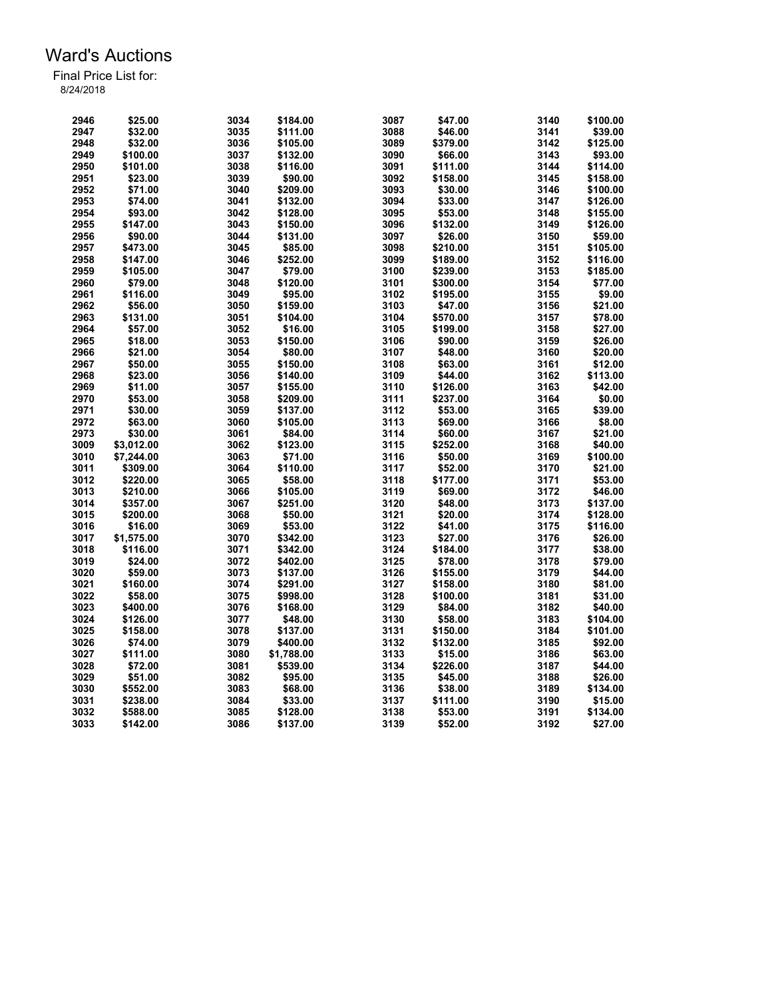| 2946 | \$25.00    | 3034 | \$184.00   | 3087 | \$47.00  | 3140 | \$100.00 |
|------|------------|------|------------|------|----------|------|----------|
| 2947 | \$32.00    | 3035 | \$111.00   | 3088 | \$46.00  | 3141 | \$39.00  |
| 2948 | \$32.00    | 3036 | \$105.00   | 3089 | \$379.00 | 3142 | \$125.00 |
| 2949 | \$100.00   | 3037 | \$132.00   | 3090 | \$66.00  | 3143 | \$93.00  |
| 2950 | \$101.00   | 3038 | \$116.00   | 3091 | \$111.00 | 3144 | \$114.00 |
| 2951 | \$23.00    | 3039 | \$90.00    | 3092 | \$158.00 | 3145 | \$158.00 |
| 2952 | \$71.00    | 3040 | \$209.00   | 3093 | \$30.00  | 3146 | \$100.00 |
| 2953 | \$74.00    | 3041 | \$132.00   | 3094 | \$33.00  | 3147 | \$126.00 |
| 2954 | \$93.00    | 3042 | \$128.00   | 3095 | \$53.00  | 3148 | \$155.00 |
| 2955 | \$147.00   | 3043 | \$150.00   | 3096 | \$132.00 | 3149 | \$126.00 |
| 2956 | \$90.00    | 3044 | \$131.00   | 3097 | \$26.00  | 3150 | \$59.00  |
| 2957 | \$473.00   | 3045 | \$85.00    | 3098 | \$210.00 | 3151 | \$105.00 |
| 2958 | \$147.00   | 3046 | \$252.00   | 3099 | \$189.00 | 3152 | \$116.00 |
| 2959 | \$105.00   | 3047 | \$79.00    | 3100 | \$239.00 | 3153 | \$185.00 |
| 2960 | \$79.00    | 3048 | \$120.00   | 3101 | \$300.00 | 3154 | \$77.00  |
| 2961 | \$116.00   | 3049 | \$95.00    | 3102 | \$195.00 | 3155 | \$9.00   |
| 2962 | \$56.00    | 3050 | \$159.00   | 3103 | \$47.00  | 3156 | \$21.00  |
| 2963 | \$131.00   | 3051 | \$104.00   | 3104 | \$570.00 | 3157 | \$78.00  |
| 2964 | \$57.00    | 3052 | \$16.00    | 3105 | \$199.00 | 3158 | \$27.00  |
| 2965 | \$18.00    | 3053 | \$150.00   | 3106 | \$90.00  | 3159 | \$26.00  |
| 2966 |            | 3054 | \$80.00    | 3107 | \$48.00  | 3160 | \$20.00  |
| 2967 | \$21.00    |      |            | 3108 | \$63.00  | 3161 | \$12.00  |
|      | \$50.00    | 3055 | \$150.00   |      |          |      |          |
| 2968 | \$23.00    | 3056 | \$140.00   | 3109 | \$44.00  | 3162 | \$113.00 |
| 2969 | \$11.00    | 3057 | \$155.00   | 3110 | \$126.00 | 3163 | \$42.00  |
| 2970 | \$53.00    | 3058 | \$209.00   | 3111 | \$237.00 | 3164 | \$0.00   |
| 2971 | \$30.00    | 3059 | \$137.00   | 3112 | \$53.00  | 3165 | \$39.00  |
| 2972 | \$63.00    | 3060 | \$105.00   | 3113 | \$69.00  | 3166 | \$8.00   |
| 2973 | \$30.00    | 3061 | \$84.00    | 3114 | \$60.00  | 3167 | \$21.00  |
| 3009 | \$3,012.00 | 3062 | \$123.00   | 3115 | \$252.00 | 3168 | \$40.00  |
| 3010 | \$7,244.00 | 3063 | \$71.00    | 3116 | \$50.00  | 3169 | \$100.00 |
| 3011 | \$309.00   | 3064 | \$110.00   | 3117 | \$52.00  | 3170 | \$21.00  |
| 3012 | \$220.00   | 3065 | \$58.00    | 3118 | \$177.00 | 3171 | \$53.00  |
| 3013 | \$210.00   | 3066 | \$105.00   | 3119 | \$69.00  | 3172 | \$46.00  |
| 3014 | \$357.00   | 3067 | \$251.00   | 3120 | \$48.00  | 3173 | \$137.00 |
| 3015 | \$200.00   | 3068 | \$50.00    | 3121 | \$20.00  | 3174 | \$128.00 |
| 3016 | \$16.00    | 3069 | \$53.00    | 3122 | \$41.00  | 3175 | \$116.00 |
| 3017 | \$1,575.00 | 3070 | \$342.00   | 3123 | \$27.00  | 3176 | \$26.00  |
| 3018 | \$116.00   | 3071 | \$342.00   | 3124 | \$184.00 | 3177 | \$38.00  |
| 3019 | \$24.00    | 3072 | \$402.00   | 3125 | \$78.00  | 3178 | \$79.00  |
| 3020 | \$59.00    | 3073 | \$137.00   | 3126 | \$155.00 | 3179 | \$44.00  |
| 3021 | \$160.00   | 3074 | \$291.00   | 3127 | \$158.00 | 3180 | \$81.00  |
| 3022 | \$58.00    | 3075 | \$998.00   | 3128 | \$100.00 | 3181 | \$31.00  |
| 3023 | \$400.00   | 3076 | \$168.00   | 3129 | \$84.00  | 3182 | \$40.00  |
| 3024 | \$126.00   | 3077 | \$48.00    | 3130 | \$58.00  | 3183 | \$104.00 |
| 3025 | \$158.00   | 3078 | \$137.00   | 3131 | \$150.00 | 3184 | \$101.00 |
|      |            |      |            |      |          |      |          |
| 3026 | \$74.00    | 3079 | \$400.00   | 3132 | \$132.00 | 3185 | \$92.00  |
| 3027 | \$111.00   | 3080 | \$1,788.00 | 3133 | \$15.00  | 3186 | \$63.00  |
| 3028 | \$72.00    | 3081 | \$539.00   | 3134 | \$226.00 | 3187 | \$44.00  |
| 3029 | \$51.00    | 3082 | \$95.00    | 3135 | \$45.00  | 3188 | \$26.00  |
| 3030 | \$552.00   | 3083 | \$68.00    | 3136 | \$38.00  | 3189 | \$134.00 |
| 3031 | \$238.00   | 3084 | \$33.00    | 3137 | \$111.00 | 3190 | \$15.00  |
| 3032 | \$588.00   | 3085 | \$128.00   | 3138 | \$53.00  | 3191 | \$134.00 |
| 3033 | \$142.00   | 3086 | \$137.00   | 3139 | \$52.00  | 3192 | \$27.00  |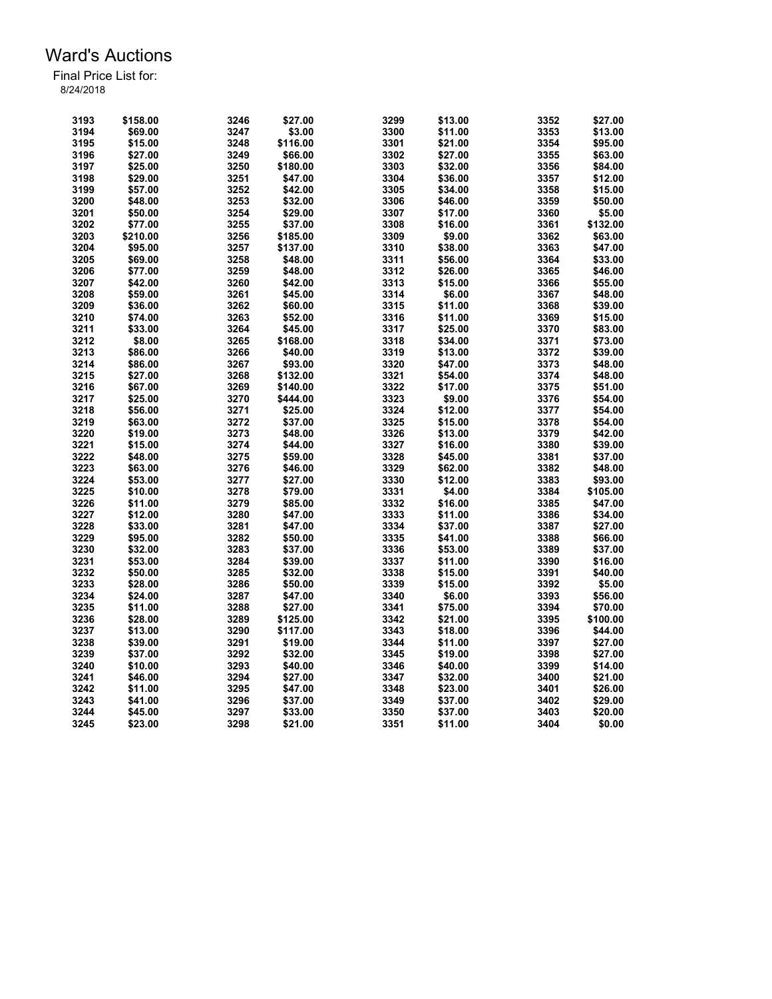| 3193 | \$158.00 | 3246 | \$27.00  | 3299 | \$13.00 | 3352 | \$27.00  |
|------|----------|------|----------|------|---------|------|----------|
| 3194 | \$69.00  | 3247 | \$3.00   | 3300 | \$11.00 | 3353 | \$13.00  |
| 3195 | \$15.00  | 3248 | \$116.00 | 3301 | \$21.00 | 3354 | \$95.00  |
| 3196 | \$27.00  | 3249 | \$66.00  | 3302 | \$27.00 | 3355 | \$63.00  |
| 3197 | \$25.00  | 3250 | \$180.00 | 3303 | \$32.00 | 3356 | \$84.00  |
| 3198 | \$29.00  | 3251 | \$47.00  | 3304 | \$36.00 | 3357 | \$12.00  |
| 3199 | \$57.00  | 3252 | \$42.00  | 3305 | \$34.00 | 3358 | \$15.00  |
| 3200 | \$48.00  | 3253 | \$32.00  | 3306 | \$46.00 | 3359 | \$50.00  |
| 3201 | \$50.00  | 3254 | \$29.00  | 3307 | \$17.00 | 3360 | \$5.00   |
| 3202 | \$77.00  | 3255 | \$37.00  | 3308 | \$16.00 | 3361 | \$132.00 |
| 3203 | \$210.00 | 3256 | \$185.00 | 3309 | \$9.00  | 3362 | \$63.00  |
| 3204 | \$95.00  | 3257 | \$137.00 | 3310 | \$38.00 | 3363 | \$47.00  |
| 3205 | \$69.00  | 3258 | \$48.00  | 3311 | \$56.00 | 3364 | \$33.00  |
| 3206 | \$77.00  | 3259 | \$48.00  | 3312 | \$26.00 | 3365 | \$46.00  |
| 3207 | \$42.00  | 3260 | \$42.00  | 3313 | \$15.00 | 3366 | \$55.00  |
| 3208 | \$59.00  | 3261 | \$45.00  | 3314 | \$6.00  | 3367 | \$48.00  |
| 3209 | \$36.00  | 3262 | \$60.00  | 3315 | \$11.00 | 3368 | \$39.00  |
| 3210 | \$74.00  | 3263 | \$52.00  | 3316 | \$11.00 | 3369 | \$15.00  |
| 3211 | \$33.00  | 3264 | \$45.00  | 3317 |         | 3370 | \$83.00  |
|      |          |      |          | 3318 | \$25.00 | 3371 | \$73.00  |
| 3212 | \$8.00   | 3265 | \$168.00 |      | \$34.00 |      |          |
| 3213 | \$86.00  | 3266 | \$40.00  | 3319 | \$13.00 | 3372 | \$39.00  |
| 3214 | \$86.00  | 3267 | \$93.00  | 3320 | \$47.00 | 3373 | \$48.00  |
| 3215 | \$27.00  | 3268 | \$132.00 | 3321 | \$54.00 | 3374 | \$48.00  |
| 3216 | \$67.00  | 3269 | \$140.00 | 3322 | \$17.00 | 3375 | \$51.00  |
| 3217 | \$25.00  | 3270 | \$444.00 | 3323 | \$9.00  | 3376 | \$54.00  |
| 3218 | \$56.00  | 3271 | \$25.00  | 3324 | \$12.00 | 3377 | \$54.00  |
| 3219 | \$63.00  | 3272 | \$37.00  | 3325 | \$15.00 | 3378 | \$54.00  |
| 3220 | \$19.00  | 3273 | \$48.00  | 3326 | \$13.00 | 3379 | \$42.00  |
| 3221 | \$15.00  | 3274 | \$44.00  | 3327 | \$16.00 | 3380 | \$39.00  |
| 3222 | \$48.00  | 3275 | \$59.00  | 3328 | \$45.00 | 3381 | \$37.00  |
| 3223 | \$63.00  | 3276 | \$46.00  | 3329 | \$62.00 | 3382 | \$48.00  |
| 3224 | \$53.00  | 3277 | \$27.00  | 3330 | \$12.00 | 3383 | \$93.00  |
| 3225 | \$10.00  | 3278 | \$79.00  | 3331 | \$4.00  | 3384 | \$105.00 |
| 3226 | \$11.00  | 3279 | \$85.00  | 3332 | \$16.00 | 3385 | \$47.00  |
| 3227 | \$12.00  | 3280 | \$47.00  | 3333 | \$11.00 | 3386 | \$34.00  |
| 3228 | \$33.00  | 3281 | \$47.00  | 3334 | \$37.00 | 3387 | \$27.00  |
| 3229 | \$95.00  | 3282 | \$50.00  | 3335 | \$41.00 | 3388 | \$66.00  |
| 3230 | \$32.00  | 3283 | \$37.00  | 3336 | \$53.00 | 3389 | \$37.00  |
| 3231 | \$53.00  | 3284 | \$39.00  | 3337 | \$11.00 | 3390 | \$16.00  |
| 3232 | \$50.00  | 3285 | \$32.00  | 3338 | \$15.00 | 3391 | \$40.00  |
| 3233 | \$28.00  | 3286 | \$50.00  | 3339 | \$15.00 | 3392 | \$5.00   |
| 3234 | \$24.00  | 3287 | \$47.00  | 3340 | \$6.00  | 3393 | \$56.00  |
| 3235 | \$11.00  | 3288 | \$27.00  | 3341 | \$75.00 | 3394 | \$70.00  |
| 3236 | \$28.00  | 3289 | \$125.00 | 3342 | \$21.00 | 3395 | \$100.00 |
| 3237 | \$13.00  | 3290 | \$117.00 | 3343 | \$18.00 | 3396 | \$44.00  |
| 3238 | \$39.00  | 3291 | \$19.00  | 3344 | \$11.00 | 3397 | \$27.00  |
| 3239 | \$37.00  | 3292 | \$32.00  | 3345 | \$19.00 | 3398 | \$27.00  |
| 3240 | \$10.00  | 3293 | \$40.00  | 3346 | \$40.00 | 3399 | \$14.00  |
| 3241 | \$46.00  | 3294 | \$27.00  | 3347 | \$32.00 | 3400 | \$21.00  |
| 3242 | \$11.00  | 3295 | \$47.00  | 3348 | \$23.00 | 3401 | \$26.00  |
| 3243 | \$41.00  | 3296 | \$37.00  | 3349 | \$37.00 | 3402 | \$29.00  |
| 3244 | \$45.00  | 3297 | \$33.00  | 3350 | \$37.00 | 3403 | \$20.00  |
|      |          |      |          |      |         |      |          |
| 3245 | \$23.00  | 3298 | \$21.00  | 3351 | \$11.00 | 3404 | \$0.00   |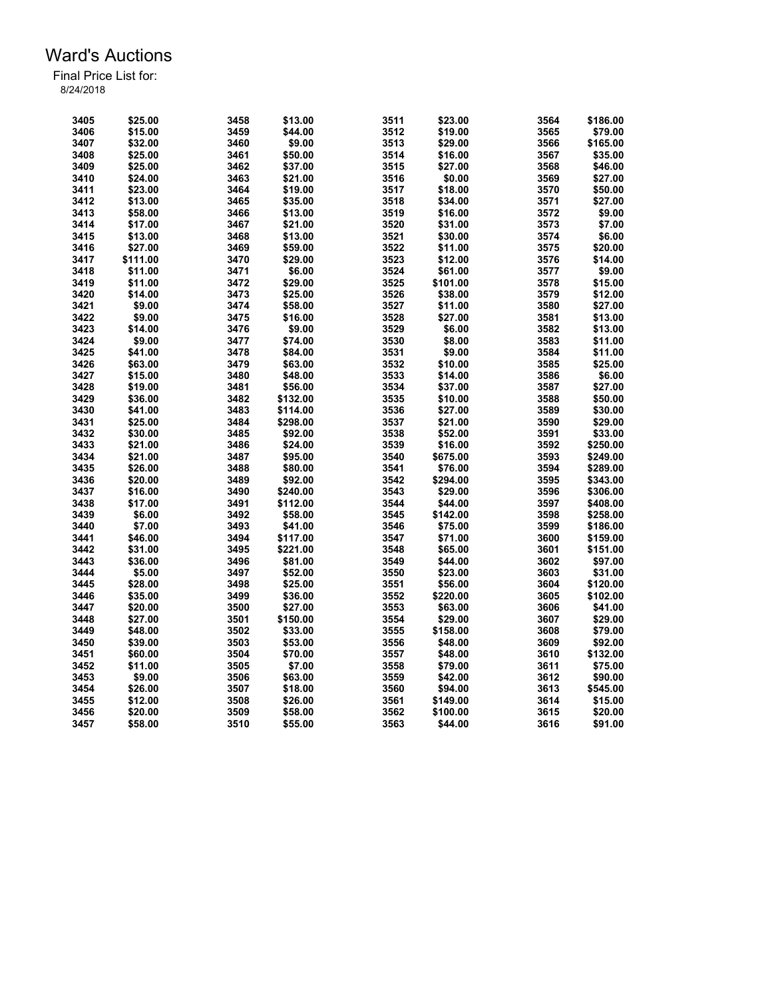| 3405 | \$25.00  | 3458 | \$13.00  | 3511 | \$23.00  | 3564         | \$186.00 |
|------|----------|------|----------|------|----------|--------------|----------|
| 3406 | \$15.00  | 3459 | \$44.00  | 3512 | \$19.00  | 3565         | \$79.00  |
| 3407 | \$32.00  | 3460 | \$9.00   | 3513 | \$29.00  | 3566         | \$165.00 |
| 3408 | \$25.00  | 3461 | \$50.00  | 3514 | \$16.00  | 3567         | \$35.00  |
| 3409 | \$25.00  | 3462 | \$37.00  | 3515 | \$27.00  | 3568         | \$46.00  |
| 3410 | \$24.00  | 3463 | \$21.00  | 3516 | \$0.00   | 3569         | \$27.00  |
| 3411 | \$23.00  | 3464 | \$19.00  | 3517 | \$18.00  | 3570         | \$50.00  |
| 3412 | \$13.00  | 3465 | \$35.00  | 3518 | \$34.00  | 3571         | \$27.00  |
| 3413 | \$58.00  | 3466 | \$13.00  | 3519 | \$16.00  | 3572         | \$9.00   |
| 3414 | \$17.00  | 3467 | \$21.00  | 3520 | \$31.00  | 3573         | \$7.00   |
| 3415 | \$13.00  | 3468 | \$13.00  | 3521 | \$30.00  | 3574         | \$6.00   |
| 3416 | \$27.00  | 3469 | \$59.00  | 3522 | \$11.00  | 3575         | \$20.00  |
| 3417 | \$111.00 | 3470 | \$29.00  | 3523 | \$12.00  | 3576         | \$14.00  |
| 3418 | \$11.00  | 3471 | \$6.00   | 3524 | \$61.00  | 3577         | \$9.00   |
| 3419 | \$11.00  | 3472 | \$29.00  | 3525 | \$101.00 | 3578         | \$15.00  |
|      | \$14.00  |      |          |      |          |              |          |
| 3420 |          | 3473 | \$25.00  | 3526 | \$38.00  | 3579         | \$12.00  |
| 3421 | \$9.00   | 3474 | \$58.00  | 3527 | \$11.00  | 3580         | \$27.00  |
| 3422 | \$9.00   | 3475 | \$16.00  | 3528 | \$27.00  | 3581         | \$13.00  |
| 3423 | \$14.00  | 3476 | \$9.00   | 3529 | \$6.00   | 3582         | \$13.00  |
| 3424 | \$9.00   | 3477 | \$74.00  | 3530 | \$8.00   | 3583         | \$11.00  |
| 3425 | \$41.00  | 3478 | \$84.00  | 3531 | \$9.00   | 3584         | \$11.00  |
| 3426 | \$63.00  | 3479 | \$63.00  | 3532 | \$10.00  | 3585         | \$25.00  |
| 3427 | \$15.00  | 3480 | \$48.00  | 3533 | \$14.00  | 3586         | \$6.00   |
| 3428 | \$19.00  | 3481 | \$56.00  | 3534 | \$37.00  | 3587         | \$27.00  |
| 3429 | \$36.00  | 3482 | \$132.00 | 3535 | \$10.00  | 3588         | \$50.00  |
| 3430 | \$41.00  | 3483 | \$114.00 | 3536 | \$27.00  | 3589         | \$30.00  |
| 3431 | \$25.00  | 3484 | \$298.00 | 3537 | \$21.00  | 3590         | \$29.00  |
| 3432 | \$30.00  | 3485 | \$92.00  | 3538 | \$52.00  | 3591         | \$33.00  |
| 3433 | \$21.00  | 3486 | \$24.00  | 3539 | \$16.00  | 3592         | \$250.00 |
| 3434 | \$21.00  | 3487 | \$95.00  | 3540 | \$675.00 | 3593         | \$249.00 |
| 3435 | \$26.00  | 3488 | \$80.00  | 3541 | \$76.00  | 3594         | \$289.00 |
| 3436 | \$20.00  | 3489 | \$92.00  | 3542 | \$294.00 | 3595         | \$343.00 |
| 3437 | \$16.00  | 3490 | \$240.00 | 3543 | \$29.00  | 3596         | \$306.00 |
| 3438 | \$17.00  | 3491 | \$112.00 | 3544 | \$44.00  | 3597         | \$408.00 |
| 3439 | \$6.00   | 3492 | \$58.00  | 3545 | \$142.00 | 3598         | \$258.00 |
| 3440 | \$7.00   | 3493 | \$41.00  | 3546 | \$75.00  | 3599         | \$186.00 |
| 3441 | \$46.00  | 3494 | \$117.00 | 3547 | \$71.00  | 3600         | \$159.00 |
|      |          |      |          |      |          |              |          |
| 3442 | \$31.00  | 3495 | \$221.00 | 3548 | \$65.00  | 3601<br>3602 | \$151.00 |
| 3443 | \$36.00  | 3496 | \$81.00  | 3549 | \$44.00  |              | \$97.00  |
| 3444 | \$5.00   | 3497 | \$52.00  | 3550 | \$23.00  | 3603         | \$31.00  |
| 3445 | \$28.00  | 3498 | \$25.00  | 3551 | \$56.00  | 3604         | \$120.00 |
| 3446 | \$35.00  | 3499 | \$36.00  | 3552 | \$220.00 | 3605         | \$102.00 |
| 3447 | \$20.00  | 3500 | \$27.00  | 3553 | \$63.00  | 3606         | \$41.00  |
| 3448 | \$27.00  | 3501 | \$150.00 | 3554 | \$29.00  | 3607         | \$29.00  |
| 3449 | \$48.00  | 3502 | \$33.00  | 3555 | \$158.00 | 3608         | \$79.00  |
| 3450 | \$39.00  | 3503 | \$53.00  | 3556 | \$48.00  | 3609         | \$92.00  |
| 3451 | \$60.00  | 3504 | \$70.00  | 3557 | \$48.00  | 3610         | \$132.00 |
| 3452 | \$11.00  | 3505 | \$7.00   | 3558 | \$79.00  | 3611         | \$75.00  |
| 3453 | \$9.00   | 3506 | \$63.00  | 3559 | \$42.00  | 3612         | \$90.00  |
| 3454 | \$26.00  | 3507 | \$18.00  | 3560 | \$94.00  | 3613         | \$545.00 |
| 3455 | \$12.00  | 3508 | \$26.00  | 3561 | \$149.00 | 3614         | \$15.00  |
| 3456 | \$20.00  | 3509 | \$58.00  | 3562 | \$100.00 | 3615         | \$20.00  |
| 3457 | \$58.00  | 3510 | \$55.00  | 3563 | \$44.00  | 3616         | \$91.00  |
|      |          |      |          |      |          |              |          |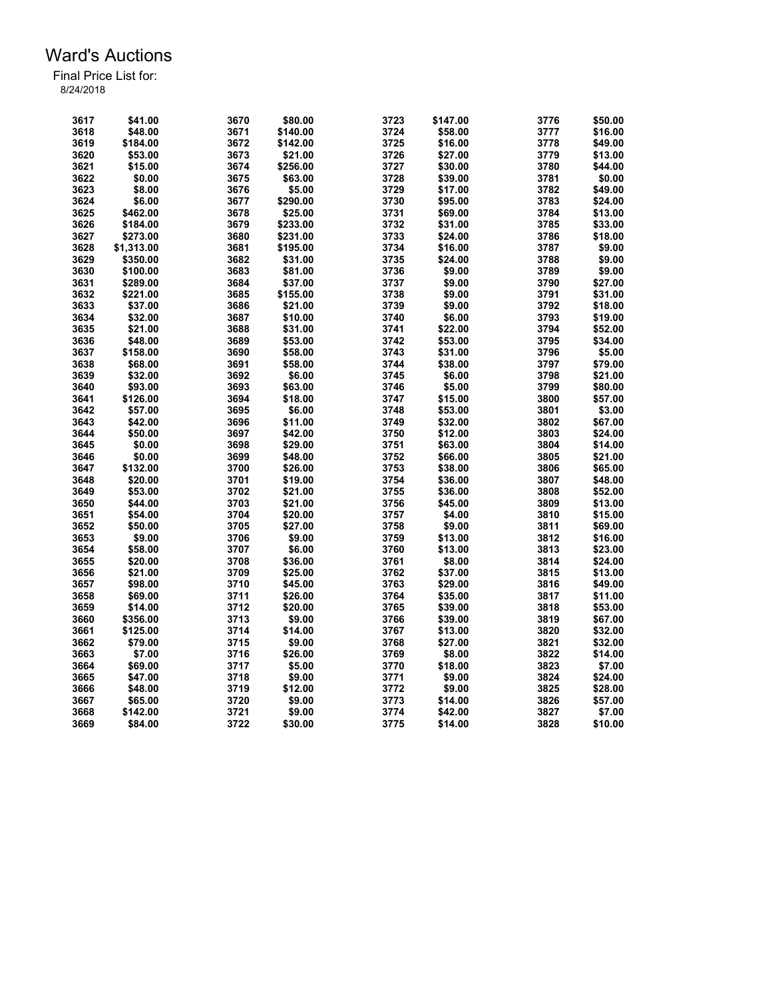| 3617 | \$41.00    | 3670 | \$80.00  | 3723 | \$147.00 | 3776 | \$50.00 |
|------|------------|------|----------|------|----------|------|---------|
| 3618 | \$48.00    | 3671 | \$140.00 | 3724 | \$58.00  | 3777 | \$16.00 |
| 3619 | \$184.00   | 3672 | \$142.00 | 3725 | \$16.00  | 3778 | \$49.00 |
| 3620 | \$53.00    | 3673 | \$21.00  | 3726 | \$27.00  | 3779 | \$13.00 |
| 3621 | \$15.00    | 3674 | \$256.00 | 3727 | \$30.00  | 3780 | \$44.00 |
| 3622 | \$0.00     | 3675 | \$63.00  | 3728 | \$39.00  | 3781 | \$0.00  |
| 3623 | \$8.00     | 3676 | \$5.00   | 3729 | \$17.00  | 3782 | \$49.00 |
| 3624 | \$6.00     | 3677 | \$290.00 | 3730 | \$95.00  | 3783 | \$24.00 |
| 3625 | \$462.00   | 3678 | \$25.00  | 3731 | \$69.00  | 3784 | \$13.00 |
| 3626 | \$184.00   | 3679 | \$233.00 | 3732 | \$31.00  | 3785 | \$33.00 |
| 3627 | \$273.00   | 3680 | \$231.00 | 3733 | \$24.00  | 3786 | \$18.00 |
| 3628 | \$1,313.00 | 3681 | \$195.00 | 3734 | \$16.00  | 3787 | \$9.00  |
| 3629 | \$350.00   | 3682 | \$31.00  | 3735 | \$24.00  | 3788 | \$9.00  |
| 3630 | \$100.00   | 3683 | \$81.00  | 3736 | \$9.00   | 3789 | \$9.00  |
| 3631 | \$289.00   | 3684 | \$37.00  | 3737 | \$9.00   | 3790 | \$27.00 |
| 3632 | \$221.00   | 3685 | \$155.00 | 3738 | \$9.00   | 3791 | \$31.00 |
| 3633 | \$37.00    | 3686 | \$21.00  | 3739 | \$9.00   | 3792 | \$18.00 |
| 3634 | \$32.00    | 3687 | \$10.00  | 3740 | \$6.00   | 3793 | \$19.00 |
| 3635 | \$21.00    | 3688 | \$31.00  | 3741 | \$22.00  | 3794 | \$52.00 |
| 3636 | \$48.00    | 3689 | \$53.00  | 3742 | \$53.00  | 3795 | \$34.00 |
| 3637 | \$158.00   | 3690 | \$58.00  | 3743 |          | 3796 |         |
|      |            |      |          |      | \$31.00  |      | \$5.00  |
| 3638 | \$68.00    | 3691 | \$58.00  | 3744 | \$38.00  | 3797 | \$79.00 |
| 3639 | \$32.00    | 3692 | \$6.00   | 3745 | \$6.00   | 3798 | \$21.00 |
| 3640 | \$93.00    | 3693 | \$63.00  | 3746 | \$5.00   | 3799 | \$80.00 |
| 3641 | \$126.00   | 3694 | \$18.00  | 3747 | \$15.00  | 3800 | \$57.00 |
| 3642 | \$57.00    | 3695 | \$6.00   | 3748 | \$53.00  | 3801 | \$3.00  |
| 3643 | \$42.00    | 3696 | \$11.00  | 3749 | \$32.00  | 3802 | \$67.00 |
| 3644 | \$50.00    | 3697 | \$42.00  | 3750 | \$12.00  | 3803 | \$24.00 |
| 3645 | \$0.00     | 3698 | \$29.00  | 3751 | \$63.00  | 3804 | \$14.00 |
| 3646 | \$0.00     | 3699 | \$48.00  | 3752 | \$66.00  | 3805 | \$21.00 |
| 3647 | \$132.00   | 3700 | \$26.00  | 3753 | \$38.00  | 3806 | \$65.00 |
| 3648 | \$20.00    | 3701 | \$19.00  | 3754 | \$36.00  | 3807 | \$48.00 |
| 3649 | \$53.00    | 3702 | \$21.00  | 3755 | \$36.00  | 3808 | \$52.00 |
| 3650 | \$44.00    | 3703 | \$21.00  | 3756 | \$45.00  | 3809 | \$13.00 |
| 3651 | \$54.00    | 3704 | \$20.00  | 3757 | \$4.00   | 3810 | \$15.00 |
| 3652 | \$50.00    | 3705 | \$27.00  | 3758 | \$9.00   | 3811 | \$69.00 |
| 3653 | \$9.00     | 3706 | \$9.00   | 3759 | \$13.00  | 3812 | \$16.00 |
| 3654 | \$58.00    | 3707 | \$6.00   | 3760 | \$13.00  | 3813 | \$23.00 |
| 3655 | \$20.00    | 3708 | \$36.00  | 3761 | \$8.00   | 3814 | \$24.00 |
| 3656 | \$21.00    | 3709 | \$25.00  | 3762 | \$37.00  | 3815 | \$13.00 |
| 3657 | \$98.00    | 3710 | \$45.00  | 3763 | \$29.00  | 3816 | \$49.00 |
| 3658 | \$69.00    | 3711 | \$26.00  | 3764 | \$35.00  | 3817 | \$11.00 |
| 3659 | \$14.00    | 3712 | \$20.00  | 3765 | \$39.00  | 3818 | \$53.00 |
| 3660 | \$356.00   | 3713 | \$9.00   | 3766 | \$39.00  | 3819 | \$67.00 |
| 3661 | \$125.00   | 3714 | \$14.00  | 3767 | \$13.00  | 3820 | \$32.00 |
| 3662 | \$79.00    | 3715 | \$9.00   | 3768 | \$27.00  | 3821 | \$32.00 |
| 3663 | \$7.00     | 3716 | \$26.00  | 3769 | \$8.00   | 3822 | \$14.00 |
| 3664 | \$69.00    | 3717 | \$5.00   | 3770 | \$18.00  | 3823 | \$7.00  |
| 3665 | \$47.00    | 3718 | \$9.00   | 3771 | \$9.00   | 3824 | \$24.00 |
| 3666 | \$48.00    | 3719 | \$12.00  | 3772 | \$9.00   | 3825 | \$28.00 |
| 3667 | \$65.00    | 3720 | \$9.00   | 3773 | \$14.00  | 3826 | \$57.00 |
| 3668 | \$142.00   | 3721 | \$9.00   | 3774 | \$42.00  | 3827 | \$7.00  |
| 3669 | \$84.00    | 3722 | \$30.00  | 3775 | \$14.00  | 3828 | \$10.00 |
|      |            |      |          |      |          |      |         |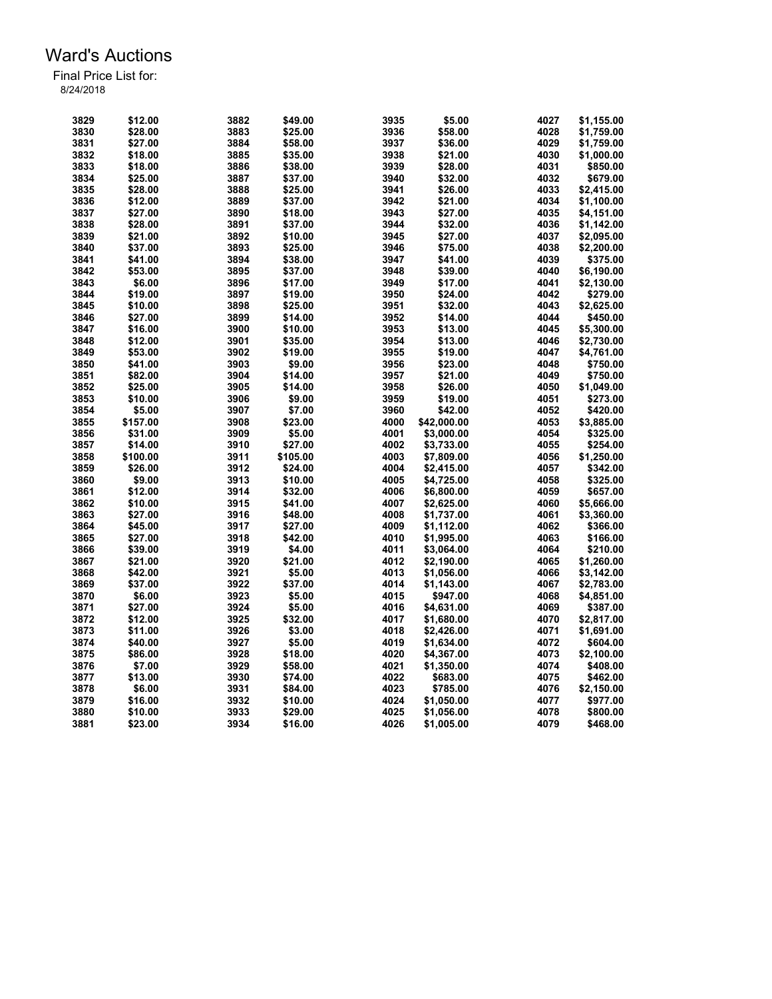| 3829 | \$12.00  | 3882 | \$49.00  | 3935 | \$5.00      | 4027 | \$1,155.00 |
|------|----------|------|----------|------|-------------|------|------------|
| 3830 | \$28.00  | 3883 | \$25.00  | 3936 | \$58.00     | 4028 | \$1,759.00 |
|      |          |      |          |      |             |      |            |
| 3831 | \$27.00  | 3884 | \$58.00  | 3937 | \$36.00     | 4029 | \$1,759.00 |
| 3832 | \$18.00  | 3885 | \$35.00  | 3938 | \$21.00     | 4030 | \$1,000.00 |
| 3833 | \$18.00  | 3886 | \$38.00  | 3939 | \$28.00     | 4031 | \$850.00   |
| 3834 | \$25.00  | 3887 | \$37.00  | 3940 | \$32.00     | 4032 | \$679.00   |
| 3835 | \$28.00  | 3888 | \$25.00  | 3941 | \$26.00     | 4033 | \$2,415.00 |
| 3836 | \$12.00  | 3889 | \$37.00  | 3942 | \$21.00     | 4034 | \$1,100.00 |
| 3837 | \$27.00  | 3890 | \$18.00  | 3943 | \$27.00     | 4035 | \$4,151.00 |
| 3838 | \$28.00  | 3891 | \$37.00  | 3944 | \$32.00     | 4036 | \$1,142.00 |
| 3839 | \$21.00  | 3892 | \$10.00  | 3945 | \$27.00     | 4037 | \$2,095.00 |
| 3840 | \$37.00  | 3893 | \$25.00  | 3946 | \$75.00     | 4038 | \$2,200.00 |
| 3841 | \$41.00  | 3894 | \$38.00  | 3947 | \$41.00     | 4039 | \$375.00   |
| 3842 | \$53.00  | 3895 | \$37.00  | 3948 | \$39.00     | 4040 | \$6,190.00 |
| 3843 | \$6.00   | 3896 | \$17.00  | 3949 | \$17.00     | 4041 | \$2,130.00 |
| 3844 | \$19.00  | 3897 | \$19.00  | 3950 | \$24.00     | 4042 | \$279.00   |
| 3845 | \$10.00  | 3898 | \$25.00  | 3951 | \$32.00     | 4043 | \$2,625.00 |
| 3846 | \$27.00  | 3899 | \$14.00  | 3952 | \$14.00     | 4044 | \$450.00   |
| 3847 | \$16.00  | 3900 | \$10.00  | 3953 | \$13.00     | 4045 | \$5,300.00 |
| 3848 | \$12.00  | 3901 | \$35.00  | 3954 | \$13.00     | 4046 | \$2,730.00 |
| 3849 | \$53.00  | 3902 | \$19.00  | 3955 | \$19.00     | 4047 | \$4,761.00 |
| 3850 | \$41.00  | 3903 | \$9.00   | 3956 | \$23.00     | 4048 | \$750.00   |
| 3851 | \$82.00  | 3904 | \$14.00  | 3957 | \$21.00     | 4049 |            |
|      |          |      |          |      |             |      | \$750.00   |
| 3852 | \$25.00  | 3905 | \$14.00  | 3958 | \$26.00     | 4050 | \$1,049.00 |
| 3853 | \$10.00  | 3906 | \$9.00   | 3959 | \$19.00     | 4051 | \$273.00   |
| 3854 | \$5.00   | 3907 | \$7.00   | 3960 | \$42.00     | 4052 | \$420.00   |
| 3855 | \$157.00 | 3908 | \$23.00  | 4000 | \$42,000.00 | 4053 | \$3,885.00 |
| 3856 | \$31.00  | 3909 | \$5.00   | 4001 | \$3,000.00  | 4054 | \$325.00   |
| 3857 | \$14.00  | 3910 | \$27.00  | 4002 | \$3,733.00  | 4055 | \$254.00   |
| 3858 | \$100.00 | 3911 | \$105.00 | 4003 | \$7,809.00  | 4056 | \$1,250.00 |
| 3859 | \$26.00  | 3912 | \$24.00  | 4004 | \$2,415.00  | 4057 | \$342.00   |
| 3860 | \$9.00   | 3913 | \$10.00  | 4005 | \$4,725.00  | 4058 | \$325.00   |
| 3861 | \$12.00  | 3914 | \$32.00  | 4006 | \$6,800.00  | 4059 | \$657.00   |
| 3862 | \$10.00  | 3915 | \$41.00  | 4007 | \$2,625.00  | 4060 | \$5,666.00 |
| 3863 | \$27.00  | 3916 | \$48.00  | 4008 | \$1,737.00  | 4061 | \$3,360.00 |
| 3864 | \$45.00  | 3917 | \$27.00  | 4009 | \$1,112.00  | 4062 | \$366.00   |
| 3865 | \$27.00  | 3918 | \$42.00  | 4010 | \$1,995.00  | 4063 | \$166.00   |
| 3866 | \$39.00  | 3919 | \$4.00   | 4011 | \$3,064.00  | 4064 | \$210.00   |
| 3867 | \$21.00  | 3920 | \$21.00  | 4012 | \$2,190.00  | 4065 | \$1,260.00 |
| 3868 | \$42.00  | 3921 | \$5.00   | 4013 | \$1,056.00  | 4066 | \$3,142.00 |
| 3869 | \$37.00  | 3922 | \$37.00  | 4014 | \$1,143.00  | 4067 | \$2,783.00 |
| 3870 | \$6.00   | 3923 | \$5.00   | 4015 | \$947.00    | 4068 | \$4,851.00 |
| 3871 | \$27.00  | 3924 | \$5.00   | 4016 | \$4,631.00  | 4069 | \$387.00   |
| 3872 | \$12.00  | 3925 | \$32.00  | 4017 | \$1,680.00  | 4070 | \$2,817.00 |
| 3873 | \$11.00  | 3926 | \$3.00   | 4018 | \$2,426.00  | 4071 | \$1,691.00 |
| 3874 | \$40.00  | 3927 | \$5.00   | 4019 | \$1,634.00  | 4072 | \$604.00   |
| 3875 | \$86.00  | 3928 | \$18.00  | 4020 | \$4,367.00  | 4073 | \$2,100.00 |
| 3876 | \$7.00   | 3929 | \$58.00  | 4021 | \$1,350.00  | 4074 | \$408.00   |
| 3877 | \$13.00  | 3930 | \$74.00  | 4022 | \$683.00    | 4075 | \$462.00   |
| 3878 | \$6.00   | 3931 | \$84.00  | 4023 |             | 4076 |            |
|      |          |      |          |      | \$785.00    |      | \$2,150.00 |
| 3879 | \$16.00  | 3932 | \$10.00  | 4024 | \$1,050.00  | 4077 | \$977.00   |
| 3880 | \$10.00  | 3933 | \$29.00  | 4025 | \$1,056.00  | 4078 | \$800.00   |
| 3881 | \$23.00  | 3934 | \$16.00  | 4026 | \$1,005.00  | 4079 | \$468.00   |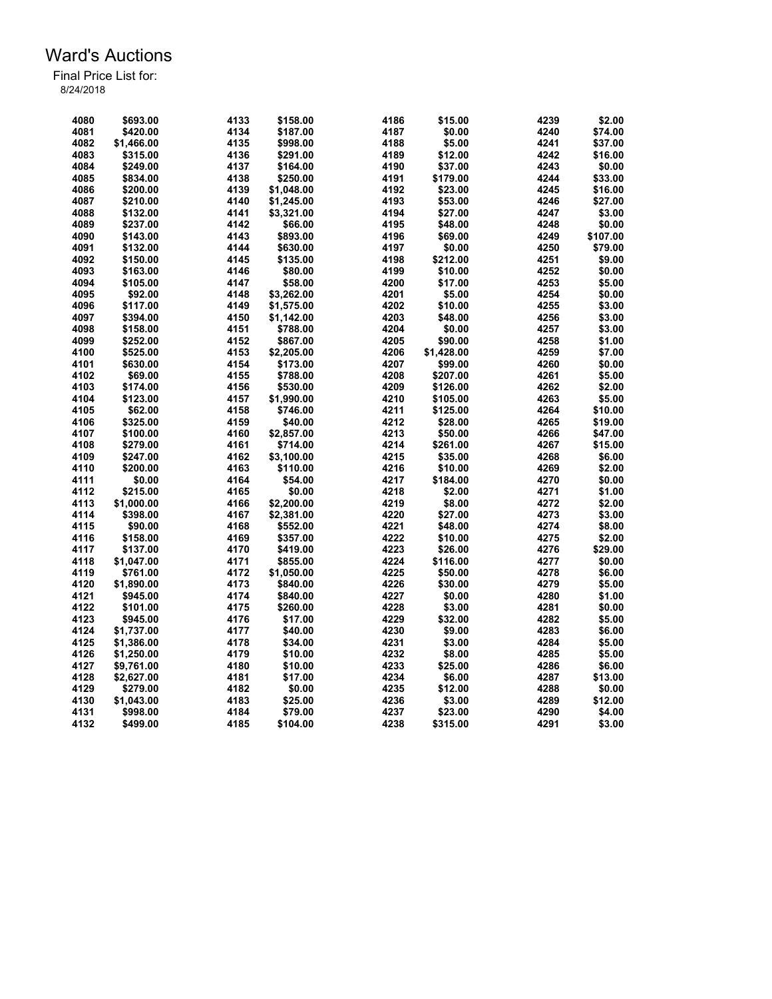| 4080         | \$693.00   | 4133 | \$158.00   | 4186         | \$15.00    | 4239 | \$2.00   |
|--------------|------------|------|------------|--------------|------------|------|----------|
| 4081         | \$420.00   | 4134 | \$187.00   | 4187         | \$0.00     | 4240 | \$74.00  |
| 4082         | \$1,466.00 | 4135 | \$998.00   | 4188         | \$5.00     | 4241 | \$37.00  |
| 4083         | \$315.00   | 4136 | \$291.00   | 4189         | \$12.00    | 4242 | \$16.00  |
| 4084         | \$249.00   | 4137 | \$164.00   | 4190         | \$37.00    | 4243 | \$0.00   |
| 4085         | \$834.00   | 4138 | \$250.00   | 4191         | \$179.00   | 4244 | \$33.00  |
| 4086         | \$200.00   | 4139 | \$1,048.00 | 4192         | \$23.00    | 4245 | \$16.00  |
| 4087         | \$210.00   | 4140 | \$1,245.00 | 4193         | \$53.00    | 4246 | \$27.00  |
| 4088         | \$132.00   | 4141 | \$3,321.00 | 4194         | \$27.00    | 4247 | \$3.00   |
| 4089         | \$237.00   | 4142 | \$66.00    | 4195         | \$48.00    | 4248 | \$0.00   |
| 4090         |            | 4143 | \$893.00   | 4196         | \$69.00    | 4249 |          |
|              | \$143.00   |      |            |              |            |      | \$107.00 |
| 4091         | \$132.00   | 4144 | \$630.00   | 4197         | \$0.00     | 4250 | \$79.00  |
| 4092         | \$150.00   | 4145 | \$135.00   | 4198         | \$212.00   | 4251 | \$9.00   |
| 4093         | \$163.00   | 4146 | \$80.00    | 4199         | \$10.00    | 4252 | \$0.00   |
| 4094         | \$105.00   | 4147 | \$58.00    | 4200         | \$17.00    | 4253 | \$5.00   |
| 4095         | \$92.00    | 4148 | \$3,262.00 | 4201         | \$5.00     | 4254 | \$0.00   |
| 4096         | \$117.00   | 4149 | \$1,575.00 | 4202         | \$10.00    | 4255 | \$3.00   |
| 4097         | \$394.00   | 4150 | \$1,142.00 | 4203         | \$48.00    | 4256 | \$3.00   |
| 4098         | \$158.00   | 4151 | \$788.00   | 4204         | \$0.00     | 4257 | \$3.00   |
| 4099         | \$252.00   | 4152 | \$867.00   | 4205         | \$90.00    | 4258 | \$1.00   |
| 4100         | \$525.00   | 4153 | \$2,205.00 | 4206         | \$1,428.00 | 4259 | \$7.00   |
| 4101         | \$630.00   | 4154 | \$173.00   | 4207         | \$99.00    | 4260 | \$0.00   |
| 4102         | \$69.00    | 4155 | \$788.00   | 4208         | \$207.00   | 4261 | \$5.00   |
| 4103         | \$174.00   | 4156 | \$530.00   | 4209         | \$126.00   | 4262 | \$2.00   |
| 4104         | \$123.00   | 4157 | \$1,990.00 | 4210         | \$105.00   | 4263 | \$5.00   |
| 4105         | \$62.00    | 4158 | \$746.00   | 4211         | \$125.00   | 4264 | \$10.00  |
| 4106         | \$325.00   | 4159 | \$40.00    | 4212         | \$28.00    | 4265 | \$19.00  |
| 4107         | \$100.00   | 4160 | \$2,857.00 | 4213         | \$50.00    | 4266 | \$47.00  |
| 4108         | \$279.00   | 4161 | \$714.00   | 4214         | \$261.00   | 4267 | \$15.00  |
| 4109         | \$247.00   | 4162 | \$3,100.00 | 4215         | \$35.00    | 4268 | \$6.00   |
| 4110         | \$200.00   | 4163 | \$110.00   | 4216         | \$10.00    | 4269 | \$2.00   |
| 4111         | \$0.00     | 4164 | \$54.00    | 4217         | \$184.00   | 4270 | \$0.00   |
| 4112         | \$215.00   | 4165 | \$0.00     | 4218         | \$2.00     | 4271 | \$1.00   |
| 4113         | \$1,000.00 | 4166 | \$2,200.00 | 4219         | \$8.00     | 4272 | \$2.00   |
| 4114         | \$398.00   | 4167 | \$2,381.00 | 4220         | \$27.00    | 4273 | \$3.00   |
| 4115         | \$90.00    | 4168 |            | 4221         |            | 4274 |          |
|              |            | 4169 | \$552.00   |              | \$48.00    |      | \$8.00   |
| 4116<br>4117 | \$158.00   |      | \$357.00   | 4222<br>4223 | \$10.00    | 4275 | \$2.00   |
|              | \$137.00   | 4170 | \$419.00   |              | \$26.00    | 4276 | \$29.00  |
| 4118         | \$1,047.00 | 4171 | \$855.00   | 4224         | \$116.00   | 4277 | \$0.00   |
| 4119         | \$761.00   | 4172 | \$1.050.00 | 4225         | \$50.00    | 4278 | \$6.00   |
| 4120         | \$1,890.00 | 4173 | \$840.00   | 4226         | \$30.00    | 4279 | \$5.00   |
| 4121         | \$945.00   | 4174 | \$840.00   | 4227         | \$0.00     | 4280 | \$1.00   |
| 4122         | \$101.00   | 4175 | \$260.00   | 4228         | \$3.00     | 4281 | \$0.00   |
| 4123         | \$945.00   | 4176 | \$17.00    | 4229         | \$32.00    | 4282 | \$5.00   |
| 4124         | \$1,737.00 | 4177 | \$40.00    | 4230         | \$9.00     | 4283 | \$6.00   |
| 4125         | \$1,386.00 | 4178 | \$34.00    | 4231         | \$3.00     | 4284 | \$5.00   |
| 4126         | \$1,250.00 | 4179 | \$10.00    | 4232         | \$8.00     | 4285 | \$5.00   |
| 4127         | \$9,761.00 | 4180 | \$10.00    | 4233         | \$25.00    | 4286 | \$6.00   |
| 4128         | \$2,627.00 | 4181 | \$17.00    | 4234         | \$6.00     | 4287 | \$13.00  |
| 4129         | \$279.00   | 4182 | \$0.00     | 4235         | \$12.00    | 4288 | \$0.00   |
| 4130         | \$1,043.00 | 4183 | \$25.00    | 4236         | \$3.00     | 4289 | \$12.00  |
| 4131         | \$998.00   | 4184 | \$79.00    | 4237         | \$23.00    | 4290 | \$4.00   |
| 4132         | \$499.00   | 4185 | \$104.00   | 4238         | \$315.00   | 4291 | \$3.00   |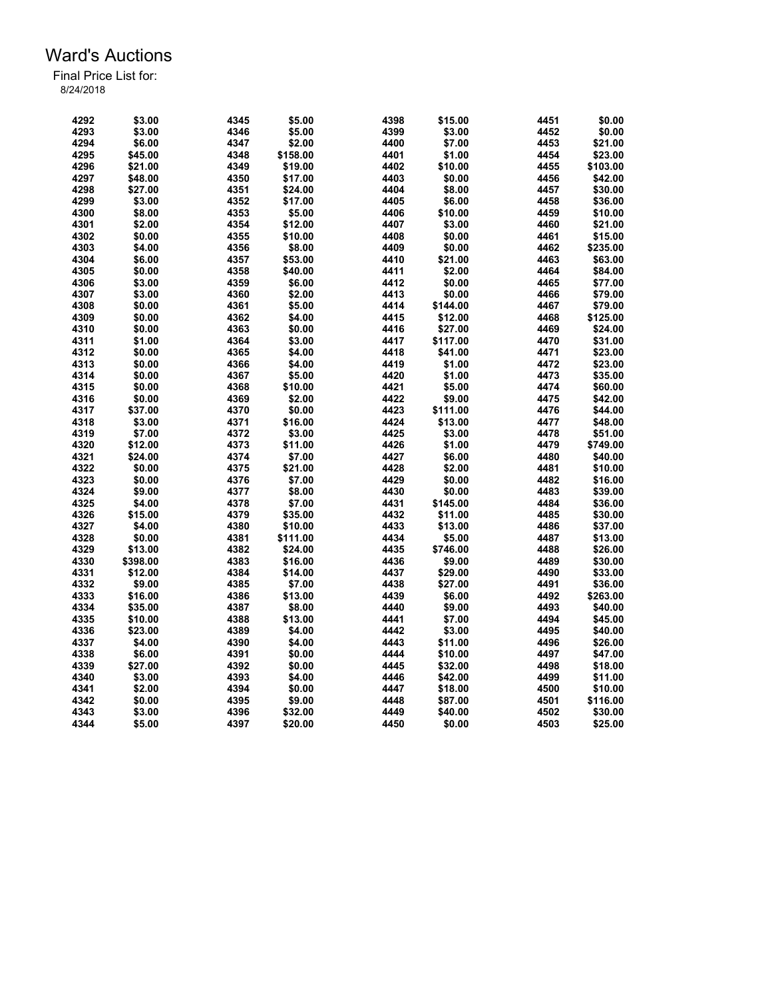| 4292         | \$3.00   | 4345 | \$5.00   | 4398         | \$15.00  | 4451 | \$0.00             |
|--------------|----------|------|----------|--------------|----------|------|--------------------|
| 4293         | \$3.00   | 4346 | \$5.00   | 4399         | \$3.00   | 4452 | \$0.00             |
| 4294         | \$6.00   | 4347 | \$2.00   | 4400         | \$7.00   | 4453 | \$21.00            |
| 4295         | \$45.00  | 4348 | \$158.00 | 4401         | \$1.00   | 4454 | \$23.00            |
| 4296         | \$21.00  | 4349 | \$19.00  | 4402         | \$10.00  | 4455 | \$103.00           |
| 4297         | \$48.00  | 4350 | \$17.00  | 4403         | \$0.00   | 4456 | \$42.00            |
| 4298         | \$27.00  | 4351 | \$24.00  | 4404         | \$8.00   | 4457 | \$30.00            |
| 4299         | \$3.00   | 4352 | \$17.00  | 4405         | \$6.00   | 4458 | \$36.00            |
| 4300         | \$8.00   | 4353 | \$5.00   | 4406         | \$10.00  | 4459 | \$10.00            |
| 4301         | \$2.00   | 4354 | \$12.00  | 4407         | \$3.00   | 4460 | \$21.00            |
| 4302         | \$0.00   | 4355 | \$10.00  | 4408         | \$0.00   | 4461 | \$15.00            |
| 4303         | \$4.00   | 4356 | \$8.00   | 4409         | \$0.00   | 4462 | \$235.00           |
| 4304         | \$6.00   | 4357 | \$53.00  | 4410         | \$21.00  | 4463 | \$63.00            |
| 4305         | \$0.00   | 4358 | \$40.00  | 4411         | \$2.00   | 4464 | \$84.00            |
| 4306         | \$3.00   | 4359 | \$6.00   | 4412         | \$0.00   | 4465 | \$77.00            |
| 4307         | \$3.00   | 4360 | \$2.00   | 4413         | \$0.00   | 4466 | \$79.00            |
| 4308         | \$0.00   | 4361 | \$5.00   | 4414         | \$144.00 | 4467 | \$79.00            |
| 4309         | \$0.00   | 4362 | \$4.00   | 4415         | \$12.00  | 4468 | \$125.00           |
|              |          |      |          |              |          |      |                    |
| 4310         | \$0.00   | 4363 | \$0.00   | 4416         | \$27.00  | 4469 | \$24.00<br>\$31.00 |
| 4311<br>4312 | \$1.00   | 4364 | \$3.00   | 4417<br>4418 | \$117.00 | 4470 |                    |
|              | \$0.00   | 4365 | \$4.00   |              | \$41.00  | 4471 | \$23.00            |
| 4313         | \$0.00   | 4366 | \$4.00   | 4419         | \$1.00   | 4472 | \$23.00            |
| 4314         | \$0.00   | 4367 | \$5.00   | 4420         | \$1.00   | 4473 | \$35.00            |
| 4315         | \$0.00   | 4368 | \$10.00  | 4421         | \$5.00   | 4474 | \$60.00            |
| 4316         | \$0.00   | 4369 | \$2.00   | 4422         | \$9.00   | 4475 | \$42.00            |
| 4317         | \$37.00  | 4370 | \$0.00   | 4423         | \$111.00 | 4476 | \$44.00            |
| 4318         | \$3.00   | 4371 | \$16.00  | 4424         | \$13.00  | 4477 | \$48.00            |
| 4319         | \$7.00   | 4372 | \$3.00   | 4425         | \$3.00   | 4478 | \$51.00            |
| 4320         | \$12.00  | 4373 | \$11.00  | 4426         | \$1.00   | 4479 | \$749.00           |
| 4321         | \$24.00  | 4374 | \$7.00   | 4427         | \$6.00   | 4480 | \$40.00            |
| 4322         | \$0.00   | 4375 | \$21.00  | 4428         | \$2.00   | 4481 | \$10.00            |
| 4323         | \$0.00   | 4376 | \$7.00   | 4429         | \$0.00   | 4482 | \$16.00            |
| 4324         | \$9.00   | 4377 | \$8.00   | 4430         | \$0.00   | 4483 | \$39.00            |
| 4325         | \$4.00   | 4378 | \$7.00   | 4431         | \$145.00 | 4484 | \$36.00            |
| 4326         | \$15.00  | 4379 | \$35.00  | 4432         | \$11.00  | 4485 | \$30.00            |
| 4327         | \$4.00   | 4380 | \$10.00  | 4433         | \$13.00  | 4486 | \$37.00            |
| 4328         | \$0.00   | 4381 | \$111.00 | 4434         | \$5.00   | 4487 | \$13.00            |
| 4329         | \$13.00  | 4382 | \$24.00  | 4435         | \$746.00 | 4488 | \$26.00            |
| 4330         | \$398.00 | 4383 | \$16.00  | 4436         | \$9.00   | 4489 | \$30.00            |
| 4331         | \$12.00  | 4384 | \$14.00  | 4437         | \$29.00  | 4490 | \$33.00            |
| 4332         | \$9.00   | 4385 | \$7.00   | 4438         | \$27.00  | 4491 | \$36.00            |
| 4333         | \$16.00  | 4386 | \$13.00  | 4439         | \$6.00   | 4492 | \$263.00           |
| 4334         | \$35.00  | 4387 | \$8.00   | 4440         | \$9.00   | 4493 | \$40.00            |
| 4335         | \$10.00  | 4388 | \$13.00  | 4441         | \$7.00   | 4494 | \$45.00            |
| 4336         | \$23.00  | 4389 | \$4.00   | 4442         | \$3.00   | 4495 | \$40.00            |
| 4337         | \$4.00   | 4390 | \$4.00   | 4443         | \$11.00  | 4496 | \$26.00            |
| 4338         | \$6.00   | 4391 | \$0.00   | 4444         | \$10.00  | 4497 | \$47.00            |
| 4339         | \$27.00  | 4392 | \$0.00   | 4445         | \$32.00  | 4498 | \$18.00            |
| 4340         | \$3.00   | 4393 | \$4.00   | 4446         | \$42.00  | 4499 | \$11.00            |
| 4341         | \$2.00   | 4394 | \$0.00   | 4447         | \$18.00  | 4500 | \$10.00            |
| 4342         |          |      |          | 4448         |          |      |                    |
|              | \$0.00   | 4395 | \$9.00   |              | \$87.00  | 4501 | \$116.00           |
| 4343         | \$3.00   | 4396 | \$32.00  | 4449         | \$40.00  | 4502 | \$30.00            |
| 4344         | \$5.00   | 4397 | \$20.00  | 4450         | \$0.00   | 4503 | \$25.00            |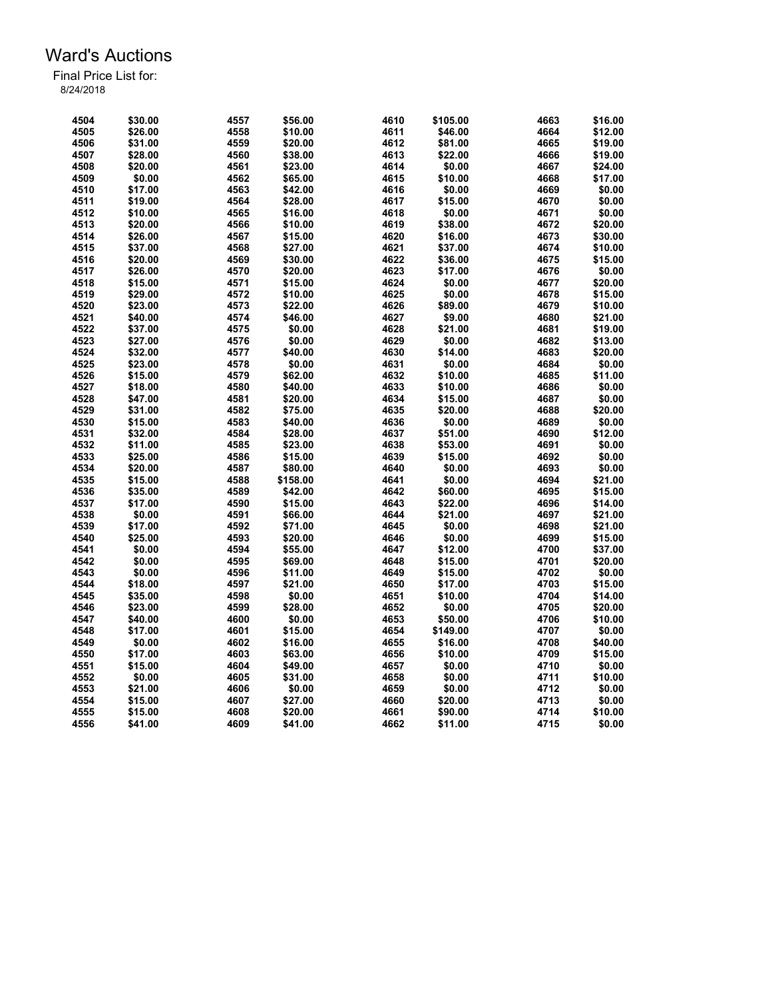| 4504 | \$30.00 | 4557 | \$56.00  | 4610 | \$105.00 | 4663 | \$16.00 |
|------|---------|------|----------|------|----------|------|---------|
| 4505 | \$26.00 | 4558 | \$10.00  | 4611 | \$46.00  | 4664 | \$12.00 |
| 4506 | \$31.00 | 4559 | \$20.00  | 4612 | \$81.00  | 4665 | \$19.00 |
| 4507 | \$28.00 | 4560 | \$38.00  | 4613 | \$22.00  | 4666 | \$19.00 |
| 4508 | \$20.00 | 4561 | \$23.00  | 4614 | \$0.00   | 4667 | \$24.00 |
| 4509 | \$0.00  | 4562 | \$65.00  | 4615 | \$10.00  | 4668 | \$17.00 |
| 4510 | \$17.00 | 4563 | \$42.00  | 4616 | \$0.00   | 4669 | \$0.00  |
| 4511 | \$19.00 | 4564 | \$28.00  | 4617 | \$15.00  | 4670 | \$0.00  |
| 4512 | \$10.00 | 4565 | \$16.00  | 4618 | \$0.00   | 4671 | \$0.00  |
| 4513 | \$20.00 | 4566 | \$10.00  | 4619 | \$38.00  | 4672 | \$20.00 |
| 4514 | \$26.00 | 4567 | \$15.00  | 4620 | \$16.00  | 4673 | \$30.00 |
|      |         |      |          |      |          |      |         |
| 4515 | \$37.00 | 4568 | \$27.00  | 4621 | \$37.00  | 4674 | \$10.00 |
| 4516 | \$20.00 | 4569 | \$30.00  | 4622 | \$36.00  | 4675 | \$15.00 |
| 4517 | \$26.00 | 4570 | \$20.00  | 4623 | \$17.00  | 4676 | \$0.00  |
| 4518 | \$15.00 | 4571 | \$15.00  | 4624 | \$0.00   | 4677 | \$20.00 |
| 4519 | \$29.00 | 4572 | \$10.00  | 4625 | \$0.00   | 4678 | \$15.00 |
| 4520 | \$23.00 | 4573 | \$22.00  | 4626 | \$89.00  | 4679 | \$10.00 |
| 4521 | \$40.00 | 4574 | \$46.00  | 4627 | \$9.00   | 4680 | \$21.00 |
| 4522 | \$37.00 | 4575 | \$0.00   | 4628 | \$21.00  | 4681 | \$19.00 |
| 4523 | \$27.00 | 4576 | \$0.00   | 4629 | \$0.00   | 4682 | \$13.00 |
| 4524 | \$32.00 | 4577 | \$40.00  | 4630 | \$14.00  | 4683 | \$20.00 |
| 4525 | \$23.00 | 4578 | \$0.00   | 4631 | \$0.00   | 4684 | \$0.00  |
| 4526 | \$15.00 | 4579 | \$62.00  | 4632 | \$10.00  | 4685 | \$11.00 |
| 4527 | \$18.00 | 4580 | \$40.00  | 4633 | \$10.00  | 4686 | \$0.00  |
| 4528 | \$47.00 | 4581 | \$20.00  | 4634 | \$15.00  | 4687 | \$0.00  |
| 4529 | \$31.00 | 4582 | \$75.00  | 4635 | \$20.00  | 4688 | \$20.00 |
| 4530 | \$15.00 | 4583 | \$40.00  | 4636 | \$0.00   | 4689 | \$0.00  |
| 4531 | \$32.00 | 4584 | \$28.00  | 4637 | \$51.00  | 4690 | \$12.00 |
| 4532 | \$11.00 | 4585 | \$23.00  | 4638 | \$53.00  | 4691 | \$0.00  |
| 4533 | \$25.00 | 4586 | \$15.00  | 4639 | \$15.00  | 4692 | \$0.00  |
| 4534 | \$20.00 | 4587 | \$80.00  | 4640 | \$0.00   | 4693 | \$0.00  |
| 4535 | \$15.00 | 4588 |          | 4641 | \$0.00   | 4694 | \$21.00 |
|      |         |      | \$158.00 |      |          |      |         |
| 4536 | \$35.00 | 4589 | \$42.00  | 4642 | \$60.00  | 4695 | \$15.00 |
| 4537 | \$17.00 | 4590 | \$15.00  | 4643 | \$22.00  | 4696 | \$14.00 |
| 4538 | \$0.00  | 4591 | \$66.00  | 4644 | \$21.00  | 4697 | \$21.00 |
| 4539 | \$17.00 | 4592 | \$71.00  | 4645 | \$0.00   | 4698 | \$21.00 |
| 4540 | \$25.00 | 4593 | \$20.00  | 4646 | \$0.00   | 4699 | \$15.00 |
| 4541 | \$0.00  | 4594 | \$55.00  | 4647 | \$12.00  | 4700 | \$37.00 |
| 4542 | \$0.00  | 4595 | \$69.00  | 4648 | \$15.00  | 4701 | \$20.00 |
| 4543 | \$0.00  | 4596 | \$11.00  | 4649 | \$15.00  | 4702 | \$0.00  |
| 4544 | \$18.00 | 4597 | \$21.00  | 4650 | \$17.00  | 4703 | \$15.00 |
| 4545 | \$35.00 | 4598 | \$0.00   | 4651 | \$10.00  | 4704 | \$14.00 |
| 4546 | \$23.00 | 4599 | \$28.00  | 4652 | \$0.00   | 4705 | \$20.00 |
| 4547 | \$40.00 | 4600 | \$0.00   | 4653 | \$50.00  | 4706 | \$10.00 |
| 4548 | \$17.00 | 4601 | \$15.00  | 4654 | \$149.00 | 4707 | \$0.00  |
| 4549 | \$0.00  | 4602 | \$16.00  | 4655 | \$16.00  | 4708 | \$40.00 |
| 4550 | \$17.00 | 4603 | \$63.00  | 4656 | \$10.00  | 4709 | \$15.00 |
| 4551 | \$15.00 | 4604 | \$49.00  | 4657 | \$0.00   | 4710 | \$0.00  |
| 4552 | \$0.00  | 4605 | \$31.00  | 4658 | \$0.00   | 4711 | \$10.00 |
| 4553 | \$21.00 | 4606 | \$0.00   | 4659 | \$0.00   | 4712 | \$0.00  |
| 4554 | \$15.00 | 4607 | \$27.00  | 4660 | \$20.00  | 4713 | \$0.00  |
| 4555 | \$15.00 | 4608 | \$20.00  | 4661 | \$90.00  | 4714 | \$10.00 |
|      |         |      |          |      |          |      |         |
| 4556 | \$41.00 | 4609 | \$41.00  | 4662 | \$11.00  | 4715 | \$0.00  |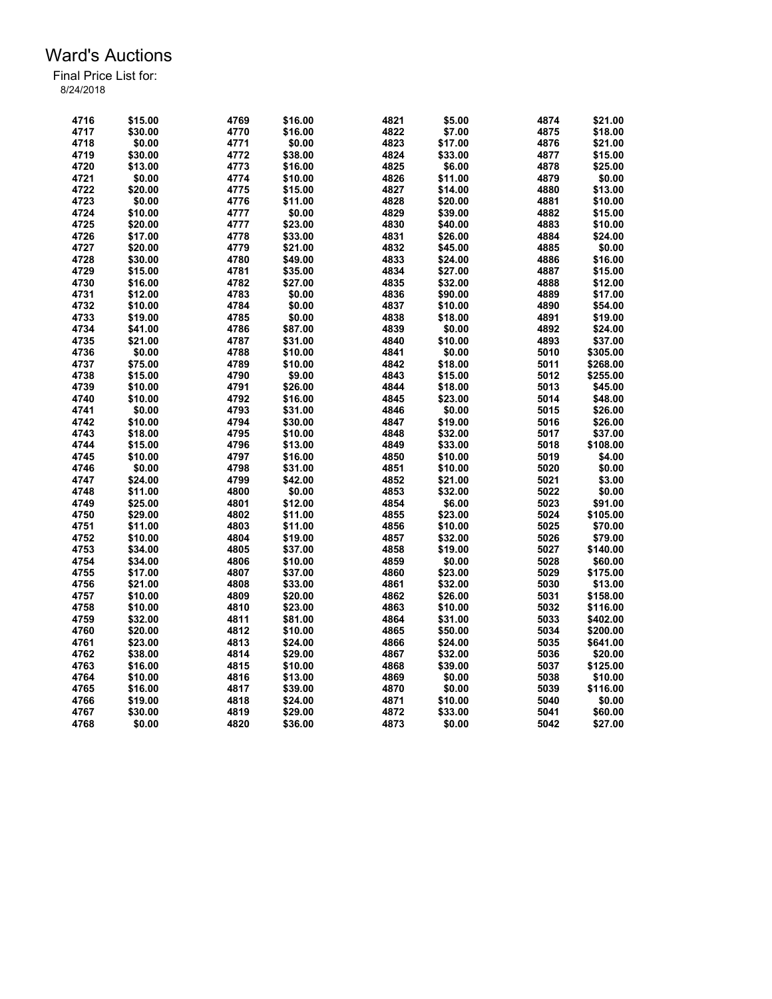| 4716 | \$15.00 | 4769 | \$16.00 | 4821 | \$5.00            | 4874 | \$21.00  |
|------|---------|------|---------|------|-------------------|------|----------|
| 4717 | \$30.00 | 4770 | \$16.00 | 4822 | \$7.00            | 4875 | \$18.00  |
| 4718 | \$0.00  | 4771 | \$0.00  | 4823 | \$17.00           | 4876 | \$21.00  |
| 4719 | \$30.00 | 4772 | \$38.00 | 4824 | \$33.00           | 4877 | \$15.00  |
| 4720 | \$13.00 | 4773 | \$16.00 | 4825 | \$6.00            | 4878 | \$25.00  |
| 4721 | \$0.00  | 4774 | \$10.00 | 4826 | \$11.00           | 4879 | \$0.00   |
| 4722 | \$20.00 | 4775 | \$15.00 | 4827 | \$14.00           | 4880 | \$13.00  |
| 4723 | \$0.00  | 4776 | \$11.00 | 4828 | \$20.00           | 4881 | \$10.00  |
| 4724 | \$10.00 | 4777 | \$0.00  | 4829 | \$39.00           | 4882 | \$15.00  |
| 4725 | \$20.00 | 4777 | \$23.00 | 4830 | \$40.00           | 4883 | \$10.00  |
| 4726 | \$17.00 | 4778 | \$33.00 | 4831 | \$26.00           | 4884 | \$24.00  |
| 4727 | \$20.00 | 4779 | \$21.00 | 4832 | \$45.00           | 4885 | \$0.00   |
| 4728 | \$30.00 | 4780 | \$49.00 | 4833 | \$24.00           | 4886 | \$16.00  |
| 4729 | \$15.00 | 4781 | \$35.00 | 4834 | \$27.00           | 4887 | \$15.00  |
| 4730 | \$16.00 | 4782 | \$27.00 | 4835 | \$32.00           | 4888 | \$12.00  |
| 4731 | \$12.00 | 4783 | \$0.00  | 4836 | \$90.00           | 4889 | \$17.00  |
| 4732 | \$10.00 | 4784 | \$0.00  | 4837 | \$10.00           | 4890 | \$54.00  |
| 4733 | \$19.00 | 4785 | \$0.00  | 4838 | \$18.00           | 4891 | \$19.00  |
| 4734 | \$41.00 |      |         | 4839 |                   | 4892 |          |
|      |         | 4786 | \$87.00 | 4840 | \$0.00<br>\$10.00 | 4893 | \$24.00  |
| 4735 | \$21.00 | 4787 | \$31.00 |      |                   |      | \$37.00  |
| 4736 | \$0.00  | 4788 | \$10.00 | 4841 | \$0.00            | 5010 | \$305.00 |
| 4737 | \$75.00 | 4789 | \$10.00 | 4842 | \$18.00           | 5011 | \$268.00 |
| 4738 | \$15.00 | 4790 | \$9.00  | 4843 | \$15.00           | 5012 | \$255.00 |
| 4739 | \$10.00 | 4791 | \$26.00 | 4844 | \$18.00           | 5013 | \$45.00  |
| 4740 | \$10.00 | 4792 | \$16.00 | 4845 | \$23.00           | 5014 | \$48.00  |
| 4741 | \$0.00  | 4793 | \$31.00 | 4846 | \$0.00            | 5015 | \$26.00  |
| 4742 | \$10.00 | 4794 | \$30.00 | 4847 | \$19.00           | 5016 | \$26.00  |
| 4743 | \$18.00 | 4795 | \$10.00 | 4848 | \$32.00           | 5017 | \$37.00  |
| 4744 | \$15.00 | 4796 | \$13.00 | 4849 | \$33.00           | 5018 | \$108.00 |
| 4745 | \$10.00 | 4797 | \$16.00 | 4850 | \$10.00           | 5019 | \$4.00   |
| 4746 | \$0.00  | 4798 | \$31.00 | 4851 | \$10.00           | 5020 | \$0.00   |
| 4747 | \$24.00 | 4799 | \$42.00 | 4852 | \$21.00           | 5021 | \$3.00   |
| 4748 | \$11.00 | 4800 | \$0.00  | 4853 | \$32.00           | 5022 | \$0.00   |
| 4749 | \$25.00 | 4801 | \$12.00 | 4854 | \$6.00            | 5023 | \$91.00  |
| 4750 | \$29.00 | 4802 | \$11.00 | 4855 | \$23.00           | 5024 | \$105.00 |
| 4751 | \$11.00 | 4803 | \$11.00 | 4856 | \$10.00           | 5025 | \$70.00  |
| 4752 | \$10.00 | 4804 | \$19.00 | 4857 | \$32.00           | 5026 | \$79.00  |
| 4753 | \$34.00 | 4805 | \$37.00 | 4858 | \$19.00           | 5027 | \$140.00 |
| 4754 | \$34.00 | 4806 | \$10.00 | 4859 | \$0.00            | 5028 | \$60.00  |
| 4755 | \$17.00 | 4807 | \$37.00 | 4860 | \$23.00           | 5029 | \$175.00 |
| 4756 | \$21.00 | 4808 | \$33.00 | 4861 | \$32.00           | 5030 | \$13.00  |
| 4757 | \$10.00 | 4809 | \$20.00 | 4862 | \$26.00           | 5031 | \$158.00 |
| 4758 | \$10.00 | 4810 | \$23.00 | 4863 | \$10.00           | 5032 | \$116.00 |
| 4759 | \$32.00 | 4811 | \$81.00 | 4864 | \$31.00           | 5033 | \$402.00 |
| 4760 | \$20.00 | 4812 | \$10.00 | 4865 | \$50.00           | 5034 | \$200.00 |
| 4761 | \$23.00 | 4813 | \$24.00 | 4866 | \$24.00           | 5035 | \$641.00 |
| 4762 | \$38.00 | 4814 | \$29.00 | 4867 | \$32.00           | 5036 | \$20.00  |
| 4763 | \$16.00 | 4815 | \$10.00 | 4868 | \$39.00           | 5037 | \$125.00 |
| 4764 | \$10.00 | 4816 | \$13.00 | 4869 | \$0.00            | 5038 | \$10.00  |
| 4765 | \$16.00 | 4817 | \$39.00 | 4870 | \$0.00            | 5039 | \$116.00 |
| 4766 | \$19.00 | 4818 | \$24.00 | 4871 | \$10.00           | 5040 | \$0.00   |
| 4767 | \$30.00 | 4819 | \$29.00 | 4872 | \$33.00           | 5041 | \$60.00  |
| 4768 | \$0.00  | 4820 | \$36.00 | 4873 | \$0.00            | 5042 | \$27.00  |
|      |         |      |         |      |                   |      |          |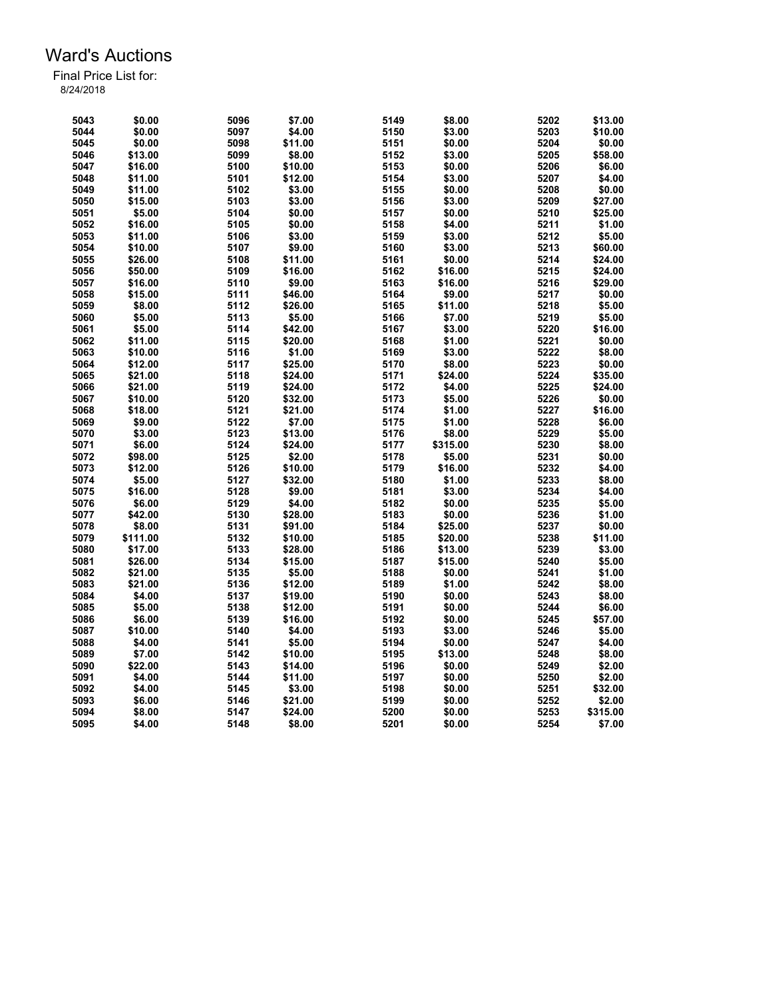| 5043 | \$0.00   | 5096 | \$7.00  | 5149         | \$8.00   | 5202 | \$13.00  |
|------|----------|------|---------|--------------|----------|------|----------|
| 5044 | \$0.00   | 5097 | \$4.00  | 5150         | \$3.00   | 5203 | \$10.00  |
| 5045 | \$0.00   | 5098 | \$11.00 | 5151         | \$0.00   | 5204 | \$0.00   |
| 5046 | \$13.00  | 5099 | \$8.00  | 5152         | \$3.00   | 5205 | \$58.00  |
| 5047 | \$16.00  | 5100 | \$10.00 | 5153         | \$0.00   | 5206 | \$6.00   |
| 5048 | \$11.00  | 5101 | \$12.00 | 5154         | \$3.00   | 5207 | \$4.00   |
| 5049 | \$11.00  | 5102 | \$3.00  | 5155         | \$0.00   | 5208 | \$0.00   |
| 5050 | \$15.00  | 5103 | \$3.00  | 5156         | \$3.00   | 5209 | \$27.00  |
| 5051 | \$5.00   | 5104 | \$0.00  | 5157         | \$0.00   | 5210 | \$25.00  |
| 5052 | \$16.00  | 5105 | \$0.00  | 5158         | \$4.00   | 5211 | \$1.00   |
| 5053 | \$11.00  | 5106 | \$3.00  | 5159         | \$3.00   | 5212 | \$5.00   |
| 5054 | \$10.00  | 5107 | \$9.00  | 5160         | \$3.00   | 5213 | \$60.00  |
| 5055 | \$26.00  | 5108 | \$11.00 | 5161         | \$0.00   | 5214 | \$24.00  |
| 5056 | \$50.00  | 5109 | \$16.00 | 5162         | \$16.00  | 5215 | \$24.00  |
| 5057 | \$16.00  | 5110 | \$9.00  | 5163         | \$16.00  | 5216 | \$29.00  |
| 5058 | \$15.00  | 5111 | \$46.00 | 5164         | \$9.00   | 5217 | \$0.00   |
| 5059 | \$8.00   | 5112 | \$26.00 | 5165         | \$11.00  | 5218 | \$5.00   |
| 5060 | \$5.00   | 5113 | \$5.00  | 5166         | \$7.00   | 5219 | \$5.00   |
| 5061 | \$5.00   | 5114 | \$42.00 |              | \$3.00   | 5220 | \$16.00  |
|      |          | 5115 | \$20.00 | 5167<br>5168 | \$1.00   | 5221 | \$0.00   |
| 5062 | \$11.00  |      |         |              |          |      |          |
| 5063 | \$10.00  | 5116 | \$1.00  | 5169         | \$3.00   | 5222 | \$8.00   |
| 5064 | \$12.00  | 5117 | \$25.00 | 5170         | \$8.00   | 5223 | \$0.00   |
| 5065 | \$21.00  | 5118 | \$24.00 | 5171         | \$24.00  | 5224 | \$35.00  |
| 5066 | \$21.00  | 5119 | \$24.00 | 5172         | \$4.00   | 5225 | \$24.00  |
| 5067 | \$10.00  | 5120 | \$32.00 | 5173         | \$5.00   | 5226 | \$0.00   |
| 5068 | \$18.00  | 5121 | \$21.00 | 5174         | \$1.00   | 5227 | \$16.00  |
| 5069 | \$9.00   | 5122 | \$7.00  | 5175         | \$1.00   | 5228 | \$6.00   |
| 5070 | \$3.00   | 5123 | \$13.00 | 5176         | \$8.00   | 5229 | \$5.00   |
| 5071 | \$6.00   | 5124 | \$24.00 | 5177         | \$315.00 | 5230 | \$8.00   |
| 5072 | \$98.00  | 5125 | \$2.00  | 5178         | \$5.00   | 5231 | \$0.00   |
| 5073 | \$12.00  | 5126 | \$10.00 | 5179         | \$16.00  | 5232 | \$4.00   |
| 5074 | \$5.00   | 5127 | \$32.00 | 5180         | \$1.00   | 5233 | \$8.00   |
| 5075 | \$16.00  | 5128 | \$9.00  | 5181         | \$3.00   | 5234 | \$4.00   |
| 5076 | \$6.00   | 5129 | \$4.00  | 5182         | \$0.00   | 5235 | \$5.00   |
| 5077 | \$42.00  | 5130 | \$28.00 | 5183         | \$0.00   | 5236 | \$1.00   |
| 5078 | \$8.00   | 5131 | \$91.00 | 5184         | \$25.00  | 5237 | \$0.00   |
| 5079 | \$111.00 | 5132 | \$10.00 | 5185         | \$20.00  | 5238 | \$11.00  |
| 5080 | \$17.00  | 5133 | \$28.00 | 5186         | \$13.00  | 5239 | \$3.00   |
| 5081 | \$26.00  | 5134 | \$15.00 | 5187         | \$15.00  | 5240 | \$5.00   |
| 5082 | \$21.00  | 5135 | \$5.00  | 5188         | \$0.00   | 5241 | \$1.00   |
| 5083 | \$21.00  | 5136 | \$12.00 | 5189         | \$1.00   | 5242 | \$8.00   |
| 5084 | \$4.00   | 5137 | \$19.00 | 5190         | \$0.00   | 5243 | \$8.00   |
| 5085 | \$5.00   | 5138 | \$12.00 | 5191         | \$0.00   | 5244 | \$6.00   |
| 5086 | \$6.00   | 5139 | \$16.00 | 5192         | \$0.00   | 5245 | \$57.00  |
| 5087 | \$10.00  | 5140 | \$4.00  | 5193         | \$3.00   | 5246 | \$5.00   |
| 5088 | \$4.00   | 5141 | \$5.00  | 5194         | \$0.00   | 5247 | \$4.00   |
| 5089 | \$7.00   | 5142 | \$10.00 | 5195         | \$13.00  | 5248 | \$8.00   |
| 5090 | \$22.00  | 5143 | \$14.00 | 5196         | \$0.00   | 5249 | \$2.00   |
| 5091 | \$4.00   | 5144 | \$11.00 | 5197         | \$0.00   | 5250 | \$2.00   |
| 5092 | \$4.00   | 5145 | \$3.00  | 5198         | \$0.00   | 5251 | \$32.00  |
| 5093 | \$6.00   | 5146 | \$21.00 | 5199         | \$0.00   | 5252 | \$2.00   |
| 5094 | \$8.00   | 5147 | \$24.00 | 5200         | \$0.00   | 5253 | \$315.00 |
| 5095 | \$4.00   | 5148 | \$8.00  | 5201         | \$0.00   | 5254 | \$7.00   |
|      |          |      |         |              |          |      |          |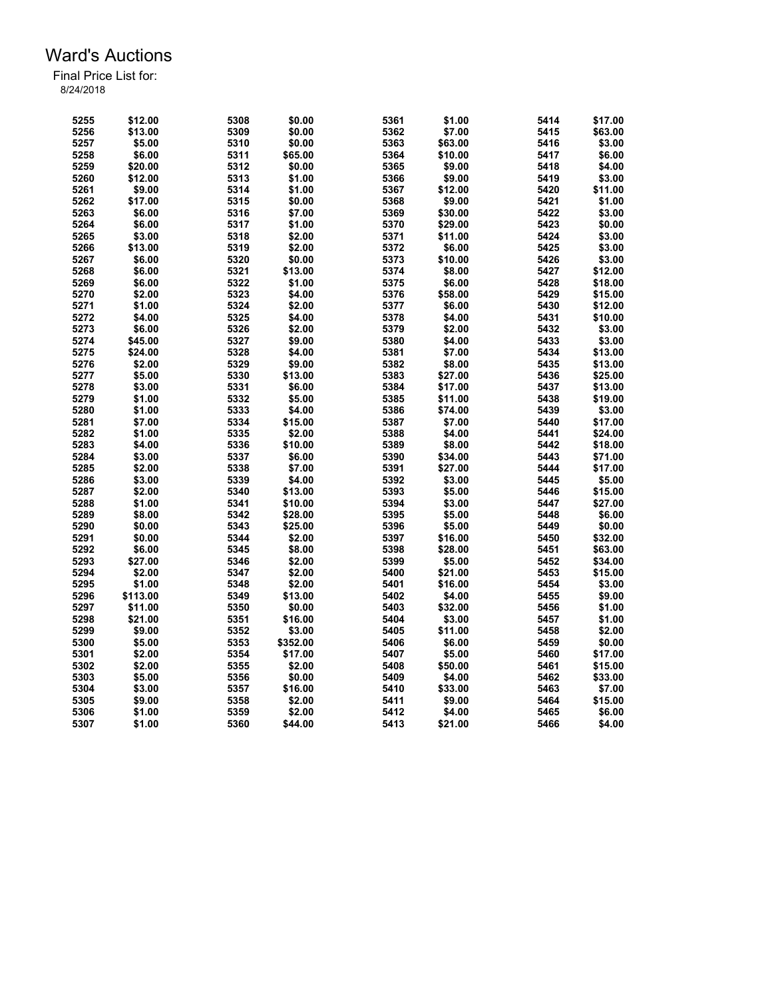| 5255 | \$12.00  | 5308 | \$0.00   | 5361 | \$1.00  | 5414 | \$17.00 |
|------|----------|------|----------|------|---------|------|---------|
| 5256 | \$13.00  | 5309 | \$0.00   | 5362 | \$7.00  | 5415 | \$63.00 |
| 5257 | \$5.00   | 5310 | \$0.00   | 5363 | \$63.00 | 5416 | \$3.00  |
| 5258 | \$6.00   | 5311 | \$65.00  | 5364 | \$10.00 | 5417 | \$6.00  |
| 5259 | \$20.00  | 5312 | \$0.00   | 5365 | \$9.00  | 5418 | \$4.00  |
| 5260 | \$12.00  | 5313 | \$1.00   | 5366 | \$9.00  | 5419 | \$3.00  |
| 5261 | \$9.00   | 5314 | \$1.00   | 5367 | \$12.00 | 5420 | \$11.00 |
| 5262 | \$17.00  | 5315 | \$0.00   | 5368 | \$9.00  | 5421 | \$1.00  |
| 5263 | \$6.00   | 5316 | \$7.00   | 5369 | \$30.00 | 5422 | \$3.00  |
| 5264 | \$6.00   | 5317 | \$1.00   | 5370 | \$29.00 | 5423 | \$0.00  |
| 5265 | \$3.00   | 5318 | \$2.00   | 5371 | \$11.00 | 5424 | \$3.00  |
| 5266 | \$13.00  | 5319 | \$2.00   | 5372 | \$6.00  | 5425 | \$3.00  |
| 5267 | \$6.00   | 5320 | \$0.00   | 5373 | \$10.00 | 5426 | \$3.00  |
| 5268 | \$6.00   | 5321 | \$13.00  | 5374 | \$8.00  | 5427 | \$12.00 |
| 5269 | \$6.00   | 5322 | \$1.00   | 5375 | \$6.00  | 5428 | \$18.00 |
| 5270 | \$2.00   | 5323 | \$4.00   | 5376 | \$58.00 | 5429 | \$15.00 |
| 5271 | \$1.00   | 5324 | \$2.00   | 5377 | \$6.00  | 5430 | \$12.00 |
| 5272 | \$4.00   | 5325 | \$4.00   | 5378 | \$4.00  | 5431 | \$10.00 |
| 5273 | \$6.00   | 5326 | \$2.00   | 5379 | \$2.00  | 5432 | \$3.00  |
| 5274 | \$45.00  | 5327 | \$9.00   | 5380 | \$4.00  | 5433 | \$3.00  |
| 5275 | \$24.00  | 5328 | \$4.00   | 5381 | \$7.00  | 5434 | \$13.00 |
|      | \$2.00   | 5329 |          | 5382 | \$8.00  | 5435 | \$13.00 |
| 5276 |          |      | \$9.00   |      |         |      |         |
| 5277 | \$5.00   | 5330 | \$13.00  | 5383 | \$27.00 | 5436 | \$25.00 |
| 5278 | \$3.00   | 5331 | \$6.00   | 5384 | \$17.00 | 5437 | \$13.00 |
| 5279 | \$1.00   | 5332 | \$5.00   | 5385 | \$11.00 | 5438 | \$19.00 |
| 5280 | \$1.00   | 5333 | \$4.00   | 5386 | \$74.00 | 5439 | \$3.00  |
| 5281 | \$7.00   | 5334 | \$15.00  | 5387 | \$7.00  | 5440 | \$17.00 |
| 5282 | \$1.00   | 5335 | \$2.00   | 5388 | \$4.00  | 5441 | \$24.00 |
| 5283 | \$4.00   | 5336 | \$10.00  | 5389 | \$8.00  | 5442 | \$18.00 |
| 5284 | \$3.00   | 5337 | \$6.00   | 5390 | \$34.00 | 5443 | \$71.00 |
| 5285 | \$2.00   | 5338 | \$7.00   | 5391 | \$27.00 | 5444 | \$17.00 |
| 5286 | \$3.00   | 5339 | \$4.00   | 5392 | \$3.00  | 5445 | \$5.00  |
| 5287 | \$2.00   | 5340 | \$13.00  | 5393 | \$5.00  | 5446 | \$15.00 |
| 5288 | \$1.00   | 5341 | \$10.00  | 5394 | \$3.00  | 5447 | \$27.00 |
| 5289 | \$8.00   | 5342 | \$28.00  | 5395 | \$5.00  | 5448 | \$6.00  |
| 5290 | \$0.00   | 5343 | \$25.00  | 5396 | \$5.00  | 5449 | \$0.00  |
| 5291 | \$0.00   | 5344 | \$2.00   | 5397 | \$16.00 | 5450 | \$32.00 |
| 5292 | \$6.00   | 5345 | \$8.00   | 5398 | \$28.00 | 5451 | \$63.00 |
| 5293 | \$27.00  | 5346 | \$2.00   | 5399 | \$5.00  | 5452 | \$34.00 |
| 5294 | \$2.00   | 5347 | \$2.00   | 5400 | \$21.00 | 5453 | \$15.00 |
| 5295 | \$1.00   | 5348 | \$2.00   | 5401 | \$16.00 | 5454 | \$3.00  |
| 5296 | \$113.00 | 5349 | \$13.00  | 5402 | \$4.00  | 5455 | \$9.00  |
| 5297 | \$11.00  | 5350 | \$0.00   | 5403 | \$32.00 | 5456 | \$1.00  |
| 5298 | \$21.00  | 5351 | \$16.00  | 5404 | \$3.00  | 5457 | \$1.00  |
| 5299 | \$9.00   | 5352 | \$3.00   | 5405 | \$11.00 | 5458 | \$2.00  |
| 5300 | \$5.00   | 5353 | \$352.00 | 5406 | \$6.00  | 5459 | \$0.00  |
| 5301 | \$2.00   | 5354 | \$17.00  | 5407 | \$5.00  | 5460 | \$17.00 |
| 5302 | \$2.00   | 5355 | \$2.00   | 5408 | \$50.00 | 5461 | \$15.00 |
| 5303 | \$5.00   | 5356 | \$0.00   | 5409 | \$4.00  | 5462 | \$33.00 |
| 5304 | \$3.00   | 5357 | \$16.00  | 5410 | \$33.00 | 5463 | \$7.00  |
| 5305 | \$9.00   | 5358 | \$2.00   | 5411 | \$9.00  | 5464 | \$15.00 |
| 5306 | \$1.00   | 5359 | \$2.00   | 5412 | \$4.00  | 5465 | \$6.00  |
| 5307 | \$1.00   | 5360 | \$44.00  | 5413 | \$21.00 | 5466 | \$4.00  |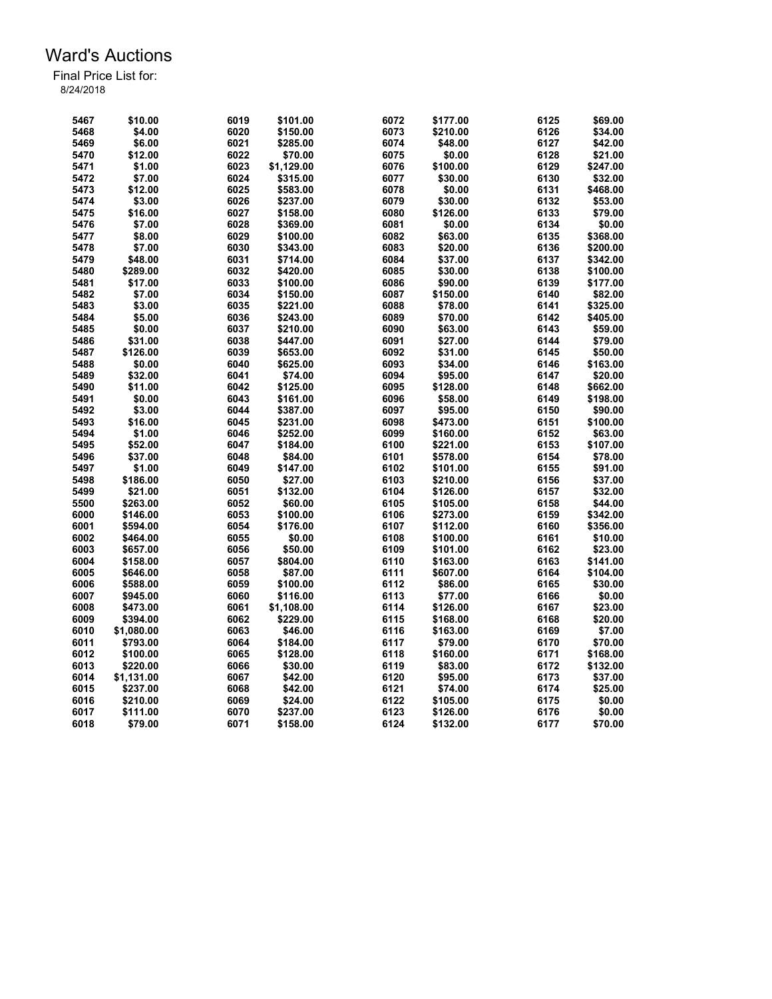| 5467 | \$10.00    | 6019 | \$101.00   | 6072 | \$177.00 | 6125 | \$69.00  |
|------|------------|------|------------|------|----------|------|----------|
| 5468 | \$4.00     | 6020 | \$150.00   | 6073 | \$210.00 | 6126 | \$34.00  |
| 5469 | \$6.00     | 6021 | \$285.00   | 6074 | \$48.00  | 6127 | \$42.00  |
| 5470 | \$12.00    | 6022 | \$70.00    | 6075 | \$0.00   | 6128 | \$21.00  |
| 5471 | \$1.00     | 6023 | \$1,129.00 | 6076 | \$100.00 | 6129 | \$247.00 |
| 5472 | \$7.00     | 6024 | \$315.00   | 6077 | \$30.00  | 6130 | \$32.00  |
| 5473 | \$12.00    | 6025 | \$583.00   | 6078 | \$0.00   | 6131 | \$468.00 |
| 5474 | \$3.00     | 6026 | \$237.00   | 6079 | \$30.00  | 6132 | \$53.00  |
| 5475 | \$16.00    | 6027 | \$158.00   | 6080 | \$126.00 | 6133 | \$79.00  |
| 5476 | \$7.00     | 6028 | \$369.00   | 6081 | \$0.00   | 6134 | \$0.00   |
| 5477 | \$8.00     | 6029 | \$100.00   | 6082 | \$63.00  | 6135 | \$368.00 |
| 5478 | \$7.00     | 6030 | \$343.00   | 6083 | \$20.00  | 6136 | \$200.00 |
| 5479 | \$48.00    | 6031 | \$714.00   | 6084 | \$37.00  | 6137 | \$342.00 |
| 5480 | \$289.00   | 6032 | \$420.00   | 6085 | \$30.00  | 6138 | \$100.00 |
| 5481 | \$17.00    | 6033 | \$100.00   | 6086 | \$90.00  | 6139 | \$177.00 |
| 5482 | \$7.00     | 6034 | \$150.00   | 6087 | \$150.00 | 6140 | \$82.00  |
| 5483 | \$3.00     | 6035 | \$221.00   | 6088 | \$78.00  | 6141 | \$325.00 |
| 5484 | \$5.00     | 6036 | \$243.00   | 6089 | \$70.00  | 6142 | \$405.00 |
| 5485 | \$0.00     | 6037 | \$210.00   | 6090 | \$63.00  | 6143 | \$59.00  |
| 5486 | \$31.00    | 6038 | \$447.00   | 6091 | \$27.00  | 6144 | \$79.00  |
| 5487 | \$126.00   | 6039 | \$653.00   | 6092 | \$31.00  | 6145 | \$50.00  |
| 5488 | \$0.00     | 6040 | \$625.00   | 6093 | \$34.00  | 6146 | \$163.00 |
| 5489 | \$32.00    | 6041 | \$74.00    | 6094 | \$95.00  | 6147 | \$20.00  |
| 5490 | \$11.00    | 6042 | \$125.00   | 6095 | \$128.00 | 6148 | \$662.00 |
| 5491 | \$0.00     | 6043 | \$161.00   | 6096 | \$58.00  | 6149 | \$198.00 |
| 5492 | \$3.00     | 6044 | \$387.00   | 6097 | \$95.00  |      |          |
|      |            |      |            |      |          | 6150 | \$90.00  |
| 5493 | \$16.00    | 6045 | \$231.00   | 6098 | \$473.00 | 6151 | \$100.00 |
| 5494 | \$1.00     | 6046 | \$252.00   | 6099 | \$160.00 | 6152 | \$63.00  |
| 5495 | \$52.00    | 6047 | \$184.00   | 6100 | \$221.00 | 6153 | \$107.00 |
| 5496 | \$37.00    | 6048 | \$84.00    | 6101 | \$578.00 | 6154 | \$78.00  |
| 5497 | \$1.00     | 6049 | \$147.00   | 6102 | \$101.00 | 6155 | \$91.00  |
| 5498 | \$186.00   | 6050 | \$27.00    | 6103 | \$210.00 | 6156 | \$37.00  |
| 5499 | \$21.00    | 6051 | \$132.00   | 6104 | \$126.00 | 6157 | \$32.00  |
| 5500 | \$263.00   | 6052 | \$60.00    | 6105 | \$105.00 | 6158 | \$44.00  |
| 6000 | \$146.00   | 6053 | \$100.00   | 6106 | \$273.00 | 6159 | \$342.00 |
| 6001 | \$594.00   | 6054 | \$176.00   | 6107 | \$112.00 | 6160 | \$356.00 |
| 6002 | \$464.00   | 6055 | \$0.00     | 6108 | \$100.00 | 6161 | \$10.00  |
| 6003 | \$657.00   | 6056 | \$50.00    | 6109 | \$101.00 | 6162 | \$23.00  |
| 6004 | \$158.00   | 6057 | \$804.00   | 6110 | \$163.00 | 6163 | \$141.00 |
| 6005 | \$646.00   | 6058 | \$87.00    | 6111 | \$607.00 | 6164 | \$104.00 |
| 6006 | \$588.00   | 6059 | \$100.00   | 6112 | \$86.00  | 6165 | \$30.00  |
| 6007 | \$945.00   | 6060 | \$116.00   | 6113 | \$77.00  | 6166 | \$0.00   |
| 6008 | \$473.00   | 6061 | \$1,108.00 | 6114 | \$126.00 | 6167 | \$23.00  |
| 6009 | \$394.00   | 6062 | \$229.00   | 6115 | \$168.00 | 6168 | \$20.00  |
| 6010 | \$1,080.00 | 6063 | \$46.00    | 6116 | \$163.00 | 6169 | \$7.00   |
| 6011 | \$793.00   | 6064 | \$184.00   | 6117 | \$79.00  | 6170 | \$70.00  |
| 6012 | \$100.00   | 6065 | \$128.00   | 6118 | \$160.00 | 6171 | \$168.00 |
| 6013 | \$220.00   | 6066 | \$30.00    | 6119 | \$83.00  | 6172 | \$132.00 |
| 6014 | \$1,131.00 | 6067 | \$42.00    | 6120 | \$95.00  | 6173 | \$37.00  |
| 6015 | \$237.00   | 6068 | \$42.00    | 6121 | \$74.00  | 6174 | \$25.00  |
| 6016 | \$210.00   | 6069 | \$24.00    | 6122 | \$105.00 | 6175 | \$0.00   |
| 6017 | \$111.00   | 6070 | \$237.00   | 6123 | \$126.00 | 6176 | \$0.00   |
| 6018 | \$79.00    | 6071 | \$158.00   | 6124 | \$132.00 | 6177 | \$70.00  |
|      |            |      |            |      |          |      |          |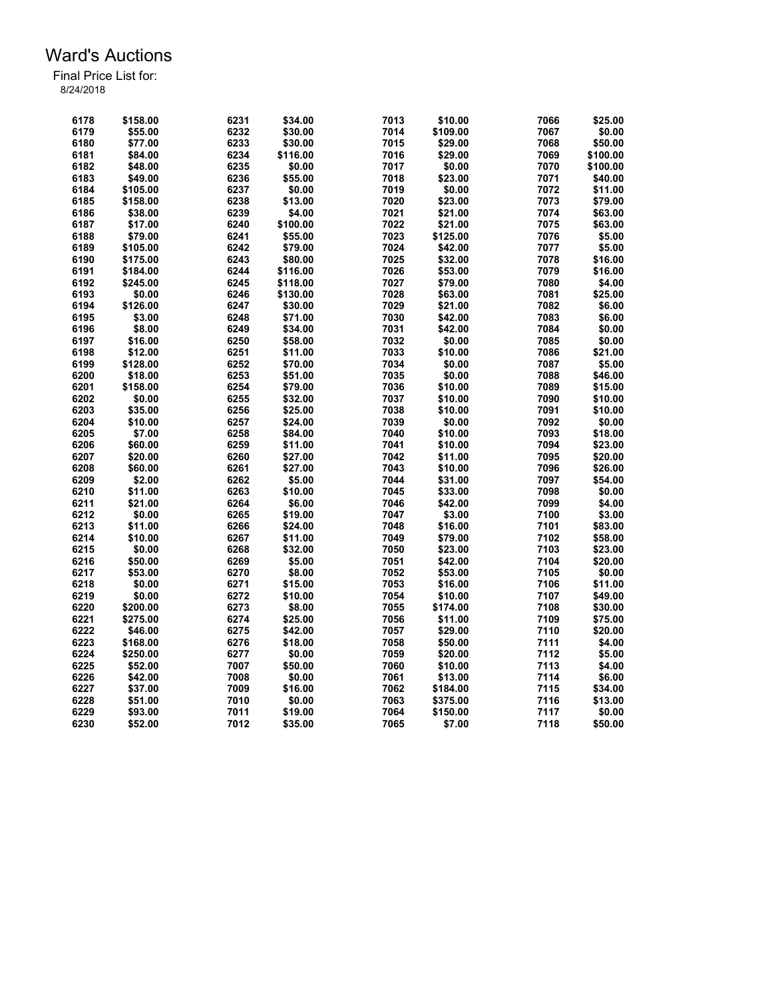| 6178 | \$158.00 | 6231 | \$34.00  | 7013 | \$10.00  | 7066 | \$25.00  |
|------|----------|------|----------|------|----------|------|----------|
| 6179 | \$55.00  | 6232 | \$30.00  | 7014 | \$109.00 | 7067 | \$0.00   |
| 6180 | \$77.00  | 6233 | \$30.00  | 7015 | \$29.00  | 7068 | \$50.00  |
| 6181 | \$84.00  | 6234 | \$116.00 | 7016 | \$29.00  | 7069 | \$100.00 |
| 6182 | \$48.00  | 6235 | \$0.00   | 7017 | \$0.00   | 7070 | \$100.00 |
| 6183 | \$49.00  | 6236 | \$55.00  | 7018 | \$23.00  | 7071 | \$40.00  |
| 6184 | \$105.00 | 6237 | \$0.00   | 7019 | \$0.00   | 7072 | \$11.00  |
| 6185 | \$158.00 | 6238 | \$13.00  | 7020 | \$23.00  | 7073 | \$79.00  |
| 6186 | \$38.00  | 6239 | \$4.00   | 7021 | \$21.00  | 7074 | \$63.00  |
| 6187 | \$17.00  | 6240 | \$100.00 | 7022 | \$21.00  | 7075 | \$63.00  |
| 6188 | \$79.00  | 6241 | \$55.00  | 7023 | \$125.00 | 7076 | \$5.00   |
| 6189 | \$105.00 | 6242 | \$79.00  | 7024 | \$42.00  | 7077 | \$5.00   |
| 6190 | \$175.00 | 6243 | \$80.00  | 7025 | \$32.00  | 7078 | \$16.00  |
| 6191 | \$184.00 | 6244 | \$116.00 | 7026 | \$53.00  | 7079 | \$16.00  |
| 6192 | \$245.00 | 6245 | \$118.00 | 7027 | \$79.00  | 7080 | \$4.00   |
| 6193 | \$0.00   | 6246 | \$130.00 | 7028 | \$63.00  | 7081 | \$25.00  |
| 6194 | \$126.00 | 6247 | \$30.00  | 7029 | \$21.00  | 7082 | \$6.00   |
| 6195 | \$3.00   | 6248 | \$71.00  | 7030 | \$42.00  | 7083 | \$6.00   |
| 6196 | \$8.00   | 6249 | \$34.00  | 7031 | \$42.00  | 7084 | \$0.00   |
| 6197 | \$16.00  | 6250 | \$58.00  | 7032 | \$0.00   | 7085 | \$0.00   |
| 6198 | \$12.00  | 6251 | \$11.00  | 7033 | \$10.00  | 7086 | \$21.00  |
| 6199 | \$128.00 | 6252 | \$70.00  | 7034 | \$0.00   | 7087 | \$5.00   |
| 6200 | \$18.00  | 6253 | \$51.00  | 7035 | \$0.00   | 7088 | \$46.00  |
| 6201 |          | 6254 |          | 7036 | \$10.00  | 7089 |          |
|      | \$158.00 |      | \$79.00  |      |          | 7090 | \$15.00  |
| 6202 | \$0.00   | 6255 | \$32.00  | 7037 | \$10.00  |      | \$10.00  |
| 6203 | \$35.00  | 6256 | \$25.00  | 7038 | \$10.00  | 7091 | \$10.00  |
| 6204 | \$10.00  | 6257 | \$24.00  | 7039 | \$0.00   | 7092 | \$0.00   |
| 6205 | \$7.00   | 6258 | \$84.00  | 7040 | \$10.00  | 7093 | \$18.00  |
| 6206 | \$60.00  | 6259 | \$11.00  | 7041 | \$10.00  | 7094 | \$23.00  |
| 6207 | \$20.00  | 6260 | \$27.00  | 7042 | \$11.00  | 7095 | \$20.00  |
| 6208 | \$60.00  | 6261 | \$27.00  | 7043 | \$10.00  | 7096 | \$26.00  |
| 6209 | \$2.00   | 6262 | \$5.00   | 7044 | \$31.00  | 7097 | \$54.00  |
| 6210 | \$11.00  | 6263 | \$10.00  | 7045 | \$33.00  | 7098 | \$0.00   |
| 6211 | \$21.00  | 6264 | \$6.00   | 7046 | \$42.00  | 7099 | \$4.00   |
| 6212 | \$0.00   | 6265 | \$19.00  | 7047 | \$3.00   | 7100 | \$3.00   |
| 6213 | \$11.00  | 6266 | \$24.00  | 7048 | \$16.00  | 7101 | \$83.00  |
| 6214 | \$10.00  | 6267 | \$11.00  | 7049 | \$79.00  | 7102 | \$58.00  |
| 6215 | \$0.00   | 6268 | \$32.00  | 7050 | \$23.00  | 7103 | \$23.00  |
| 6216 | \$50.00  | 6269 | \$5.00   | 7051 | \$42.00  | 7104 | \$20.00  |
| 6217 | \$53.00  | 6270 | \$8.00   | 7052 | \$53.00  | 7105 | \$0.00   |
| 6218 | \$0.00   | 6271 | \$15.00  | 7053 | \$16.00  | 7106 | \$11.00  |
| 6219 | \$0.00   | 6272 | \$10.00  | 7054 | \$10.00  | 7107 | \$49.00  |
| 6220 | \$200.00 | 6273 | \$8.00   | 7055 | \$174.00 | 7108 | \$30.00  |
| 6221 | \$275.00 | 6274 | \$25.00  | 7056 | \$11.00  | 7109 | \$75.00  |
| 6222 | \$46.00  | 6275 | \$42.00  | 7057 | \$29.00  | 7110 | \$20.00  |
| 6223 | \$168.00 | 6276 | \$18.00  | 7058 | \$50.00  | 7111 | \$4.00   |
| 6224 | \$250.00 | 6277 | \$0.00   | 7059 | \$20.00  | 7112 | \$5.00   |
| 6225 | \$52.00  | 7007 | \$50.00  | 7060 | \$10.00  | 7113 | \$4.00   |
| 6226 | \$42.00  | 7008 | \$0.00   | 7061 | \$13.00  | 7114 | \$6.00   |
| 6227 | \$37.00  | 7009 | \$16.00  | 7062 | \$184.00 | 7115 | \$34.00  |
| 6228 | \$51.00  | 7010 | \$0.00   | 7063 | \$375.00 | 7116 | \$13.00  |
| 6229 | \$93.00  | 7011 | \$19.00  | 7064 | \$150.00 | 7117 | \$0.00   |
| 6230 | \$52.00  | 7012 | \$35.00  | 7065 | \$7.00   | 7118 | \$50.00  |
|      |          |      |          |      |          |      |          |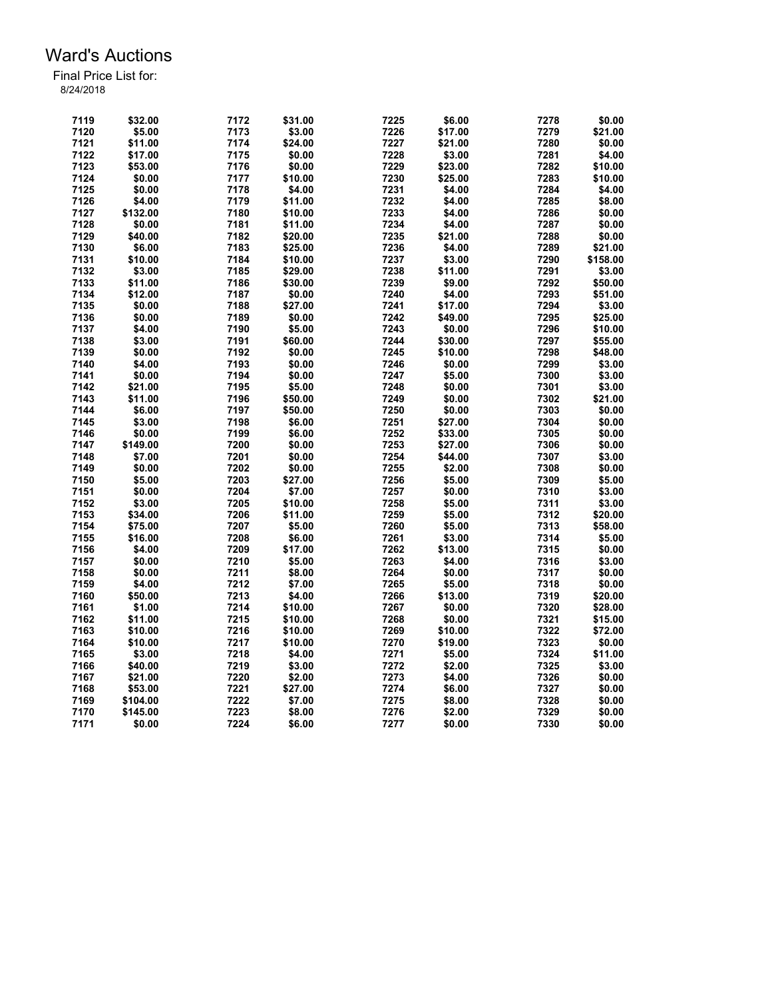| 7119 | \$32.00  | 7172 | \$31.00          | 7225 | \$6.00  | 7278 | \$0.00   |
|------|----------|------|------------------|------|---------|------|----------|
| 7120 | \$5.00   | 7173 | \$3.00           | 7226 | \$17.00 | 7279 | \$21.00  |
| 7121 | \$11.00  | 7174 | \$24.00          | 7227 | \$21.00 | 7280 | \$0.00   |
| 7122 | \$17.00  | 7175 | \$0.00           | 7228 | \$3.00  | 7281 | \$4.00   |
| 7123 | \$53.00  | 7176 | \$0.00           | 7229 | \$23.00 | 7282 | \$10.00  |
| 7124 | \$0.00   | 7177 | \$10.00          | 7230 | \$25.00 | 7283 | \$10.00  |
| 7125 | \$0.00   | 7178 | \$4.00           | 7231 | \$4.00  | 7284 | \$4.00   |
| 7126 | \$4.00   | 7179 | \$11.00          | 7232 | \$4.00  | 7285 | \$8.00   |
| 7127 | \$132.00 | 7180 | \$10.00          | 7233 | \$4.00  | 7286 | \$0.00   |
| 7128 | \$0.00   | 7181 | \$11.00          | 7234 | \$4.00  | 7287 | \$0.00   |
| 7129 | \$40.00  | 7182 | \$20.00          | 7235 | \$21.00 | 7288 | \$0.00   |
| 7130 | \$6.00   | 7183 | \$25.00          | 7236 | \$4.00  | 7289 | \$21.00  |
| 7131 | \$10.00  | 7184 | \$10.00          | 7237 | \$3.00  | 7290 | \$158.00 |
| 7132 | \$3.00   | 7185 | \$29.00          | 7238 | \$11.00 | 7291 | \$3.00   |
| 7133 | \$11.00  | 7186 | \$30.00          | 7239 | \$9.00  | 7292 | \$50.00  |
| 7134 | \$12.00  | 7187 | \$0.00           | 7240 | \$4.00  | 7293 | \$51.00  |
| 7135 | \$0.00   | 7188 | \$27.00          | 7241 | \$17.00 | 7294 | \$3.00   |
| 7136 | \$0.00   | 7189 | \$0.00           | 7242 | \$49.00 | 7295 | \$25.00  |
| 7137 | \$4.00   | 7190 | \$5.00           | 7243 | \$0.00  | 7296 | \$10.00  |
|      | \$3.00   | 7191 | \$60.00          | 7244 | \$30.00 | 7297 |          |
| 7138 |          | 7192 |                  |      |         | 7298 | \$55.00  |
| 7139 | \$0.00   | 7193 | \$0.00<br>\$0.00 | 7245 | \$10.00 | 7299 | \$48.00  |
| 7140 | \$4.00   |      |                  | 7246 | \$0.00  |      | \$3.00   |
| 7141 | \$0.00   | 7194 | \$0.00           | 7247 | \$5.00  | 7300 | \$3.00   |
| 7142 | \$21.00  | 7195 | \$5.00           | 7248 | \$0.00  | 7301 | \$3.00   |
| 7143 | \$11.00  | 7196 | \$50.00          | 7249 | \$0.00  | 7302 | \$21.00  |
| 7144 | \$6.00   | 7197 | \$50.00          | 7250 | \$0.00  | 7303 | \$0.00   |
| 7145 | \$3.00   | 7198 | \$6.00           | 7251 | \$27.00 | 7304 | \$0.00   |
| 7146 | \$0.00   | 7199 | \$6.00           | 7252 | \$33.00 | 7305 | \$0.00   |
| 7147 | \$149.00 | 7200 | \$0.00           | 7253 | \$27.00 | 7306 | \$0.00   |
| 7148 | \$7.00   | 7201 | \$0.00           | 7254 | \$44.00 | 7307 | \$3.00   |
| 7149 | \$0.00   | 7202 | \$0.00           | 7255 | \$2.00  | 7308 | \$0.00   |
| 7150 | \$5.00   | 7203 | \$27.00          | 7256 | \$5.00  | 7309 | \$5.00   |
| 7151 | \$0.00   | 7204 | \$7.00           | 7257 | \$0.00  | 7310 | \$3.00   |
| 7152 | \$3.00   | 7205 | \$10.00          | 7258 | \$5.00  | 7311 | \$3.00   |
| 7153 | \$34.00  | 7206 | \$11.00          | 7259 | \$5.00  | 7312 | \$20.00  |
| 7154 | \$75.00  | 7207 | \$5.00           | 7260 | \$5.00  | 7313 | \$58.00  |
| 7155 | \$16.00  | 7208 | \$6.00           | 7261 | \$3.00  | 7314 | \$5.00   |
| 7156 | \$4.00   | 7209 | \$17.00          | 7262 | \$13.00 | 7315 | \$0.00   |
| 7157 | \$0.00   | 7210 | \$5.00           | 7263 | \$4.00  | 7316 | \$3.00   |
| 7158 | \$0.00   | 7211 | \$8.00           | 7264 | \$0.00  | 7317 | \$0.00   |
| 7159 | \$4.00   | 7212 | \$7.00           | 7265 | \$5.00  | 7318 | \$0.00   |
| 7160 | \$50.00  | 7213 | \$4.00           | 7266 | \$13.00 | 7319 | \$20.00  |
| 7161 | \$1.00   | 7214 | \$10.00          | 7267 | \$0.00  | 7320 | \$28.00  |
| 7162 | \$11.00  | 7215 | \$10.00          | 7268 | \$0.00  | 7321 | \$15.00  |
| 7163 | \$10.00  | 7216 | \$10.00          | 7269 | \$10.00 | 7322 | \$72.00  |
| 7164 | \$10.00  | 7217 | \$10.00          | 7270 | \$19.00 | 7323 | \$0.00   |
| 7165 | \$3.00   | 7218 | \$4.00           | 7271 | \$5.00  | 7324 | \$11.00  |
| 7166 | \$40.00  | 7219 | \$3.00           | 7272 | \$2.00  | 7325 | \$3.00   |
| 7167 | \$21.00  | 7220 | \$2.00           | 7273 | \$4.00  | 7326 | \$0.00   |
| 7168 | \$53.00  | 7221 | \$27.00          | 7274 | \$6.00  | 7327 | \$0.00   |
| 7169 | \$104.00 | 7222 | \$7.00           | 7275 | \$8.00  | 7328 | \$0.00   |
| 7170 | \$145.00 | 7223 | \$8.00           | 7276 | \$2.00  | 7329 | \$0.00   |
| 7171 | \$0.00   | 7224 | \$6.00           | 7277 | \$0.00  | 7330 | \$0.00   |
|      |          |      |                  |      |         |      |          |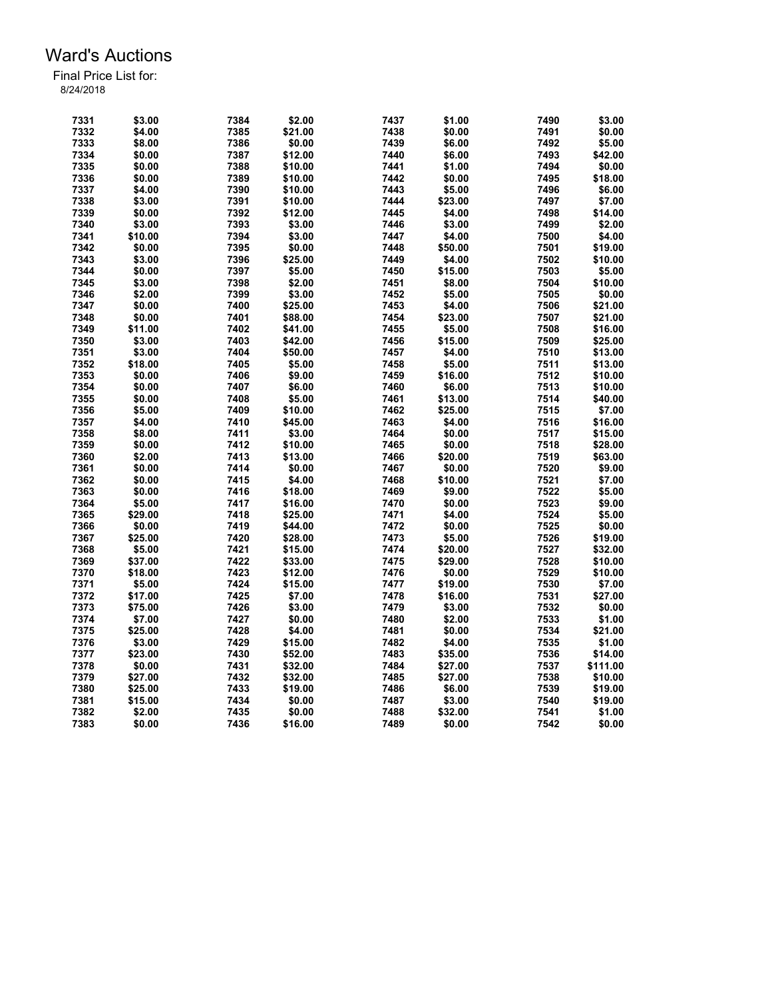| 7331 | \$3.00  | 7384 | \$2.00  | 7437 | \$1.00  | 7490 | \$3.00   |
|------|---------|------|---------|------|---------|------|----------|
| 7332 | \$4.00  | 7385 | \$21.00 | 7438 | \$0.00  | 7491 | \$0.00   |
| 7333 | \$8.00  | 7386 | \$0.00  | 7439 | \$6.00  | 7492 | \$5.00   |
| 7334 | \$0.00  | 7387 | \$12.00 | 7440 | \$6.00  | 7493 | \$42.00  |
| 7335 | \$0.00  | 7388 | \$10.00 | 7441 | \$1.00  | 7494 | \$0.00   |
| 7336 | \$0.00  | 7389 | \$10.00 | 7442 | \$0.00  | 7495 | \$18.00  |
| 7337 | \$4.00  | 7390 | \$10.00 | 7443 | \$5.00  | 7496 | \$6.00   |
| 7338 | \$3.00  | 7391 | \$10.00 | 7444 | \$23.00 | 7497 | \$7.00   |
| 7339 | \$0.00  | 7392 | \$12.00 | 7445 | \$4.00  | 7498 | \$14.00  |
| 7340 | \$3.00  | 7393 | \$3.00  | 7446 | \$3.00  | 7499 | \$2.00   |
| 7341 | \$10.00 | 7394 | \$3.00  | 7447 | \$4.00  | 7500 | \$4.00   |
| 7342 | \$0.00  | 7395 | \$0.00  | 7448 | \$50.00 | 7501 | \$19.00  |
| 7343 | \$3.00  | 7396 | \$25.00 | 7449 | \$4.00  | 7502 | \$10.00  |
| 7344 | \$0.00  | 7397 | \$5.00  | 7450 | \$15.00 | 7503 | \$5.00   |
| 7345 | \$3.00  | 7398 | \$2.00  | 7451 | \$8.00  | 7504 | \$10.00  |
| 7346 | \$2.00  | 7399 | \$3.00  | 7452 | \$5.00  | 7505 | \$0.00   |
| 7347 | \$0.00  | 7400 | \$25.00 | 7453 | \$4.00  | 7506 | \$21.00  |
| 7348 | \$0.00  | 7401 | \$88.00 | 7454 | \$23.00 | 7507 | \$21.00  |
|      |         |      |         |      |         |      |          |
| 7349 | \$11.00 | 7402 | \$41.00 | 7455 | \$5.00  | 7508 | \$16.00  |
| 7350 | \$3.00  | 7403 | \$42.00 | 7456 | \$15.00 | 7509 | \$25.00  |
| 7351 | \$3.00  | 7404 | \$50.00 | 7457 | \$4.00  | 7510 | \$13.00  |
| 7352 | \$18.00 | 7405 | \$5.00  | 7458 | \$5.00  | 7511 | \$13.00  |
| 7353 | \$0.00  | 7406 | \$9.00  | 7459 | \$16.00 | 7512 | \$10.00  |
| 7354 | \$0.00  | 7407 | \$6.00  | 7460 | \$6.00  | 7513 | \$10.00  |
| 7355 | \$0.00  | 7408 | \$5.00  | 7461 | \$13.00 | 7514 | \$40.00  |
| 7356 | \$5.00  | 7409 | \$10.00 | 7462 | \$25.00 | 7515 | \$7.00   |
| 7357 | \$4.00  | 7410 | \$45.00 | 7463 | \$4.00  | 7516 | \$16.00  |
| 7358 | \$8.00  | 7411 | \$3.00  | 7464 | \$0.00  | 7517 | \$15.00  |
| 7359 | \$0.00  | 7412 | \$10.00 | 7465 | \$0.00  | 7518 | \$28.00  |
| 7360 | \$2.00  | 7413 | \$13.00 | 7466 | \$20.00 | 7519 | \$63.00  |
| 7361 | \$0.00  | 7414 | \$0.00  | 7467 | \$0.00  | 7520 | \$9.00   |
| 7362 | \$0.00  | 7415 | \$4.00  | 7468 | \$10.00 | 7521 | \$7.00   |
| 7363 | \$0.00  | 7416 | \$18.00 | 7469 | \$9.00  | 7522 | \$5.00   |
| 7364 | \$5.00  | 7417 | \$16.00 | 7470 | \$0.00  | 7523 | \$9.00   |
| 7365 | \$29.00 | 7418 | \$25.00 | 7471 | \$4.00  | 7524 | \$5.00   |
| 7366 | \$0.00  | 7419 | \$44.00 | 7472 | \$0.00  | 7525 | \$0.00   |
| 7367 | \$25.00 | 7420 | \$28.00 | 7473 | \$5.00  | 7526 | \$19.00  |
| 7368 | \$5.00  | 7421 | \$15.00 | 7474 | \$20.00 | 7527 | \$32.00  |
| 7369 | \$37.00 | 7422 | \$33.00 | 7475 | \$29.00 | 7528 | \$10.00  |
| 7370 | \$18.00 | 7423 | \$12.00 | 7476 | \$0.00  | 7529 | \$10.00  |
| 7371 | \$5.00  | 7424 | \$15.00 | 7477 | \$19.00 | 7530 | \$7.00   |
| 7372 | \$17.00 | 7425 | \$7.00  | 7478 | \$16.00 | 7531 | \$27.00  |
| 7373 | \$75.00 | 7426 | \$3.00  | 7479 | \$3.00  | 7532 | \$0.00   |
| 7374 | \$7.00  | 7427 | \$0.00  | 7480 | \$2.00  | 7533 | \$1.00   |
| 7375 | \$25.00 | 7428 | \$4.00  | 7481 | \$0.00  | 7534 | \$21.00  |
| 7376 | \$3.00  | 7429 | \$15.00 | 7482 | \$4.00  | 7535 | \$1.00   |
| 7377 | \$23.00 | 7430 | \$52.00 | 7483 | \$35.00 | 7536 | \$14.00  |
| 7378 | \$0.00  | 7431 | \$32.00 | 7484 | \$27.00 | 7537 | \$111.00 |
| 7379 | \$27.00 | 7432 | \$32.00 | 7485 | \$27.00 | 7538 | \$10.00  |
| 7380 | \$25.00 | 7433 | \$19.00 | 7486 | \$6.00  | 7539 | \$19.00  |
| 7381 | \$15.00 | 7434 | \$0.00  | 7487 | \$3.00  | 7540 | \$19.00  |
| 7382 | \$2.00  | 7435 | \$0.00  | 7488 | \$32.00 | 7541 | \$1.00   |
| 7383 | \$0.00  | 7436 | \$16.00 | 7489 | \$0.00  | 7542 | \$0.00   |
|      |         |      |         |      |         |      |          |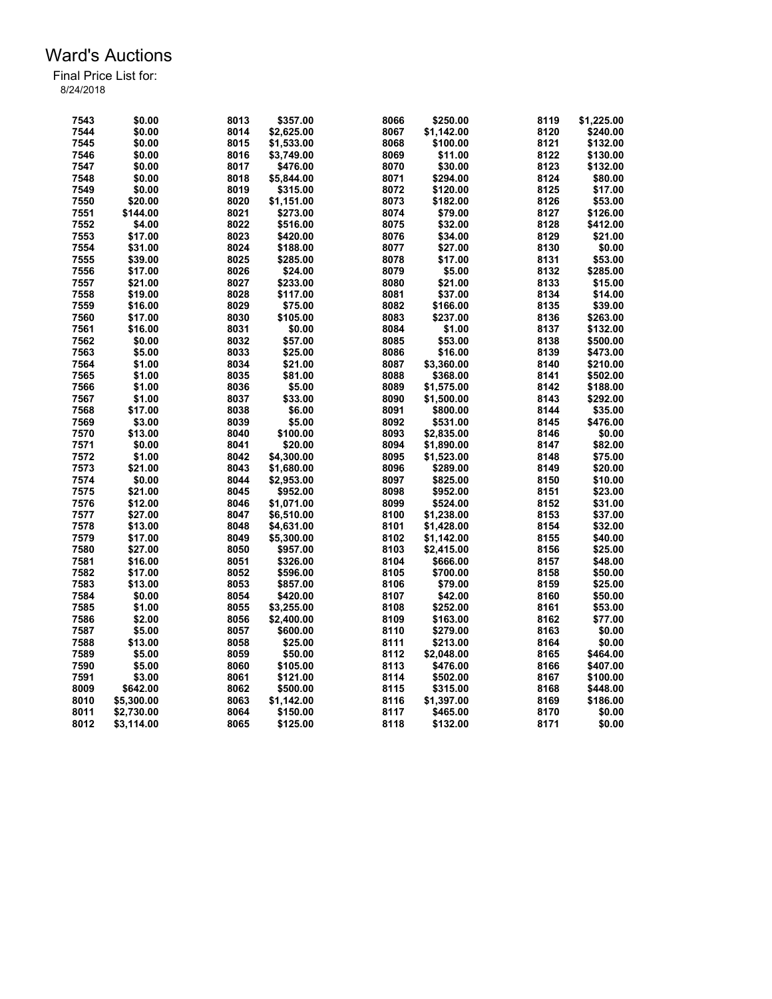| 7543 | \$0.00     | 8013 | \$357.00   | 8066 | \$250.00   | 8119 | \$1,225.00 |
|------|------------|------|------------|------|------------|------|------------|
| 7544 | \$0.00     | 8014 | \$2,625.00 | 8067 | \$1,142.00 | 8120 | \$240.00   |
| 7545 | \$0.00     | 8015 | \$1,533.00 | 8068 | \$100.00   | 8121 | \$132.00   |
| 7546 | \$0.00     | 8016 | \$3,749.00 | 8069 | \$11.00    | 8122 | \$130.00   |
| 7547 | \$0.00     | 8017 | \$476.00   | 8070 | \$30.00    | 8123 | \$132.00   |
| 7548 | \$0.00     | 8018 | \$5,844.00 | 8071 | \$294.00   | 8124 | \$80.00    |
| 7549 | \$0.00     | 8019 | \$315.00   | 8072 | \$120.00   | 8125 | \$17.00    |
| 7550 | \$20.00    | 8020 | \$1,151.00 | 8073 | \$182.00   | 8126 | \$53.00    |
| 7551 | \$144.00   | 8021 | \$273.00   | 8074 | \$79.00    | 8127 | \$126.00   |
| 7552 | \$4.00     | 8022 | \$516.00   | 8075 | \$32.00    | 8128 | \$412.00   |
| 7553 | \$17.00    | 8023 | \$420.00   | 8076 | \$34.00    | 8129 | \$21.00    |
| 7554 | \$31.00    | 8024 | \$188.00   | 8077 | \$27.00    | 8130 | \$0.00     |
| 7555 | \$39.00    | 8025 | \$285.00   | 8078 | \$17.00    | 8131 | \$53.00    |
| 7556 | \$17.00    | 8026 | \$24.00    | 8079 | \$5.00     | 8132 | \$285.00   |
| 7557 | \$21.00    | 8027 | \$233.00   | 8080 | \$21.00    | 8133 | \$15.00    |
| 7558 | \$19.00    | 8028 | \$117.00   | 8081 | \$37.00    | 8134 | \$14.00    |
| 7559 | \$16.00    | 8029 | \$75.00    | 8082 | \$166.00   | 8135 | \$39.00    |
| 7560 | \$17.00    | 8030 | \$105.00   | 8083 | \$237.00   | 8136 | \$263.00   |
| 7561 | \$16.00    | 8031 | \$0.00     | 8084 | \$1.00     | 8137 | \$132.00   |
| 7562 | \$0.00     | 8032 | \$57.00    | 8085 | \$53.00    | 8138 | \$500.00   |
| 7563 | \$5.00     | 8033 | \$25.00    | 8086 | \$16.00    | 8139 | \$473.00   |
| 7564 | \$1.00     | 8034 | \$21.00    | 8087 | \$3,360.00 | 8140 | \$210.00   |
| 7565 | \$1.00     | 8035 | \$81.00    | 8088 | \$368.00   | 8141 | \$502.00   |
| 7566 | \$1.00     | 8036 | \$5.00     | 8089 | \$1,575.00 | 8142 | \$188.00   |
| 7567 | \$1.00     | 8037 | \$33.00    | 8090 | \$1,500.00 | 8143 | \$292.00   |
| 7568 | \$17.00    | 8038 | \$6.00     | 8091 | \$800.00   | 8144 | \$35.00    |
| 7569 | \$3.00     | 8039 | \$5.00     | 8092 | \$531.00   | 8145 | \$476.00   |
| 7570 | \$13.00    | 8040 | \$100.00   | 8093 | \$2,835.00 | 8146 | \$0.00     |
| 7571 | \$0.00     | 8041 | \$20.00    | 8094 | \$1,890.00 | 8147 | \$82.00    |
| 7572 | \$1.00     | 8042 | \$4,300.00 | 8095 | \$1,523.00 | 8148 | \$75.00    |
| 7573 | \$21.00    | 8043 | \$1,680.00 | 8096 | \$289.00   | 8149 | \$20.00    |
| 7574 | \$0.00     | 8044 | \$2,953.00 | 8097 | \$825.00   | 8150 | \$10.00    |
| 7575 | \$21.00    | 8045 | \$952.00   | 8098 | \$952.00   | 8151 | \$23.00    |
| 7576 | \$12.00    | 8046 | \$1,071.00 | 8099 | \$524.00   | 8152 | \$31.00    |
| 7577 | \$27.00    | 8047 | \$6,510.00 | 8100 | \$1,238.00 | 8153 | \$37.00    |
| 7578 | \$13.00    | 8048 | \$4,631.00 | 8101 | \$1,428.00 | 8154 | \$32.00    |
| 7579 | \$17.00    | 8049 | \$5,300.00 | 8102 | \$1,142.00 | 8155 | \$40.00    |
| 7580 | \$27.00    | 8050 | \$957.00   | 8103 | \$2,415.00 | 8156 | \$25.00    |
| 7581 | \$16.00    | 8051 | \$326.00   | 8104 | \$666.00   | 8157 | \$48.00    |
| 7582 | \$17.00    | 8052 | \$596.00   | 8105 | \$700.00   | 8158 | \$50.00    |
| 7583 | \$13.00    | 8053 | \$857.00   | 8106 | \$79.00    | 8159 | \$25.00    |
| 7584 | \$0.00     | 8054 | \$420.00   | 8107 | \$42.00    | 8160 | \$50.00    |
| 7585 | \$1.00     | 8055 | \$3,255.00 | 8108 | \$252.00   | 8161 | \$53.00    |
| 7586 | \$2.00     | 8056 | \$2,400.00 | 8109 | \$163.00   | 8162 | \$77.00    |
| 7587 | \$5.00     | 8057 | \$600.00   | 8110 | \$279.00   | 8163 | \$0.00     |
| 7588 | \$13.00    | 8058 | \$25.00    | 8111 | \$213.00   | 8164 | \$0.00     |
| 7589 | \$5.00     | 8059 | \$50.00    | 8112 | \$2,048.00 | 8165 | \$464.00   |
| 7590 | \$5.00     | 8060 | \$105.00   | 8113 | \$476.00   | 8166 | \$407.00   |
| 7591 | \$3.00     | 8061 | \$121.00   | 8114 | \$502.00   | 8167 | \$100.00   |
| 8009 | \$642.00   | 8062 | \$500.00   | 8115 | \$315.00   | 8168 | \$448.00   |
| 8010 | \$5,300.00 | 8063 | \$1,142.00 | 8116 | \$1,397.00 | 8169 | \$186.00   |
| 8011 | \$2,730.00 | 8064 | \$150.00   | 8117 | \$465.00   | 8170 | \$0.00     |
| 8012 | \$3,114.00 | 8065 | \$125.00   | 8118 | \$132.00   | 8171 | \$0.00     |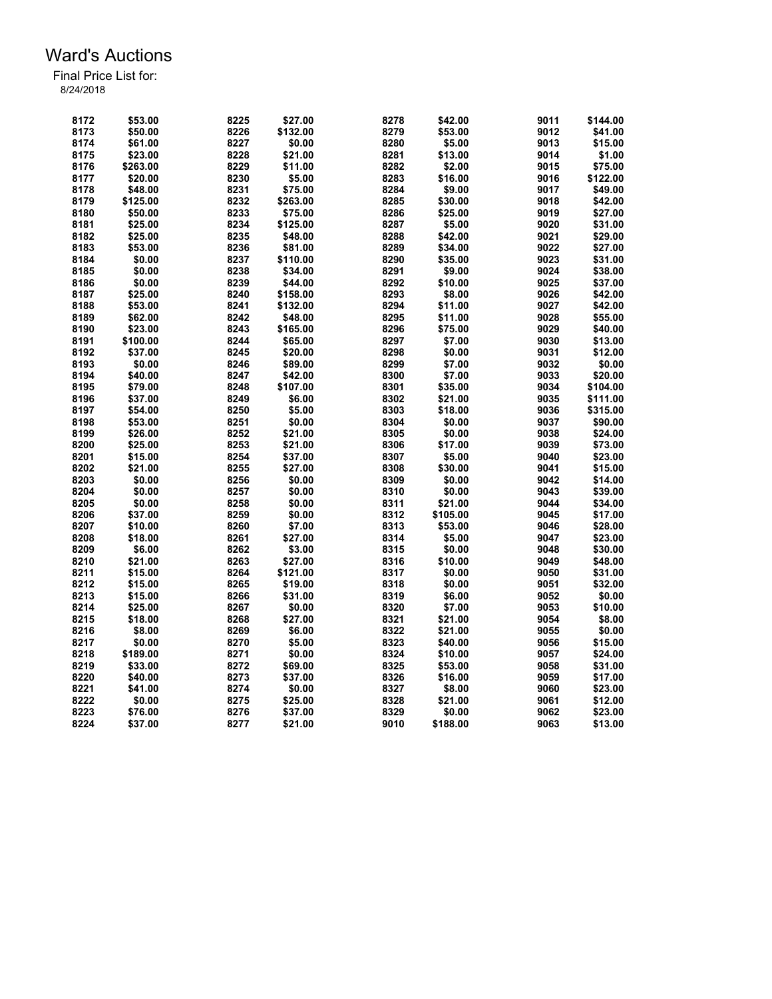| 8172 | \$53.00  | 8225 | \$27.00  | 8278 | \$42.00  | 9011 | \$144.00 |
|------|----------|------|----------|------|----------|------|----------|
| 8173 | \$50.00  | 8226 | \$132.00 | 8279 | \$53.00  | 9012 | \$41.00  |
| 8174 | \$61.00  | 8227 | \$0.00   | 8280 | \$5.00   | 9013 | \$15.00  |
| 8175 | \$23.00  | 8228 | \$21.00  | 8281 | \$13.00  | 9014 | \$1.00   |
| 8176 | \$263.00 | 8229 | \$11.00  | 8282 | \$2.00   | 9015 | \$75.00  |
| 8177 | \$20.00  | 8230 | \$5.00   | 8283 | \$16.00  | 9016 | \$122.00 |
|      |          |      |          |      |          |      |          |
| 8178 | \$48.00  | 8231 | \$75.00  | 8284 | \$9.00   | 9017 | \$49.00  |
| 8179 | \$125.00 | 8232 | \$263.00 | 8285 | \$30.00  | 9018 | \$42.00  |
| 8180 | \$50.00  | 8233 | \$75.00  | 8286 | \$25.00  | 9019 | \$27.00  |
| 8181 | \$25.00  | 8234 | \$125.00 | 8287 | \$5.00   | 9020 | \$31.00  |
| 8182 | \$25.00  | 8235 | \$48.00  | 8288 | \$42.00  | 9021 | \$29.00  |
| 8183 | \$53.00  | 8236 | \$81.00  | 8289 | \$34.00  | 9022 | \$27.00  |
| 8184 | \$0.00   | 8237 | \$110.00 | 8290 | \$35.00  | 9023 | \$31.00  |
| 8185 | \$0.00   | 8238 | \$34.00  | 8291 | \$9.00   | 9024 | \$38.00  |
| 8186 | \$0.00   | 8239 | \$44.00  | 8292 | \$10.00  | 9025 | \$37.00  |
| 8187 | \$25.00  | 8240 | \$158.00 | 8293 | \$8.00   | 9026 | \$42.00  |
| 8188 | \$53.00  | 8241 | \$132.00 | 8294 | \$11.00  | 9027 | \$42.00  |
| 8189 | \$62.00  | 8242 | \$48.00  | 8295 | \$11.00  | 9028 | \$55.00  |
| 8190 | \$23.00  | 8243 | \$165.00 | 8296 | \$75.00  | 9029 | \$40.00  |
| 8191 | \$100.00 | 8244 | \$65.00  | 8297 | \$7.00   | 9030 | \$13.00  |
| 8192 | \$37.00  | 8245 | \$20.00  | 8298 | \$0.00   | 9031 | \$12.00  |
| 8193 | \$0.00   | 8246 | \$89.00  | 8299 | \$7.00   | 9032 | \$0.00   |
| 8194 | \$40.00  | 8247 | \$42.00  | 8300 | \$7.00   | 9033 | \$20.00  |
| 8195 | \$79.00  | 8248 | \$107.00 | 8301 | \$35.00  | 9034 | \$104.00 |
| 8196 | \$37.00  | 8249 | \$6.00   | 8302 | \$21.00  | 9035 | \$111.00 |
| 8197 | \$54.00  | 8250 | \$5.00   | 8303 | \$18.00  | 9036 | \$315.00 |
| 8198 | \$53.00  | 8251 | \$0.00   | 8304 | \$0.00   | 9037 | \$90.00  |
| 8199 | \$26.00  | 8252 | \$21.00  | 8305 | \$0.00   | 9038 | \$24.00  |
|      |          |      |          |      |          |      |          |
| 8200 | \$25.00  | 8253 | \$21.00  | 8306 | \$17.00  | 9039 | \$73.00  |
| 8201 | \$15.00  | 8254 | \$37.00  | 8307 | \$5.00   | 9040 | \$23.00  |
| 8202 | \$21.00  | 8255 | \$27.00  | 8308 | \$30.00  | 9041 | \$15.00  |
| 8203 | \$0.00   | 8256 | \$0.00   | 8309 | \$0.00   | 9042 | \$14.00  |
| 8204 | \$0.00   | 8257 | \$0.00   | 8310 | \$0.00   | 9043 | \$39.00  |
| 8205 | \$0.00   | 8258 | \$0.00   | 8311 | \$21.00  | 9044 | \$34.00  |
| 8206 | \$37.00  | 8259 | \$0.00   | 8312 | \$105.00 | 9045 | \$17.00  |
| 8207 | \$10.00  | 8260 | \$7.00   | 8313 | \$53.00  | 9046 | \$28.00  |
| 8208 | \$18.00  | 8261 | \$27.00  | 8314 | \$5.00   | 9047 | \$23.00  |
| 8209 | \$6.00   | 8262 | \$3.00   | 8315 | \$0.00   | 9048 | \$30.00  |
| 8210 | \$21.00  | 8263 | \$27.00  | 8316 | \$10.00  | 9049 | \$48.00  |
| 8211 | \$15.00  | 8264 | \$121.00 | 8317 | \$0.00   | 9050 | \$31.00  |
| 8212 | \$15.00  | 8265 | \$19.00  | 8318 | \$0.00   | 9051 | \$32.00  |
| 8213 | \$15.00  | 8266 | \$31.00  | 8319 | \$6.00   | 9052 | \$0.00   |
| 8214 | \$25.00  | 8267 | \$0.00   | 8320 | \$7.00   | 9053 | \$10.00  |
| 8215 | \$18.00  | 8268 | \$27.00  | 8321 | \$21.00  | 9054 | \$8.00   |
| 8216 | \$8.00   | 8269 | \$6.00   | 8322 | \$21.00  | 9055 | \$0.00   |
| 8217 | \$0.00   | 8270 | \$5.00   | 8323 | \$40.00  | 9056 | \$15.00  |
| 8218 | \$189.00 | 8271 | \$0.00   | 8324 | \$10.00  | 9057 | \$24.00  |
| 8219 | \$33.00  | 8272 | \$69.00  | 8325 | \$53.00  | 9058 | \$31.00  |
| 8220 | \$40.00  | 8273 | \$37.00  | 8326 | \$16.00  | 9059 | \$17.00  |
| 8221 | \$41.00  | 8274 | \$0.00   | 8327 | \$8.00   | 9060 | \$23.00  |
| 8222 | \$0.00   | 8275 | \$25.00  | 8328 | \$21.00  | 9061 | \$12.00  |
| 8223 | \$76.00  | 8276 | \$37.00  | 8329 | \$0.00   | 9062 | \$23.00  |
|      |          |      |          |      |          |      |          |
| 8224 | \$37.00  | 8277 | \$21.00  | 9010 | \$188.00 | 9063 | \$13.00  |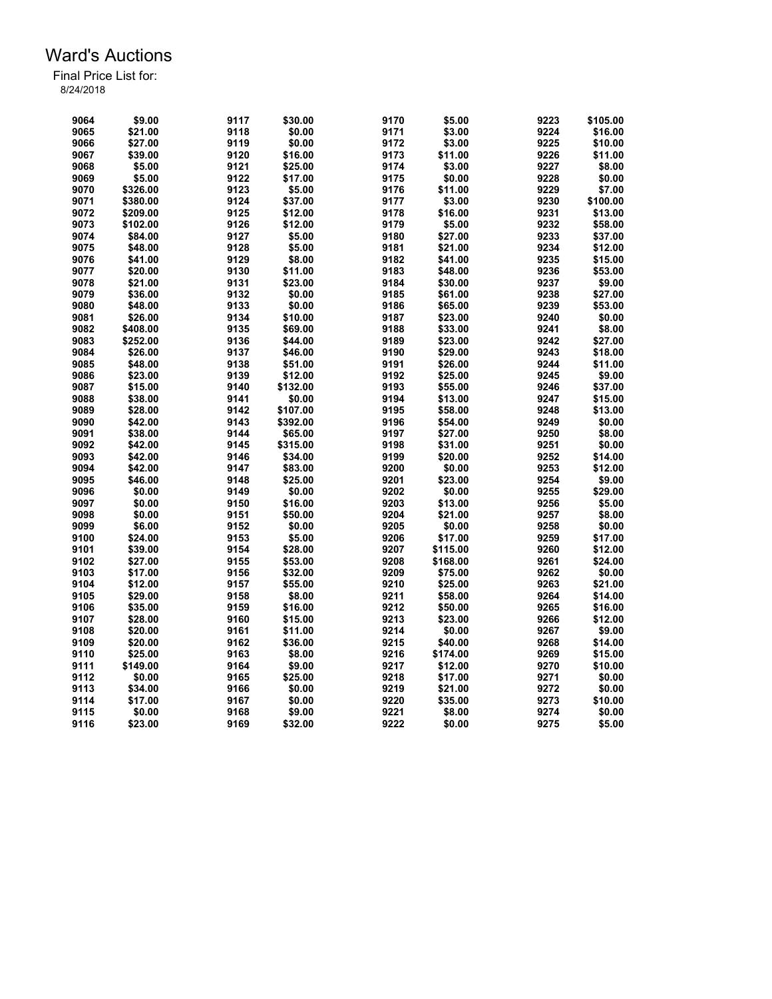| 9064 | \$9.00   | 9117 | \$30.00  | 9170 | \$5.00   | 9223 | \$105.00 |
|------|----------|------|----------|------|----------|------|----------|
| 9065 | \$21.00  | 9118 | \$0.00   | 9171 | \$3.00   | 9224 | \$16.00  |
| 9066 | \$27.00  | 9119 | \$0.00   | 9172 | \$3.00   | 9225 | \$10.00  |
| 9067 | \$39.00  | 9120 | \$16.00  | 9173 | \$11.00  | 9226 | \$11.00  |
| 9068 | \$5.00   | 9121 | \$25.00  | 9174 | \$3.00   | 9227 | \$8.00   |
| 9069 | \$5.00   | 9122 | \$17.00  | 9175 | \$0.00   | 9228 | \$0.00   |
| 9070 | \$326.00 | 9123 | \$5.00   | 9176 | \$11.00  | 9229 | \$7.00   |
| 9071 | \$380.00 | 9124 | \$37.00  | 9177 | \$3.00   | 9230 | \$100.00 |
| 9072 | \$209.00 | 9125 | \$12.00  | 9178 | \$16.00  | 9231 | \$13.00  |
| 9073 | \$102.00 | 9126 | \$12.00  | 9179 | \$5.00   | 9232 | \$58.00  |
| 9074 | \$84.00  | 9127 | \$5.00   | 9180 | \$27.00  | 9233 | \$37.00  |
| 9075 | \$48.00  | 9128 | \$5.00   | 9181 | \$21.00  | 9234 | \$12.00  |
| 9076 | \$41.00  | 9129 | \$8.00   | 9182 | \$41.00  | 9235 | \$15.00  |
| 9077 | \$20.00  | 9130 | \$11.00  | 9183 | \$48.00  | 9236 | \$53.00  |
| 9078 | \$21.00  | 9131 | \$23.00  | 9184 | \$30.00  | 9237 | \$9.00   |
| 9079 | \$36.00  | 9132 | \$0.00   | 9185 | \$61.00  | 9238 | \$27.00  |
| 9080 | \$48.00  | 9133 | \$0.00   | 9186 | \$65.00  | 9239 | \$53.00  |
| 9081 | \$26.00  | 9134 | \$10.00  | 9187 | \$23.00  | 9240 | \$0.00   |
|      |          |      |          |      |          |      |          |
| 9082 | \$408.00 | 9135 | \$69.00  | 9188 | \$33.00  | 9241 | \$8.00   |
| 9083 | \$252.00 | 9136 | \$44.00  | 9189 | \$23.00  | 9242 | \$27.00  |
| 9084 | \$26.00  | 9137 | \$46.00  | 9190 | \$29.00  | 9243 | \$18.00  |
| 9085 | \$48.00  | 9138 | \$51.00  | 9191 | \$26.00  | 9244 | \$11.00  |
| 9086 | \$23.00  | 9139 | \$12.00  | 9192 | \$25.00  | 9245 | \$9.00   |
| 9087 | \$15.00  | 9140 | \$132.00 | 9193 | \$55.00  | 9246 | \$37.00  |
| 9088 | \$38.00  | 9141 | \$0.00   | 9194 | \$13.00  | 9247 | \$15.00  |
| 9089 | \$28.00  | 9142 | \$107.00 | 9195 | \$58.00  | 9248 | \$13.00  |
| 9090 | \$42.00  | 9143 | \$392.00 | 9196 | \$54.00  | 9249 | \$0.00   |
| 9091 | \$38.00  | 9144 | \$65.00  | 9197 | \$27.00  | 9250 | \$8.00   |
| 9092 | \$42.00  | 9145 | \$315.00 | 9198 | \$31.00  | 9251 | \$0.00   |
| 9093 | \$42.00  | 9146 | \$34.00  | 9199 | \$20.00  | 9252 | \$14.00  |
| 9094 | \$42.00  | 9147 | \$83.00  | 9200 | \$0.00   | 9253 | \$12.00  |
| 9095 | \$46.00  | 9148 | \$25.00  | 9201 | \$23.00  | 9254 | \$9.00   |
| 9096 | \$0.00   | 9149 | \$0.00   | 9202 | \$0.00   | 9255 | \$29.00  |
| 9097 | \$0.00   | 9150 | \$16.00  | 9203 | \$13.00  | 9256 | \$5.00   |
| 9098 | \$0.00   | 9151 | \$50.00  | 9204 | \$21.00  | 9257 | \$8.00   |
| 9099 | \$6.00   | 9152 | \$0.00   | 9205 | \$0.00   | 9258 | \$0.00   |
| 9100 | \$24.00  | 9153 | \$5.00   | 9206 | \$17.00  | 9259 | \$17.00  |
| 9101 | \$39.00  | 9154 | \$28.00  | 9207 | \$115.00 | 9260 | \$12.00  |
| 9102 | \$27.00  | 9155 | \$53.00  | 9208 | \$168.00 | 9261 | \$24.00  |
| 9103 | \$17.00  | 9156 | \$32.00  | 9209 | \$75.00  | 9262 | \$0.00   |
| 9104 | \$12.00  | 9157 | \$55.00  | 9210 | \$25.00  | 9263 | \$21.00  |
| 9105 | \$29.00  | 9158 | \$8.00   | 9211 | \$58.00  | 9264 | \$14.00  |
| 9106 | \$35.00  | 9159 | \$16.00  | 9212 | \$50.00  | 9265 | \$16.00  |
| 9107 | \$28.00  | 9160 | \$15.00  | 9213 | \$23.00  | 9266 | \$12.00  |
| 9108 | \$20.00  | 9161 | \$11.00  | 9214 | \$0.00   | 9267 | \$9.00   |
|      |          |      |          |      |          |      |          |
| 9109 | \$20.00  | 9162 | \$36.00  | 9215 | \$40.00  | 9268 | \$14.00  |
| 9110 | \$25.00  | 9163 | \$8.00   | 9216 | \$174.00 | 9269 | \$15.00  |
| 9111 | \$149.00 | 9164 | \$9.00   | 9217 | \$12.00  | 9270 | \$10.00  |
| 9112 | \$0.00   | 9165 | \$25.00  | 9218 | \$17.00  | 9271 | \$0.00   |
| 9113 | \$34.00  | 9166 | \$0.00   | 9219 | \$21.00  | 9272 | \$0.00   |
| 9114 | \$17.00  | 9167 | \$0.00   | 9220 | \$35.00  | 9273 | \$10.00  |
| 9115 | \$0.00   | 9168 | \$9.00   | 9221 | \$8.00   | 9274 | \$0.00   |
| 9116 | \$23.00  | 9169 | \$32.00  | 9222 | \$0.00   | 9275 | \$5.00   |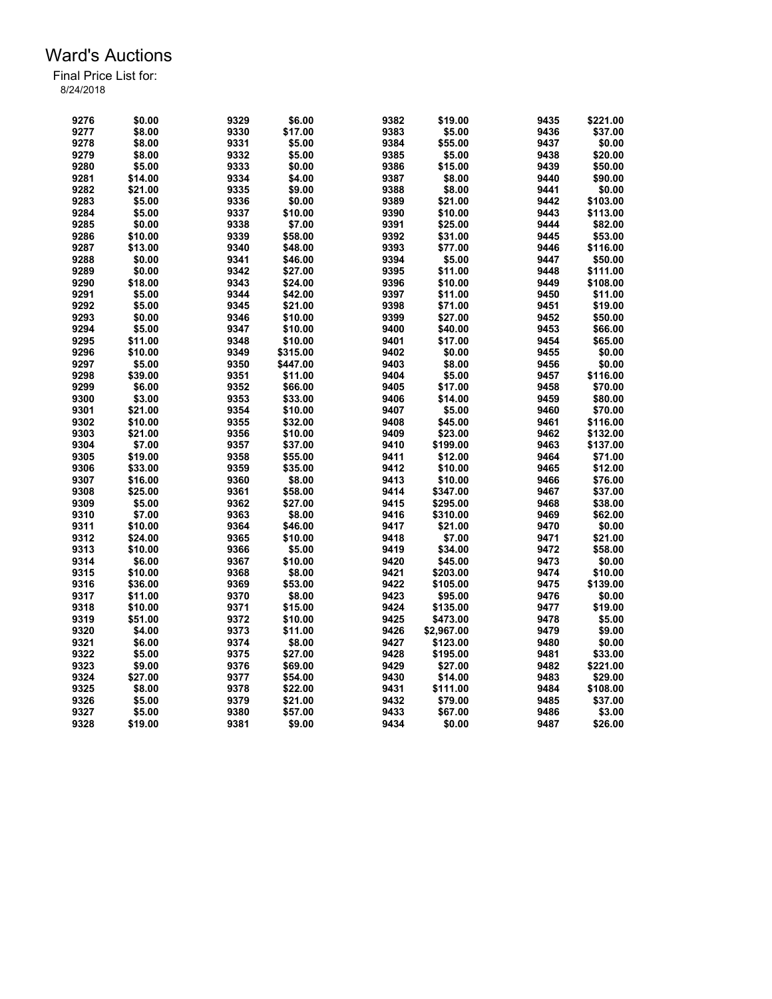| 9276 | \$0.00  | 9329 | \$6.00   | 9382 | \$19.00    | 9435 | \$221.00 |
|------|---------|------|----------|------|------------|------|----------|
| 9277 | \$8.00  | 9330 | \$17.00  | 9383 | \$5.00     | 9436 | \$37.00  |
| 9278 | \$8.00  | 9331 | \$5.00   | 9384 | \$55.00    | 9437 | \$0.00   |
| 9279 | \$8.00  | 9332 | \$5.00   | 9385 | \$5.00     | 9438 | \$20.00  |
| 9280 | \$5.00  | 9333 | \$0.00   | 9386 | \$15.00    | 9439 | \$50.00  |
| 9281 | \$14.00 | 9334 | \$4.00   | 9387 | \$8.00     | 9440 | \$90.00  |
| 9282 | \$21.00 | 9335 | \$9.00   | 9388 | \$8.00     | 9441 | \$0.00   |
| 9283 | \$5.00  | 9336 | \$0.00   | 9389 | \$21.00    | 9442 | \$103.00 |
| 9284 | \$5.00  | 9337 | \$10.00  | 9390 | \$10.00    | 9443 | \$113.00 |
| 9285 | \$0.00  | 9338 | \$7.00   | 9391 | \$25.00    | 9444 | \$82.00  |
| 9286 | \$10.00 | 9339 | \$58.00  | 9392 | \$31.00    | 9445 | \$53.00  |
| 9287 | \$13.00 | 9340 | \$48.00  | 9393 | \$77.00    | 9446 | \$116.00 |
| 9288 | \$0.00  | 9341 | \$46.00  | 9394 | \$5.00     | 9447 | \$50.00  |
| 9289 | \$0.00  | 9342 | \$27.00  | 9395 | \$11.00    | 9448 | \$111.00 |
| 9290 | \$18.00 | 9343 | \$24.00  | 9396 | \$10.00    | 9449 | \$108.00 |
| 9291 | \$5.00  | 9344 | \$42.00  | 9397 | \$11.00    | 9450 | \$11.00  |
| 9292 | \$5.00  | 9345 | \$21.00  | 9398 | \$71.00    | 9451 | \$19.00  |
| 9293 | \$0.00  | 9346 | \$10.00  | 9399 | \$27.00    | 9452 | \$50.00  |
| 9294 | \$5.00  | 9347 | \$10.00  | 9400 | \$40.00    | 9453 | \$66.00  |
| 9295 | \$11.00 | 9348 | \$10.00  | 9401 | \$17.00    | 9454 | \$65.00  |
| 9296 | \$10.00 | 9349 | \$315.00 | 9402 | \$0.00     | 9455 | \$0.00   |
| 9297 | \$5.00  | 9350 | \$447.00 | 9403 | \$8.00     | 9456 | \$0.00   |
|      | \$39.00 |      |          |      |            |      |          |
| 9298 |         | 9351 | \$11.00  | 9404 | \$5.00     | 9457 | \$116.00 |
| 9299 | \$6.00  | 9352 | \$66.00  | 9405 | \$17.00    | 9458 | \$70.00  |
| 9300 | \$3.00  | 9353 | \$33.00  | 9406 | \$14.00    | 9459 | \$80.00  |
| 9301 | \$21.00 | 9354 | \$10.00  | 9407 | \$5.00     | 9460 | \$70.00  |
| 9302 | \$10.00 | 9355 | \$32.00  | 9408 | \$45.00    | 9461 | \$116.00 |
| 9303 | \$21.00 | 9356 | \$10.00  | 9409 | \$23.00    | 9462 | \$132.00 |
| 9304 | \$7.00  | 9357 | \$37.00  | 9410 | \$199.00   | 9463 | \$137.00 |
| 9305 | \$19.00 | 9358 | \$55.00  | 9411 | \$12.00    | 9464 | \$71.00  |
| 9306 | \$33.00 | 9359 | \$35.00  | 9412 | \$10.00    | 9465 | \$12.00  |
| 9307 | \$16.00 | 9360 | \$8.00   | 9413 | \$10.00    | 9466 | \$76.00  |
| 9308 | \$25.00 | 9361 | \$58.00  | 9414 | \$347.00   | 9467 | \$37.00  |
| 9309 | \$5.00  | 9362 | \$27.00  | 9415 | \$295.00   | 9468 | \$38.00  |
| 9310 | \$7.00  | 9363 | \$8.00   | 9416 | \$310.00   | 9469 | \$62.00  |
| 9311 | \$10.00 | 9364 | \$46.00  | 9417 | \$21.00    | 9470 | \$0.00   |
| 9312 | \$24.00 | 9365 | \$10.00  | 9418 | \$7.00     | 9471 | \$21.00  |
| 9313 | \$10.00 | 9366 | \$5.00   | 9419 | \$34.00    | 9472 | \$58.00  |
| 9314 | \$6.00  | 9367 | \$10.00  | 9420 | \$45.00    | 9473 | \$0.00   |
| 9315 | \$10.00 | 9368 | \$8.00   | 9421 | \$203.00   | 9474 | \$10.00  |
| 9316 | \$36.00 | 9369 | \$53.00  | 9422 | \$105.00   | 9475 | \$139.00 |
| 9317 | \$11.00 | 9370 | \$8.00   | 9423 | \$95.00    | 9476 | \$0.00   |
| 9318 | \$10.00 | 9371 | \$15.00  | 9424 | \$135.00   | 9477 | \$19.00  |
| 9319 | \$51.00 | 9372 | \$10.00  | 9425 | \$473.00   | 9478 | \$5.00   |
| 9320 | \$4.00  | 9373 | \$11.00  | 9426 | \$2,967.00 | 9479 | \$9.00   |
| 9321 | \$6.00  | 9374 | \$8.00   | 9427 | \$123.00   | 9480 | \$0.00   |
|      | \$5.00  | 9375 | \$27.00  | 9428 |            | 9481 |          |
| 9322 |         |      |          |      | \$195.00   |      | \$33.00  |
| 9323 | \$9.00  | 9376 | \$69.00  | 9429 | \$27.00    | 9482 | \$221.00 |
| 9324 | \$27.00 | 9377 | \$54.00  | 9430 | \$14.00    | 9483 | \$29.00  |
| 9325 | \$8.00  | 9378 | \$22.00  | 9431 | \$111.00   | 9484 | \$108.00 |
| 9326 | \$5.00  | 9379 | \$21.00  | 9432 | \$79.00    | 9485 | \$37.00  |
| 9327 | \$5.00  | 9380 | \$57.00  | 9433 | \$67.00    | 9486 | \$3.00   |
| 9328 | \$19.00 | 9381 | \$9.00   | 9434 | \$0.00     | 9487 | \$26.00  |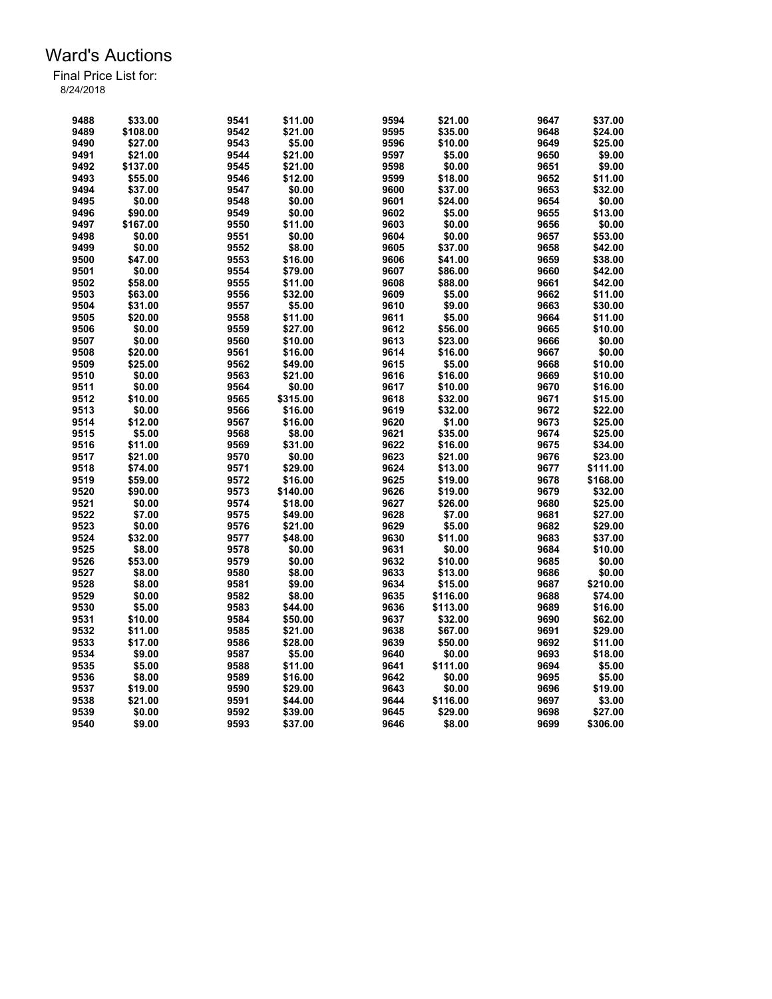| 9488 | \$33.00  | 9541 | \$11.00  | 9594         | \$21.00  | 9647         | \$37.00  |
|------|----------|------|----------|--------------|----------|--------------|----------|
| 9489 | \$108.00 | 9542 | \$21.00  | 9595         | \$35.00  | 9648         | \$24.00  |
| 9490 | \$27.00  | 9543 | \$5.00   | 9596         | \$10.00  | 9649         | \$25.00  |
| 9491 | \$21.00  | 9544 | \$21.00  | 9597         | \$5.00   | 9650         | \$9.00   |
| 9492 | \$137.00 | 9545 | \$21.00  | 9598         | \$0.00   | 9651         | \$9.00   |
| 9493 | \$55.00  | 9546 | \$12.00  | 9599         | \$18.00  | 9652         | \$11.00  |
| 9494 | \$37.00  | 9547 | \$0.00   | 9600         | \$37.00  | 9653         | \$32.00  |
| 9495 | \$0.00   | 9548 | \$0.00   | 9601         | \$24.00  | 9654         | \$0.00   |
| 9496 | \$90.00  | 9549 | \$0.00   | 9602         | \$5.00   | 9655         | \$13.00  |
| 9497 | \$167.00 | 9550 | \$11.00  | 9603         | \$0.00   | 9656         | \$0.00   |
| 9498 | \$0.00   | 9551 | \$0.00   | 9604         | \$0.00   | 9657         | \$53.00  |
| 9499 | \$0.00   | 9552 | \$8.00   | 9605         | \$37.00  | 9658         | \$42.00  |
| 9500 | \$47.00  | 9553 | \$16.00  | 9606         | \$41.00  | 9659         | \$38.00  |
| 9501 | \$0.00   | 9554 | \$79.00  | 9607         | \$86.00  | 9660         | \$42.00  |
| 9502 | \$58.00  | 9555 | \$11.00  | 9608         | \$88.00  | 9661         | \$42.00  |
| 9503 | \$63.00  | 9556 | \$32.00  | 9609         | \$5.00   | 9662         | \$11.00  |
| 9504 | \$31.00  | 9557 | \$5.00   | 9610         | \$9.00   | 9663         | \$30.00  |
| 9505 | \$20.00  | 9558 | \$11.00  | 9611         | \$5.00   | 9664         | \$11.00  |
| 9506 | \$0.00   | 9559 | \$27.00  | 9612         | \$56.00  | 9665         | \$10.00  |
| 9507 | \$0.00   | 9560 | \$10.00  | 9613         | \$23.00  | 9666         | \$0.00   |
| 9508 | \$20.00  | 9561 | \$16.00  |              |          |              | \$0.00   |
|      |          |      |          | 9614<br>9615 | \$16.00  | 9667<br>9668 |          |
| 9509 | \$25.00  | 9562 | \$49.00  |              | \$5.00   |              | \$10.00  |
| 9510 | \$0.00   | 9563 | \$21.00  | 9616         | \$16.00  | 9669         | \$10.00  |
| 9511 | \$0.00   | 9564 | \$0.00   | 9617         | \$10.00  | 9670         | \$16.00  |
| 9512 | \$10.00  | 9565 | \$315.00 | 9618         | \$32.00  | 9671         | \$15.00  |
| 9513 | \$0.00   | 9566 | \$16.00  | 9619         | \$32.00  | 9672         | \$22.00  |
| 9514 | \$12.00  | 9567 | \$16.00  | 9620         | \$1.00   | 9673         | \$25.00  |
| 9515 | \$5.00   | 9568 | \$8.00   | 9621         | \$35.00  | 9674         | \$25.00  |
| 9516 | \$11.00  | 9569 | \$31.00  | 9622         | \$16.00  | 9675         | \$34.00  |
| 9517 | \$21.00  | 9570 | \$0.00   | 9623         | \$21.00  | 9676         | \$23.00  |
| 9518 | \$74.00  | 9571 | \$29.00  | 9624         | \$13.00  | 9677         | \$111.00 |
| 9519 | \$59.00  | 9572 | \$16.00  | 9625         | \$19.00  | 9678         | \$168.00 |
| 9520 | \$90.00  | 9573 | \$140.00 | 9626         | \$19.00  | 9679         | \$32.00  |
| 9521 | \$0.00   | 9574 | \$18.00  | 9627         | \$26.00  | 9680         | \$25.00  |
| 9522 | \$7.00   | 9575 | \$49.00  | 9628         | \$7.00   | 9681         | \$27.00  |
| 9523 | \$0.00   | 9576 | \$21.00  | 9629         | \$5.00   | 9682         | \$29.00  |
| 9524 | \$32.00  | 9577 | \$48.00  | 9630         | \$11.00  | 9683         | \$37.00  |
| 9525 | \$8.00   | 9578 | \$0.00   | 9631         | \$0.00   | 9684         | \$10.00  |
| 9526 | \$53.00  | 9579 | \$0.00   | 9632         | \$10.00  | 9685         | \$0.00   |
| 9527 | \$8.00   | 9580 | \$8.00   | 9633         | \$13.00  | 9686         | \$0.00   |
| 9528 | \$8.00   | 9581 | \$9.00   | 9634         | \$15.00  | 9687         | \$210.00 |
| 9529 | \$0.00   | 9582 | \$8.00   | 9635         | \$116.00 | 9688         | \$74.00  |
| 9530 | \$5.00   | 9583 | \$44.00  | 9636         | \$113.00 | 9689         | \$16.00  |
| 9531 | \$10.00  | 9584 | \$50.00  | 9637         | \$32.00  | 9690         | \$62.00  |
| 9532 | \$11.00  | 9585 | \$21.00  | 9638         | \$67.00  | 9691         | \$29.00  |
| 9533 | \$17.00  | 9586 | \$28.00  | 9639         | \$50.00  | 9692         | \$11.00  |
| 9534 | \$9.00   | 9587 | \$5.00   | 9640         | \$0.00   | 9693         | \$18.00  |
| 9535 | \$5.00   | 9588 | \$11.00  | 9641         | \$111.00 | 9694         | \$5.00   |
| 9536 | \$8.00   | 9589 | \$16.00  | 9642         | \$0.00   | 9695         | \$5.00   |
| 9537 | \$19.00  | 9590 | \$29.00  | 9643         | \$0.00   | 9696         | \$19.00  |
| 9538 | \$21.00  | 9591 | \$44.00  | 9644         | \$116.00 | 9697         | \$3.00   |
| 9539 | \$0.00   | 9592 | \$39.00  | 9645         | \$29.00  | 9698         | \$27.00  |
| 9540 | \$9.00   | 9593 | \$37.00  | 9646         | \$8.00   | 9699         | \$306.00 |
|      |          |      |          |              |          |              |          |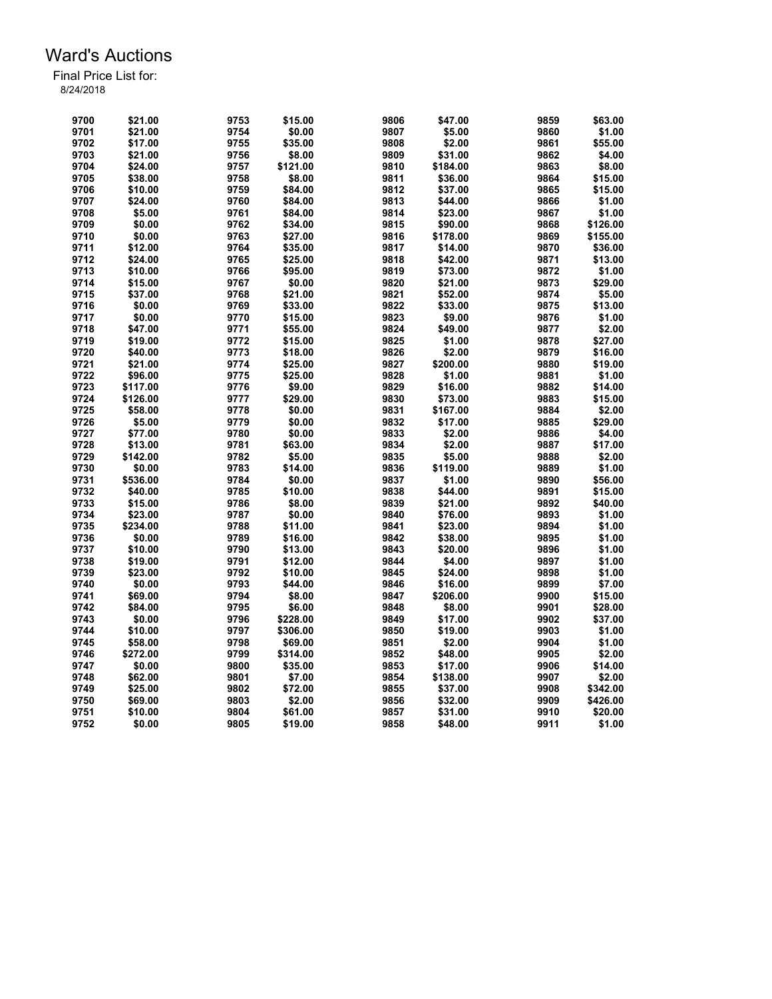| 9700 | \$21.00  | 9753 | \$15.00  | 9806 | \$47.00  | 9859 | \$63.00  |
|------|----------|------|----------|------|----------|------|----------|
| 9701 | \$21.00  | 9754 | \$0.00   | 9807 | \$5.00   | 9860 | \$1.00   |
| 9702 | \$17.00  | 9755 | \$35.00  | 9808 | \$2.00   | 9861 | \$55.00  |
| 9703 | \$21.00  | 9756 | \$8.00   | 9809 | \$31.00  | 9862 | \$4.00   |
| 9704 | \$24.00  | 9757 | \$121.00 | 9810 | \$184.00 | 9863 | \$8.00   |
| 9705 | \$38.00  | 9758 | \$8.00   | 9811 |          | 9864 | \$15.00  |
|      |          |      |          |      | \$36.00  |      |          |
| 9706 | \$10.00  | 9759 | \$84.00  | 9812 | \$37.00  | 9865 | \$15.00  |
| 9707 | \$24.00  | 9760 | \$84.00  | 9813 | \$44.00  | 9866 | \$1.00   |
| 9708 | \$5.00   | 9761 | \$84.00  | 9814 | \$23.00  | 9867 | \$1.00   |
| 9709 | \$0.00   | 9762 | \$34.00  | 9815 | \$90.00  | 9868 | \$126.00 |
| 9710 | \$0.00   | 9763 | \$27.00  | 9816 | \$178.00 | 9869 | \$155.00 |
| 9711 | \$12.00  | 9764 | \$35.00  | 9817 | \$14.00  | 9870 | \$36.00  |
| 9712 | \$24.00  | 9765 | \$25.00  | 9818 | \$42.00  | 9871 | \$13.00  |
| 9713 | \$10.00  | 9766 | \$95.00  | 9819 | \$73.00  | 9872 | \$1.00   |
| 9714 | \$15.00  | 9767 | \$0.00   | 9820 | \$21.00  | 9873 | \$29.00  |
| 9715 | \$37.00  | 9768 | \$21.00  | 9821 | \$52.00  | 9874 | \$5.00   |
| 9716 | \$0.00   | 9769 | \$33.00  | 9822 | \$33.00  | 9875 | \$13.00  |
| 9717 | \$0.00   | 9770 | \$15.00  | 9823 | \$9.00   | 9876 | \$1.00   |
| 9718 | \$47.00  | 9771 | \$55.00  | 9824 | \$49.00  | 9877 | \$2.00   |
| 9719 | \$19.00  | 9772 | \$15.00  | 9825 | \$1.00   | 9878 | \$27.00  |
| 9720 | \$40.00  | 9773 | \$18.00  | 9826 | \$2.00   | 9879 | \$16.00  |
| 9721 | \$21.00  | 9774 | \$25.00  | 9827 | \$200.00 | 9880 | \$19.00  |
| 9722 | \$96.00  | 9775 | \$25.00  | 9828 | \$1.00   | 9881 | \$1.00   |
| 9723 | \$117.00 | 9776 | \$9.00   | 9829 | \$16.00  | 9882 | \$14.00  |
| 9724 | \$126.00 | 9777 | \$29.00  | 9830 | \$73.00  | 9883 | \$15.00  |
| 9725 | \$58.00  | 9778 | \$0.00   | 9831 | \$167.00 | 9884 | \$2.00   |
| 9726 | \$5.00   | 9779 | \$0.00   | 9832 | \$17.00  | 9885 | \$29.00  |
| 9727 | \$77.00  | 9780 | \$0.00   | 9833 | \$2.00   | 9886 | \$4.00   |
|      |          |      |          |      |          |      |          |
| 9728 | \$13.00  | 9781 | \$63.00  | 9834 | \$2.00   | 9887 | \$17.00  |
| 9729 | \$142.00 | 9782 | \$5.00   | 9835 | \$5.00   | 9888 | \$2.00   |
| 9730 | \$0.00   | 9783 | \$14.00  | 9836 | \$119.00 | 9889 | \$1.00   |
| 9731 | \$536.00 | 9784 | \$0.00   | 9837 | \$1.00   | 9890 | \$56.00  |
| 9732 | \$40.00  | 9785 | \$10.00  | 9838 | \$44.00  | 9891 | \$15.00  |
| 9733 | \$15.00  | 9786 | \$8.00   | 9839 | \$21.00  | 9892 | \$40.00  |
| 9734 | \$23.00  | 9787 | \$0.00   | 9840 | \$76.00  | 9893 | \$1.00   |
| 9735 | \$234.00 | 9788 | \$11.00  | 9841 | \$23.00  | 9894 | \$1.00   |
| 9736 | \$0.00   | 9789 | \$16.00  | 9842 | \$38.00  | 9895 | \$1.00   |
| 9737 | \$10.00  | 9790 | \$13.00  | 9843 | \$20.00  | 9896 | \$1.00   |
| 9738 | \$19.00  | 9791 | \$12.00  | 9844 | \$4.00   | 9897 | \$1.00   |
| 9739 | \$23.00  | 9792 | \$10.00  | 9845 | \$24.00  | 9898 | \$1.00   |
| 9740 | \$0.00   | 9793 | \$44.00  | 9846 | \$16.00  | 9899 | \$7.00   |
| 9741 | \$69.00  | 9794 | \$8.00   | 9847 | \$206.00 | 9900 | \$15.00  |
| 9742 | \$84.00  | 9795 | \$6.00   | 9848 | \$8.00   | 9901 | \$28.00  |
| 9743 | \$0.00   | 9796 | \$228.00 | 9849 | \$17.00  | 9902 | \$37.00  |
| 9744 | \$10.00  | 9797 | \$306.00 | 9850 | \$19.00  | 9903 | \$1.00   |
| 9745 | \$58.00  | 9798 | \$69.00  | 9851 | \$2.00   | 9904 | \$1.00   |
| 9746 | \$272.00 | 9799 | \$314.00 | 9852 | \$48.00  | 9905 | \$2.00   |
| 9747 | \$0.00   | 9800 | \$35.00  | 9853 | \$17.00  | 9906 | \$14.00  |
| 9748 | \$62.00  | 9801 | \$7.00   | 9854 | \$138.00 | 9907 | \$2.00   |
| 9749 | \$25.00  | 9802 | \$72.00  | 9855 | \$37.00  | 9908 | \$342.00 |
| 9750 | \$69.00  | 9803 | \$2.00   | 9856 | \$32.00  | 9909 | \$426.00 |
| 9751 | \$10.00  | 9804 | \$61.00  | 9857 |          | 9910 | \$20.00  |
|      |          |      |          |      | \$31.00  |      |          |
| 9752 | \$0.00   | 9805 | \$19.00  | 9858 | \$48.00  | 9911 | \$1.00   |